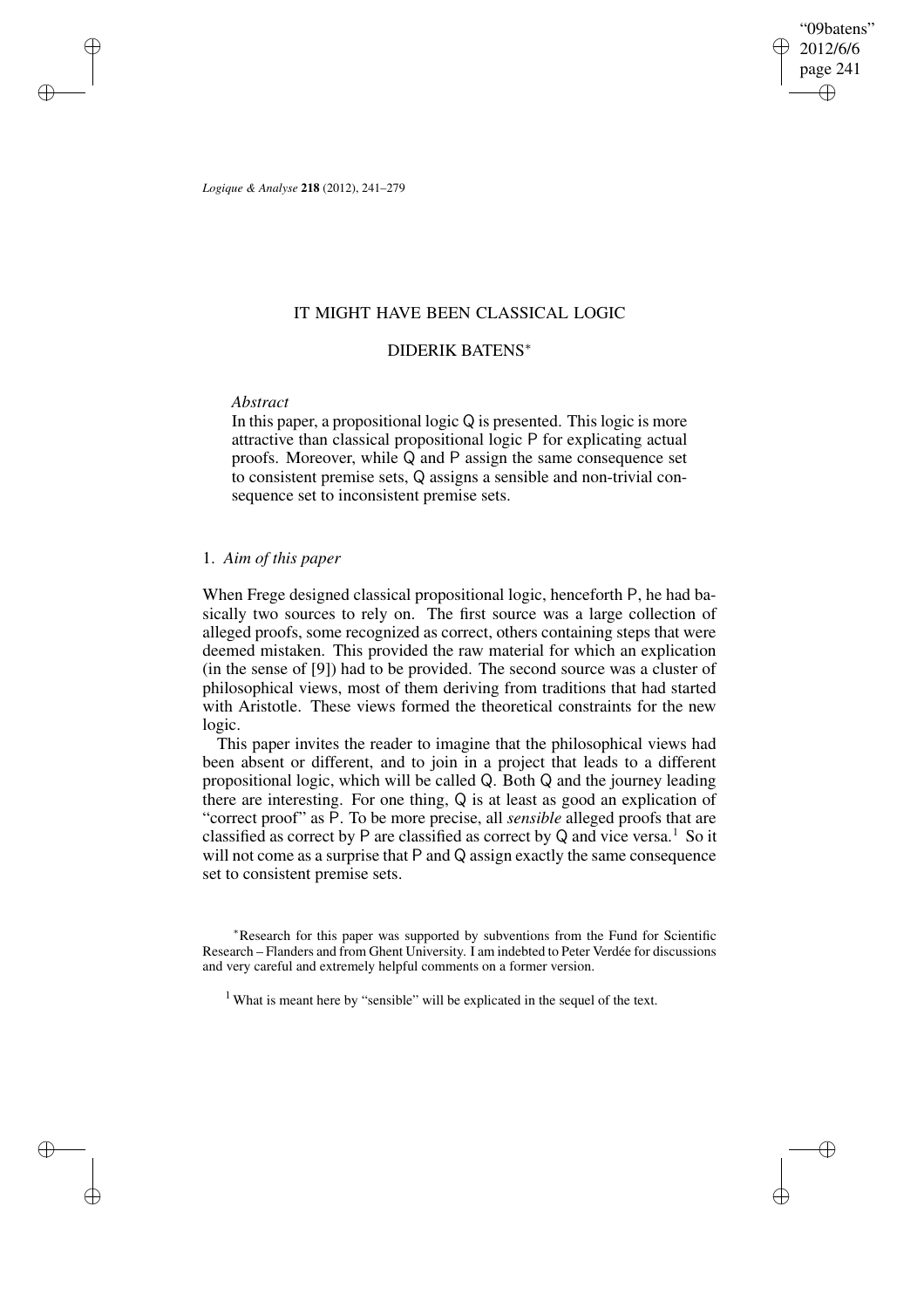"09batens" 2012/6/6 page 241 ✐ ✐

✐

✐

*Logique & Analyse* **218** (2012), 241–279

## IT MIGHT HAVE BEEN CLASSICAL LOGIC

# DIDERIK BATENS<sup>∗</sup>

## *Abstract*

✐

✐

✐

✐

In this paper, a propositional logic Q is presented. This logic is more attractive than classical propositional logic P for explicating actual proofs. Moreover, while Q and P assign the same consequence set to consistent premise sets, Q assigns a sensible and non-trivial consequence set to inconsistent premise sets.

# 1. *Aim of this paper*

When Frege designed classical propositional logic, henceforth P, he had basically two sources to rely on. The first source was a large collection of alleged proofs, some recognized as correct, others containing steps that were deemed mistaken. This provided the raw material for which an explication (in the sense of [9]) had to be provided. The second source was a cluster of philosophical views, most of them deriving from traditions that had started with Aristotle. These views formed the theoretical constraints for the new logic.

This paper invites the reader to imagine that the philosophical views had been absent or different, and to join in a project that leads to a different propositional logic, which will be called Q. Both Q and the journey leading there are interesting. For one thing, Q is at least as good an explication of "correct proof" as P. To be more precise, all *sensible* alleged proofs that are classified as correct by P are classified as correct by Q and vice versa.<sup>1</sup> So it will not come as a surprise that P and Q assign exactly the same consequence set to consistent premise sets.

<sup>∗</sup>Research for this paper was supported by subventions from the Fund for Scientific Research – Flanders and from Ghent University. I am indebted to Peter Verdée for discussions and very careful and extremely helpful comments on a former version.

<sup>1</sup> What is meant here by "sensible" will be explicated in the sequel of the text.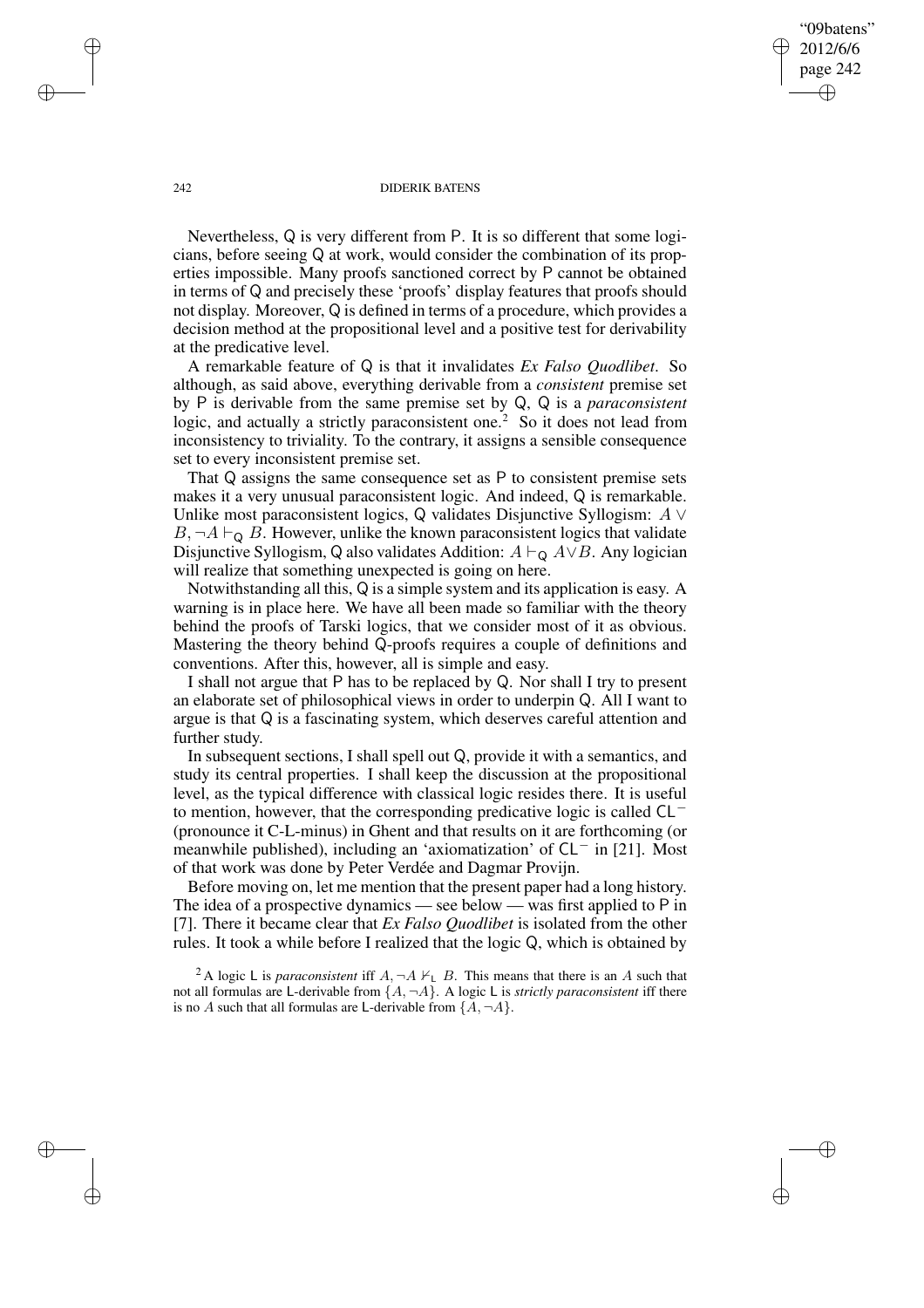"09batens" 2012/6/6 page 242 ✐ ✐

✐

✐

#### 242 DIDERIK BATENS

Nevertheless, Q is very different from P. It is so different that some logicians, before seeing Q at work, would consider the combination of its properties impossible. Many proofs sanctioned correct by P cannot be obtained in terms of Q and precisely these 'proofs' display features that proofs should not display. Moreover, Q is defined in terms of a procedure, which provides a decision method at the propositional level and a positive test for derivability at the predicative level.

A remarkable feature of Q is that it invalidates *Ex Falso Quodlibet*. So although, as said above, everything derivable from a *consistent* premise set by P is derivable from the same premise set by Q, Q is a *paraconsistent* logic, and actually a strictly paraconsistent one.<sup>2</sup> So it does not lead from inconsistency to triviality. To the contrary, it assigns a sensible consequence set to every inconsistent premise set.

That Q assigns the same consequence set as P to consistent premise sets makes it a very unusual paraconsistent logic. And indeed, Q is remarkable. Unlike most paraconsistent logics, Q validates Disjunctive Syllogism:  $A \vee$  $B, \neg A \vdash_{\mathsf{Q}} B$ . However, unlike the known paraconsistent logics that validate Disjunctive Syllogism, Q also validates Addition:  $A \vdash_{\mathsf{Q}} A \lor B$ . Any logician will realize that something unexpected is going on here.

Notwithstanding all this, Q is a simple system and its application is easy. A warning is in place here. We have all been made so familiar with the theory behind the proofs of Tarski logics, that we consider most of it as obvious. Mastering the theory behind Q-proofs requires a couple of definitions and conventions. After this, however, all is simple and easy.

I shall not argue that P has to be replaced by Q. Nor shall I try to present an elaborate set of philosophical views in order to underpin Q. All I want to argue is that Q is a fascinating system, which deserves careful attention and further study.

In subsequent sections, I shall spell out Q, provide it with a semantics, and study its central properties. I shall keep the discussion at the propositional level, as the typical difference with classical logic resides there. It is useful to mention, however, that the corresponding predicative logic is called CL<sup>−</sup> (pronounce it C-L-minus) in Ghent and that results on it are forthcoming (or meanwhile published), including an 'axiomatization' of CL<sup>−</sup> in [21]. Most of that work was done by Peter Verdée and Dagmar Provijn.

Before moving on, let me mention that the present paper had a long history. The idea of a prospective dynamics — see below — was first applied to P in [7]. There it became clear that *Ex Falso Quodlibet* is isolated from the other rules. It took a while before I realized that the logic Q, which is obtained by

<sup>2</sup> A logic L is *paraconsistent* iff  $A$ ,  $\neg A \nvdash_L B$ . This means that there is an A such that not all formulas are L-derivable from  $\{A, \neg A\}$ . A logic L is *strictly paraconsistent* iff there is no A such that all formulas are L-derivable from  $\{A, \neg A\}$ .

✐

✐

✐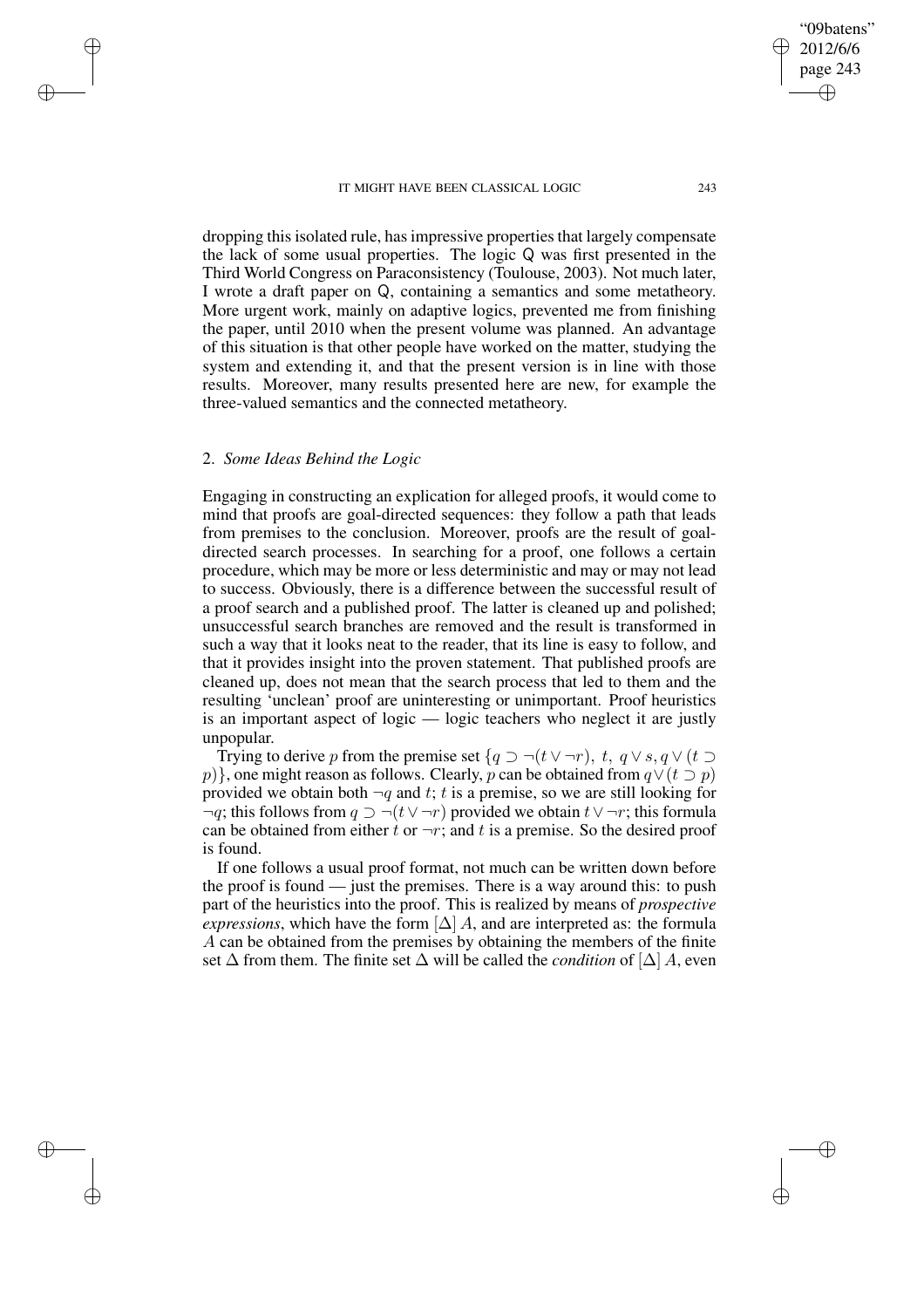dropping this isolated rule, has impressive properties that largely compensate the lack of some usual properties. The logic Q was first presented in the Third World Congress on Paraconsistency (Toulouse, 2003). Not much later, I wrote a draft paper on Q, containing a semantics and some metatheory. More urgent work, mainly on adaptive logics, prevented me from finishing the paper, until 2010 when the present volume was planned. An advantage of this situation is that other people have worked on the matter, studying the system and extending it, and that the present version is in line with those results. Moreover, many results presented here are new, for example the three-valued semantics and the connected metatheory.

# 2. *Some Ideas Behind the Logic*

✐

✐

✐

✐

Engaging in constructing an explication for alleged proofs, it would come to mind that proofs are goal-directed sequences: they follow a path that leads from premises to the conclusion. Moreover, proofs are the result of goaldirected search processes. In searching for a proof, one follows a certain procedure, which may be more or less deterministic and may or may not lead to success. Obviously, there is a difference between the successful result of a proof search and a published proof. The latter is cleaned up and polished; unsuccessful search branches are removed and the result is transformed in such a way that it looks neat to the reader, that its line is easy to follow, and that it provides insight into the proven statement. That published proofs are cleaned up, does not mean that the search process that led to them and the resulting 'unclean' proof are uninteresting or unimportant. Proof heuristics is an important aspect of logic — logic teachers who neglect it are justly unpopular.

Trying to derive p from the premise set  $\{q \supset \neg(t \vee \neg r), t, q \vee s, q \vee (t \supset$ p)}, one might reason as follows. Clearly, p can be obtained from  $q \vee (t \supset p)$ provided we obtain both  $\neg q$  and t; t is a premise, so we are still looking for  $\neg q$ ; this follows from  $q \supset \neg(t \vee \neg r)$  provided we obtain  $t \vee \neg r$ ; this formula can be obtained from either t or  $\neg r$ ; and t is a premise. So the desired proof is found.

If one follows a usual proof format, not much can be written down before the proof is found — just the premises. There is a way around this: to push part of the heuristics into the proof. This is realized by means of *prospective expressions*, which have the form  $[\Delta]$  A, and are interpreted as: the formula A can be obtained from the premises by obtaining the members of the finite set  $\Delta$  from them. The finite set  $\Delta$  will be called the *condition* of  $[\Delta]$  A, even

"09batens" 2012/6/6 page 243

✐

✐

✐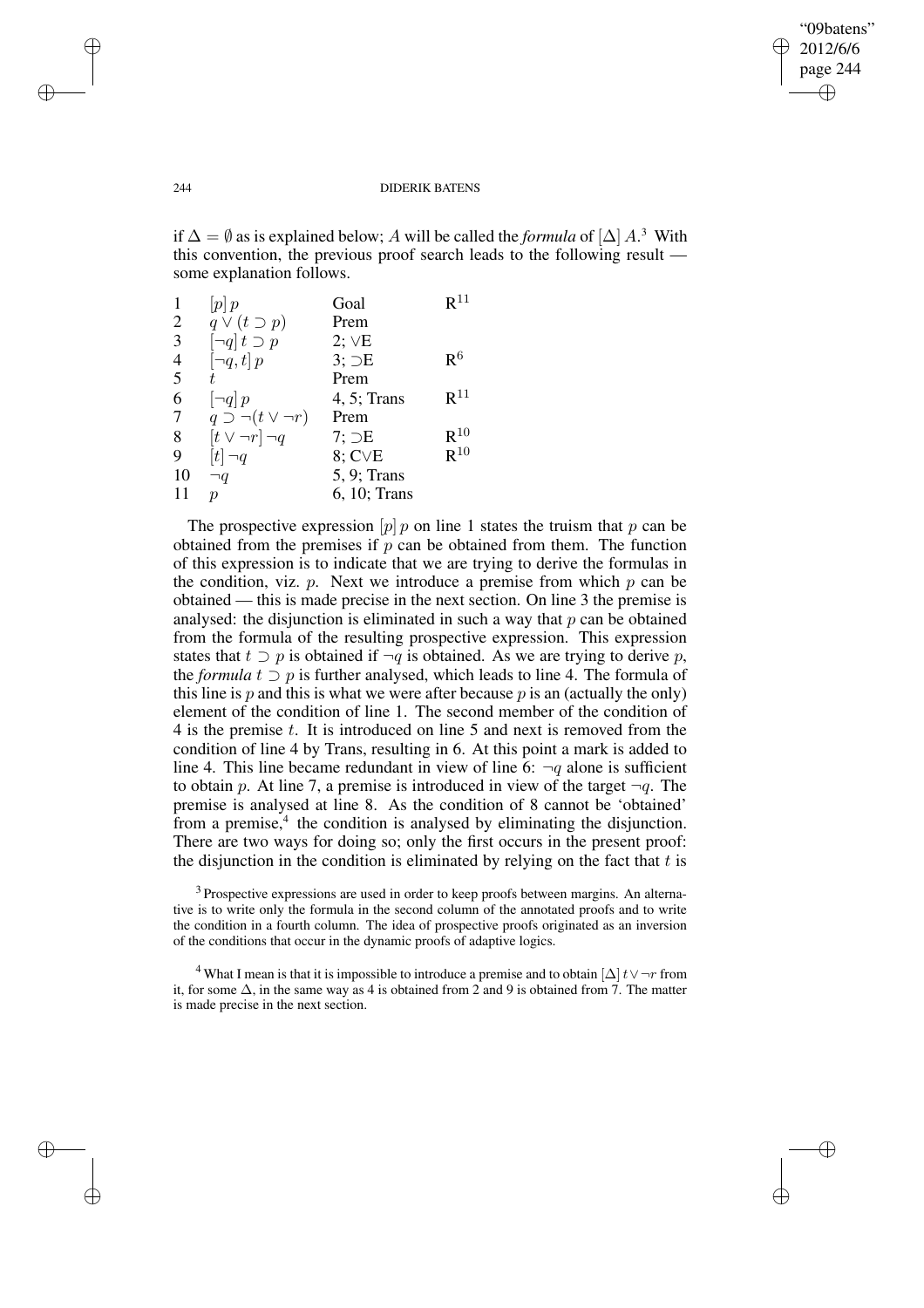✐

#### 244 DIDERIK BATENS

if  $\Delta = \emptyset$  as is explained below; A will be called the *formula* of  $[\Delta] A$ <sup>3</sup>. With this convention, the previous proof search leads to the following result some explanation follows.

| 1              | p p                                | Goal            | $\mathsf{R}^{11}$ |
|----------------|------------------------------------|-----------------|-------------------|
| $\overline{2}$ | $q \vee (t \supset p)$             | Prem            |                   |
| 3              | $\lceil \neg q \rceil t \supset p$ | $2; \vee E$     |                   |
| 4              | $\left[\neg q, t\right] p$         | $3;$ $\ni E$    | R <sup>6</sup>    |
| 5              |                                    | Prem            |                   |
| 6              | $\left[\neg q\right]p$             | $4, 5$ ; Trans  | $R^{11}$          |
| 7              | $q \supset \neg(t \vee \neg r)$    | Prem            |                   |
| 8              | $[t \vee \neg r] \neg q$           | 7: E            | $\mathbf{R}^{10}$ |
| 9              | $[t] \neg q$                       | $8;$ C $\vee$ E | $R^{10}$          |
| 10             | $\neg q$                           | 5, 9; Trans     |                   |
| 11             | D                                  | 6, 10; Trans    |                   |
|                |                                    |                 |                   |

The prospective expression  $[p]$  p on line 1 states the truism that p can be obtained from the premises if  $p$  can be obtained from them. The function of this expression is to indicate that we are trying to derive the formulas in the condition, viz.  $p$ . Next we introduce a premise from which  $p$  can be obtained — this is made precise in the next section. On line 3 the premise is analysed: the disjunction is eliminated in such a way that  $p$  can be obtained from the formula of the resulting prospective expression. This expression states that  $t \supset p$  is obtained if  $\neg q$  is obtained. As we are trying to derive p, the *formula*  $t \supset p$  is further analysed, which leads to line 4. The formula of this line is  $p$  and this is what we were after because  $p$  is an (actually the only) element of the condition of line 1. The second member of the condition of 4 is the premise t. It is introduced on line 5 and next is removed from the condition of line 4 by Trans, resulting in 6. At this point a mark is added to line 4. This line became redundant in view of line 6:  $\neg q$  alone is sufficient to obtain p. At line 7, a premise is introduced in view of the target  $\neg q$ . The premise is analysed at line 8. As the condition of 8 cannot be 'obtained' from a premise,<sup>4</sup> the condition is analysed by eliminating the disjunction. There are two ways for doing so; only the first occurs in the present proof: the disjunction in the condition is eliminated by relying on the fact that  $t$  is

 $3$  Prospective expressions are used in order to keep proofs between margins. An alternative is to write only the formula in the second column of the annotated proofs and to write the condition in a fourth column. The idea of prospective proofs originated as an inversion of the conditions that occur in the dynamic proofs of adaptive logics.

<sup>4</sup> What I mean is that it is impossible to introduce a premise and to obtain  $[\Delta]t\vee \neg r$  from it, for some  $\Delta$ , in the same way as 4 is obtained from 2 and 9 is obtained from 7. The matter is made precise in the next section.

✐

✐

✐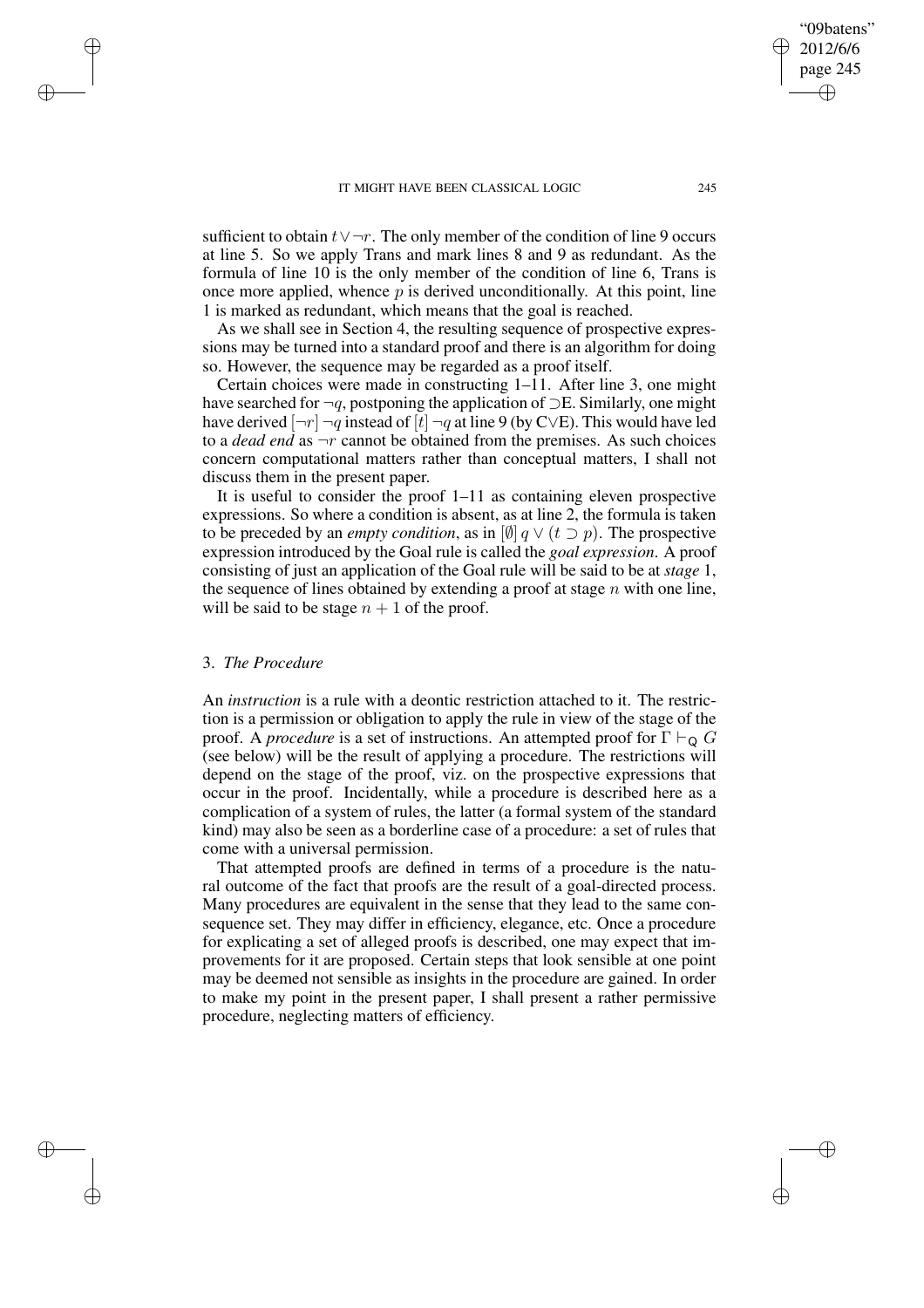sufficient to obtain  $t \vee \neg r$ . The only member of the condition of line 9 occurs at line 5. So we apply Trans and mark lines 8 and 9 as redundant. As the formula of line 10 is the only member of the condition of line 6, Trans is once more applied, whence  $p$  is derived unconditionally. At this point, line 1 is marked as redundant, which means that the goal is reached.

As we shall see in Section 4, the resulting sequence of prospective expressions may be turned into a standard proof and there is an algorithm for doing so. However, the sequence may be regarded as a proof itself.

Certain choices were made in constructing 1–11. After line 3, one might have searched for  $\neg q$ , postponing the application of  $\supset E$ . Similarly, one might have derived  $[\neg r] \neg q$  instead of  $[t] \neg q$  at line 9 (by C∨E). This would have led to a *dead end* as  $\neg r$  cannot be obtained from the premises. As such choices concern computational matters rather than conceptual matters, I shall not discuss them in the present paper.

It is useful to consider the proof 1–11 as containing eleven prospective expressions. So where a condition is absent, as at line 2, the formula is taken to be preceded by an *empty condition*, as in  $\left[\emptyset\right] q \vee (t \supset p)$ . The prospective expression introduced by the Goal rule is called the *goal expression*. A proof consisting of just an application of the Goal rule will be said to be at *stage* 1, the sequence of lines obtained by extending a proof at stage  $n$  with one line, will be said to be stage  $n + 1$  of the proof.

## 3. *The Procedure*

✐

✐

✐

✐

An *instruction* is a rule with a deontic restriction attached to it. The restriction is a permission or obligation to apply the rule in view of the stage of the proof. A *procedure* is a set of instructions. An attempted proof for  $\Gamma \vdash_{\mathsf{Q}} G$ (see below) will be the result of applying a procedure. The restrictions will depend on the stage of the proof, viz. on the prospective expressions that occur in the proof. Incidentally, while a procedure is described here as a complication of a system of rules, the latter (a formal system of the standard kind) may also be seen as a borderline case of a procedure: a set of rules that come with a universal permission.

That attempted proofs are defined in terms of a procedure is the natural outcome of the fact that proofs are the result of a goal-directed process. Many procedures are equivalent in the sense that they lead to the same consequence set. They may differ in efficiency, elegance, etc. Once a procedure for explicating a set of alleged proofs is described, one may expect that improvements for it are proposed. Certain steps that look sensible at one point may be deemed not sensible as insights in the procedure are gained. In order to make my point in the present paper, I shall present a rather permissive procedure, neglecting matters of efficiency.

"09batens" 2012/6/6 page 245

✐

✐

✐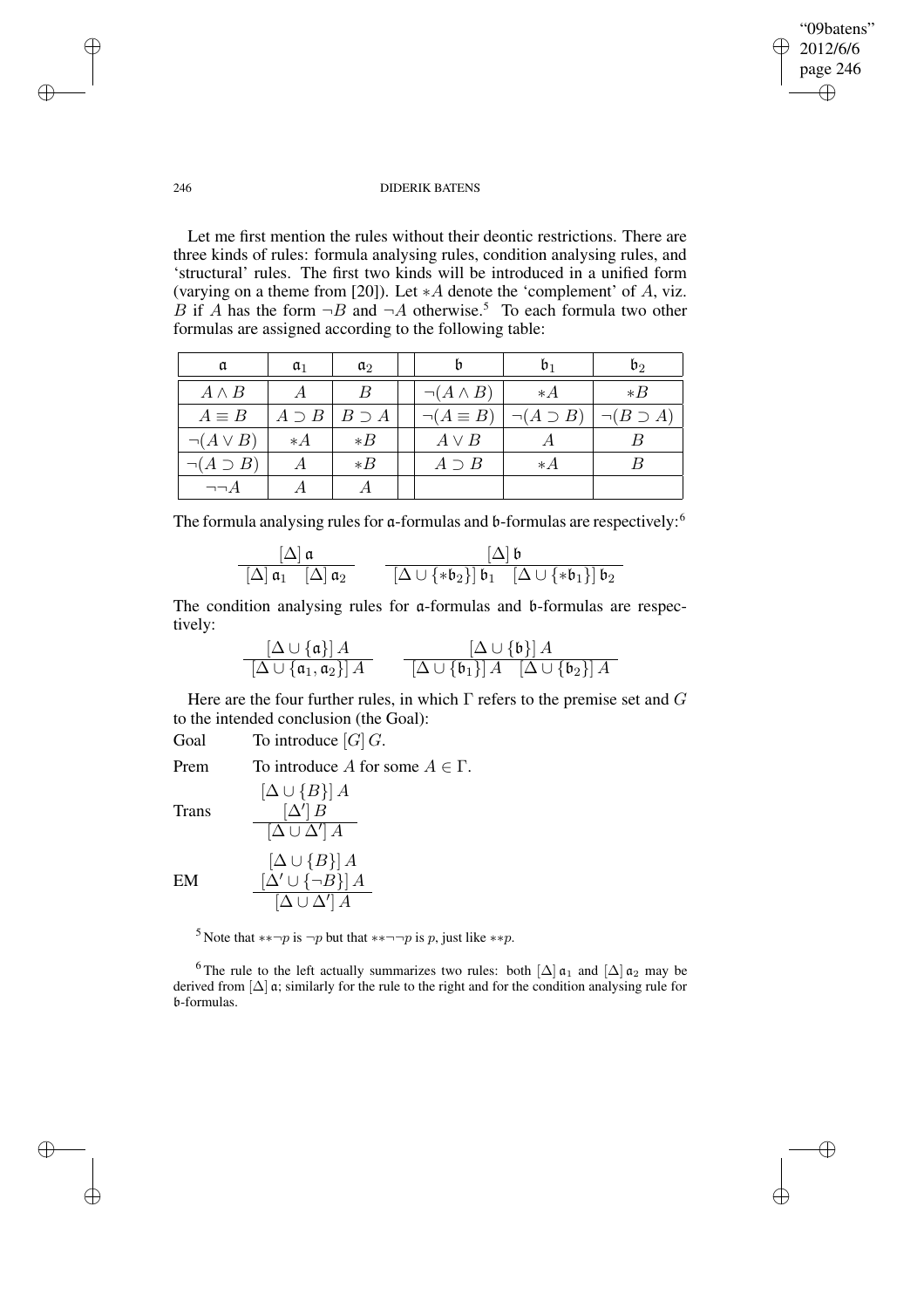✐

## 246 DIDERIK BATENS

Let me first mention the rules without their deontic restrictions. There are three kinds of rules: formula analysing rules, condition analysing rules, and 'structural' rules. The first two kinds will be introduced in a unified form (varying on a theme from [20]). Let  $*A$  denote the 'complement' of A, viz. B if A has the form  $\neg B$  and  $\neg A$  otherwise.<sup>5</sup> To each formula two other formulas are assigned according to the following table:

| a                   | $a_1$         | $\mathfrak{a}_2$ |                     | b1                  | $\mathfrak{b}_2$    |
|---------------------|---------------|------------------|---------------------|---------------------|---------------------|
| $A \wedge B$        |               | B                | $\neg(A \land B)$   | $*$ A               | $*B$                |
| $A \equiv B$        | $A \supset B$ | $B \supset A$    | $\neg (A \equiv B)$ | $\neg(A \supset B)$ | $\neg(B \supset A)$ |
| $\neg(A \vee B)$    | $* A$         | $*B$             | $A \vee B$          |                     |                     |
| $\neg(A \supset B)$ |               | $*B$             | $A \supset B$       | $* A$               | B                   |
| $\neg\neg A$        |               |                  |                     |                     |                     |

The formula analysing rules for  $\alpha$ -formulas and b-formulas are respectively:<sup>6</sup>

$$
\frac{\left[\Delta\right]\mathfrak{a}}{\left[\Delta\right]\mathfrak{a}_1\quad\left[\Delta\right]\mathfrak{a}_2} \qquad \frac{\left[\Delta\right]\mathfrak{b}}{\left[\Delta\cup\left\{*\mathfrak{b}_2\right\}\right]\mathfrak{b}_1\quad\left[\Delta\cup\left\{*\mathfrak{b}_1\right\}\right]\mathfrak{b}_2}
$$

The condition analysing rules for a-formulas and b-formulas are respectively:

$$
\frac{[\Delta \cup \{\mathfrak{a}\}]\, A}{[\Delta \cup \{\mathfrak{a}_1, \mathfrak{a}_2\}]\, A} \qquad \frac{[\Delta \cup \{\mathfrak{b}\}]\, A}{[\Delta \cup \{\mathfrak{b}_1\}]\, A}\quad \frac{[\Delta \cup \{\mathfrak{b}\}]\, A}{[\Delta \cup \{\mathfrak{b}_2\}]\, A}
$$

Here are the four further rules, in which  $\Gamma$  refers to the premise set and  $G$ to the intended conclusion (the Goal):

Goal To introduce  $[G]$  G.

Prem To introduce A for some  $A \in \Gamma$ .

Trans

EM

✐

✐

| $[\Delta \cup \{B\}] A$<br>$\left[\Delta'\right]B$         |
|------------------------------------------------------------|
| $[\Delta \cup \Delta'] A$                                  |
| $[\Delta \cup \{B\}] A$                                    |
| $[\Delta' \cup \{\neg B\}] A$<br>$[\Delta \cup \Delta'] A$ |

<sup>5</sup> Note that \*\*¬p is ¬p but that \*\*¬¬p is p, just like \*\*p.

<sup>6</sup> The rule to the left actually summarizes two rules: both  $[\Delta] \mathfrak{a}_1$  and  $[\Delta] \mathfrak{a}_2$  may be derived from [∆] a; similarly for the rule to the right and for the condition analysing rule for b-formulas.

✐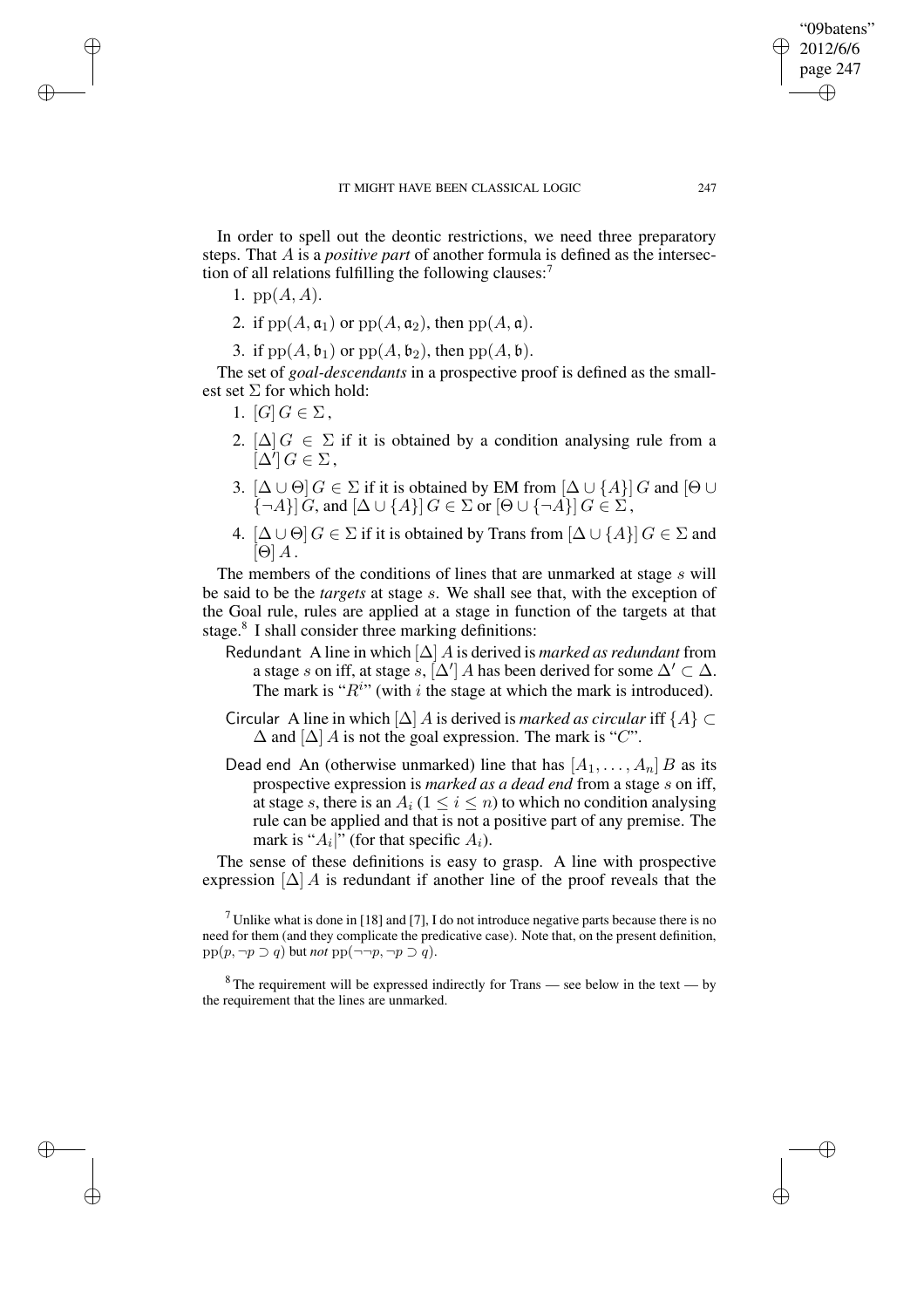In order to spell out the deontic restrictions, we need three preparatory steps. That A is a *positive part* of another formula is defined as the intersection of all relations fulfilling the following clauses: $<sup>7</sup>$ </sup>

1.  $pp(A, A)$ .

✐

✐

✐

✐

- 2. if  $pp(A, \mathfrak{a}_1)$  or  $pp(A, \mathfrak{a}_2)$ , then  $pp(A, \mathfrak{a})$ .
- 3. if  $pp(A, \mathfrak{b}_1)$  or  $pp(A, \mathfrak{b}_2)$ , then  $pp(A, \mathfrak{b})$ .

The set of *goal-descendants* in a prospective proof is defined as the smallest set  $\Sigma$  for which hold:

- 1.  $[G] G \in \Sigma$ ,
- 2.  $[\Delta] G \in \Sigma$  if it is obtained by a condition analysing rule from a  $\Delta'$ ]  $G \in \Sigma$ ,
- 3.  $[\Delta \cup \Theta]$   $G \in \Sigma$  if it is obtained by EM from  $[\Delta \cup \{A\}]$   $G$  and  $[\Theta \cup$  $\{\neg A\}$   $\{G$ , and  $\Delta \cup \{A\}$   $\{G \in \Sigma \text{ or } [\Theta \cup \{\neg A\}]$   $G \in \Sigma$ ,
- 4.  $[\Delta \cup \Theta]$   $G \in \Sigma$  if it is obtained by Trans from  $[\Delta \cup \{A\}]$   $G \in \Sigma$  and  $[\Theta] A$ .

The members of the conditions of lines that are unmarked at stage s will be said to be the *targets* at stage s. We shall see that, with the exception of the Goal rule, rules are applied at a stage in function of the targets at that stage.<sup>8</sup> I shall consider three marking definitions:

- Redundant A line in which  $[\Delta]$  A is derived is *marked as redundant* from a stage s on iff, at stage s,  $[\Delta']$  A has been derived for some  $\Delta' \subset \Delta$ . The mark is " $R^{i}$ " (with i the stage at which the mark is introduced).
- Circular A line in which  $[\Delta]$  A is derived is *marked as circular* iff  $\{A\} \subset$  $\Delta$  and  $[\Delta]$  A is not the goal expression. The mark is "C".
- Dead end An (otherwise unmarked) line that has  $[A_1, \ldots, A_n]$  B as its prospective expression is *marked as a dead end* from a stage s on iff, at stage s, there is an  $A_i$  ( $1 \le i \le n$ ) to which no condition analysing rule can be applied and that is not a positive part of any premise. The mark is " $A_i$ " (for that specific  $A_i$ ).

The sense of these definitions is easy to grasp. A line with prospective expression  $[\Delta]$  A is redundant if another line of the proof reveals that the

<sup>7</sup> Unlike what is done in [18] and [7], I do not introduce negative parts because there is no need for them (and they complicate the predicative case). Note that, on the present definition,  $pp(p, \neg p \supset q)$  but *not*  $pp(\neg \neg p, \neg p \supset q)$ .

 $8$ The requirement will be expressed indirectly for Trans — see below in the text — by the requirement that the lines are unmarked.

"09batens" 2012/6/6 page 247

✐

✐

✐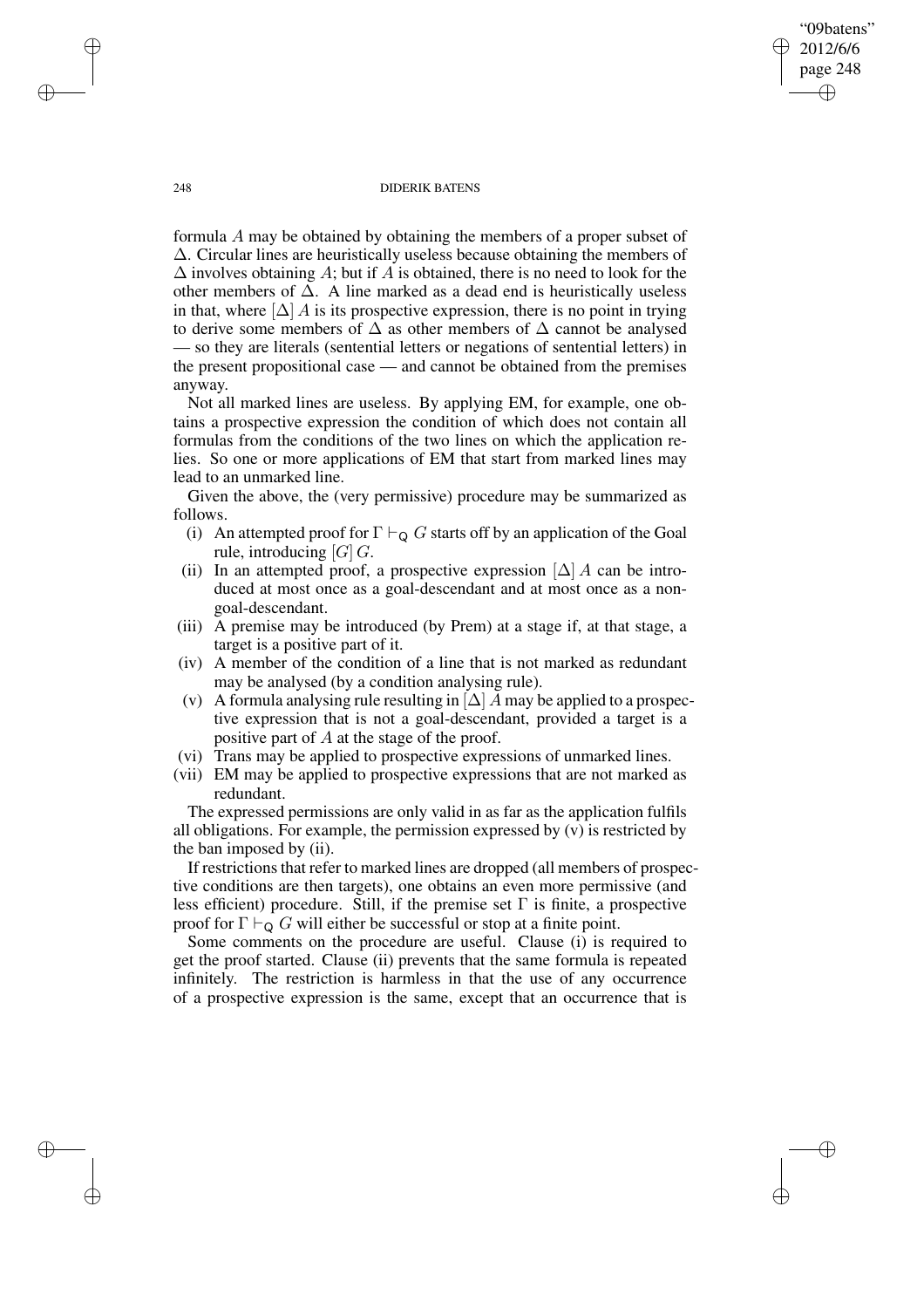"09batens" 2012/6/6 page 248 ✐ ✐

✐

✐

#### 248 DIDERIK BATENS

formula A may be obtained by obtaining the members of a proper subset of ∆. Circular lines are heuristically useless because obtaining the members of  $\Delta$  involves obtaining A; but if A is obtained, there is no need to look for the other members of  $\Delta$ . A line marked as a dead end is heuristically useless in that, where  $[\Delta]$  A is its prospective expression, there is no point in trying to derive some members of  $\Delta$  as other members of  $\Delta$  cannot be analysed — so they are literals (sentential letters or negations of sentential letters) in the present propositional case — and cannot be obtained from the premises anyway.

Not all marked lines are useless. By applying EM, for example, one obtains a prospective expression the condition of which does not contain all formulas from the conditions of the two lines on which the application relies. So one or more applications of EM that start from marked lines may lead to an unmarked line.

Given the above, the (very permissive) procedure may be summarized as follows.

- (i) An attempted proof for  $\Gamma \vdash_{\mathsf{Q}} G$  starts off by an application of the Goal rule, introducing  $[G]$  G.
- (ii) In an attempted proof, a prospective expression  $[\Delta] A$  can be introduced at most once as a goal-descendant and at most once as a nongoal-descendant.
- (iii) A premise may be introduced (by Prem) at a stage if, at that stage, a target is a positive part of it.
- (iv) A member of the condition of a line that is not marked as redundant may be analysed (by a condition analysing rule).
- (v) A formula analysing rule resulting in  $[\Delta]$  A may be applied to a prospective expression that is not a goal-descendant, provided a target is a positive part of A at the stage of the proof.
- (vi) Trans may be applied to prospective expressions of unmarked lines.
- (vii) EM may be applied to prospective expressions that are not marked as redundant.

The expressed permissions are only valid in as far as the application fulfils all obligations. For example, the permission expressed by (v) is restricted by the ban imposed by (ii).

If restrictions that refer to marked lines are dropped (all members of prospective conditions are then targets), one obtains an even more permissive (and less efficient) procedure. Still, if the premise set  $\Gamma$  is finite, a prospective proof for  $\Gamma \vdash_{\mathsf{Q}} G$  will either be successful or stop at a finite point.

Some comments on the procedure are useful. Clause (i) is required to get the proof started. Clause (ii) prevents that the same formula is repeated infinitely. The restriction is harmless in that the use of any occurrence of a prospective expression is the same, except that an occurrence that is

✐

✐

✐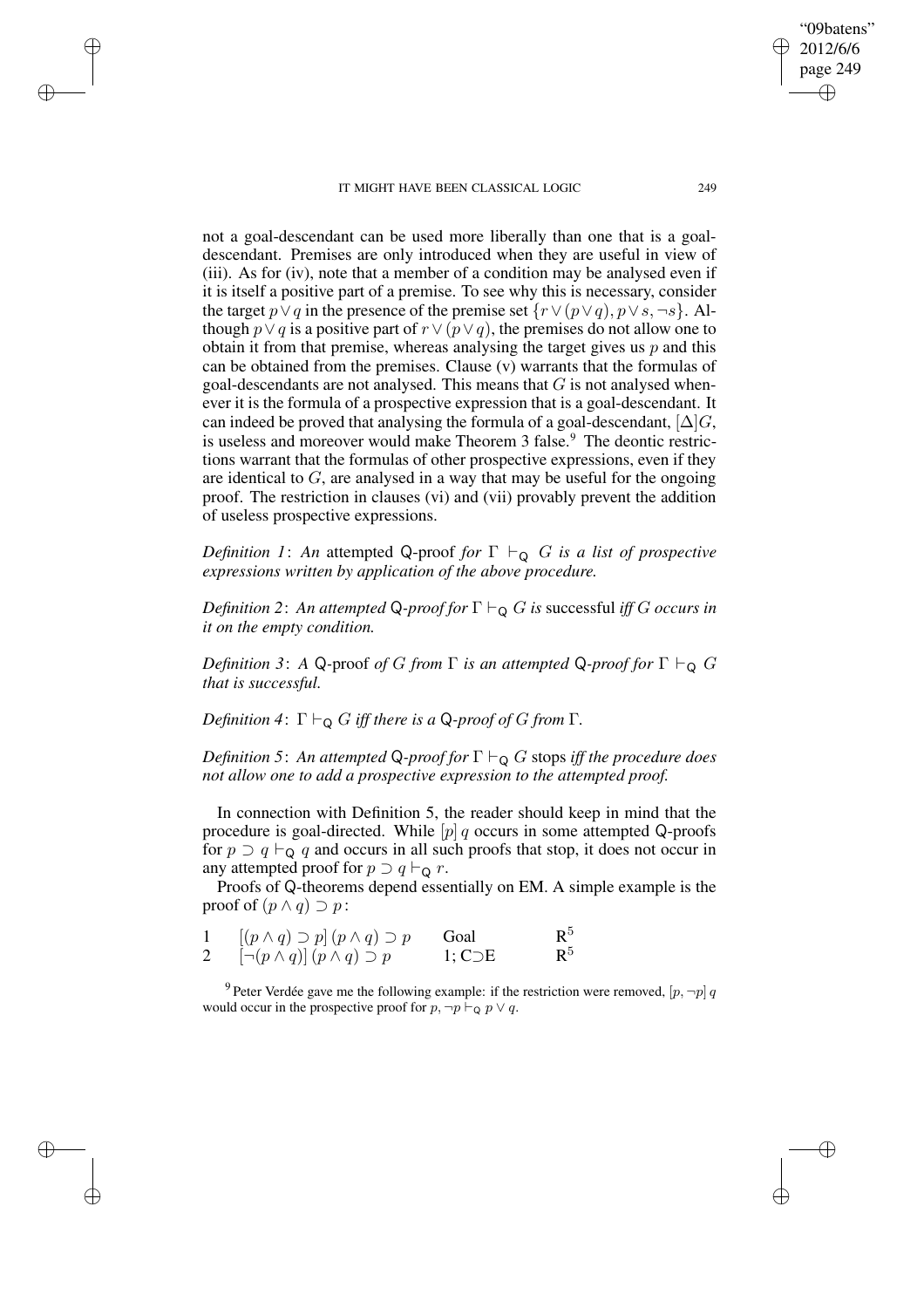✐

✐

✐

✐

not a goal-descendant can be used more liberally than one that is a goaldescendant. Premises are only introduced when they are useful in view of (iii). As for (iv), note that a member of a condition may be analysed even if it is itself a positive part of a premise. To see why this is necessary, consider the target  $p \vee q$  in the presence of the premise set  $\{r \vee (p \vee q), p \vee s, \neg s\}$ . Although  $p ∨ q$  is a positive part of  $r ∨ (p ∨ q)$ , the premises do not allow one to obtain it from that premise, whereas analysing the target gives us  $p$  and this can be obtained from the premises. Clause (v) warrants that the formulas of goal-descendants are not analysed. This means that  $G$  is not analysed whenever it is the formula of a prospective expression that is a goal-descendant. It can indeed be proved that analysing the formula of a goal-descendant,  $[\Delta]G$ , is useless and moreover would make Theorem 3 false.<sup>9</sup> The deontic restrictions warrant that the formulas of other prospective expressions, even if they are identical to  $G$ , are analysed in a way that may be useful for the ongoing proof. The restriction in clauses (vi) and (vii) provably prevent the addition of useless prospective expressions.

*Definition* 1: An attempted Q-proof *for*  $\Gamma \vdash_{\Omega} G$  *is a list of prospective expressions written by application of the above procedure.*

*Definition* 2: *An attempted* Q-*proof for*  $\Gamma \vdash_{\Omega} G$  *is* successful *iff* G *occurs in it on the empty condition.*

*Definition* 3: *A* Q-proof *of G from*  $\Gamma$  *is an attempted* Q-*proof for*  $\Gamma \vdash_{\mathsf{Q}} G$ *that is successful.*

*Definition* 4:  $\Gamma \vdash_Q G$  *iff there is a* Q-proof of G from  $\Gamma$ *.* 

*Definition* 5: An attempted Q-proof for  $\Gamma \vdash_{\mathsf{Q}} G$  stops *iff* the procedure does *not allow one to add a prospective expression to the attempted proof.*

In connection with Definition 5, the reader should keep in mind that the procedure is goal-directed. While  $[p] q$  occurs in some attempted Q-proofs for  $p \supset q \vdash_Q q$  and occurs in all such proofs that stop, it does not occur in any attempted proof for  $p \supset q \vdash_Q r$ .

Proofs of Q-theorems depend essentially on EM. A simple example is the proof of  $(p \land q) \supset p$ :

|   | $[(p \wedge q) \supset p](p \wedge q) \supset p$       | Goal            | $\mathrm{R}^5$ |
|---|--------------------------------------------------------|-----------------|----------------|
| 2 | $\left[\neg (p \wedge q)\right](p \wedge q) \supset p$ | $1; C\supset E$ | $\mathtt{R}^5$ |

<sup>9</sup> Peter Verdée gave me the following example: if the restriction were removed,  $[p, \neg p]q$ would occur in the prospective proof for  $p, \neg p \vdash_{\mathsf{Q}} p \lor q$ .

"09batens" 2012/6/6 page 249

✐

✐

✐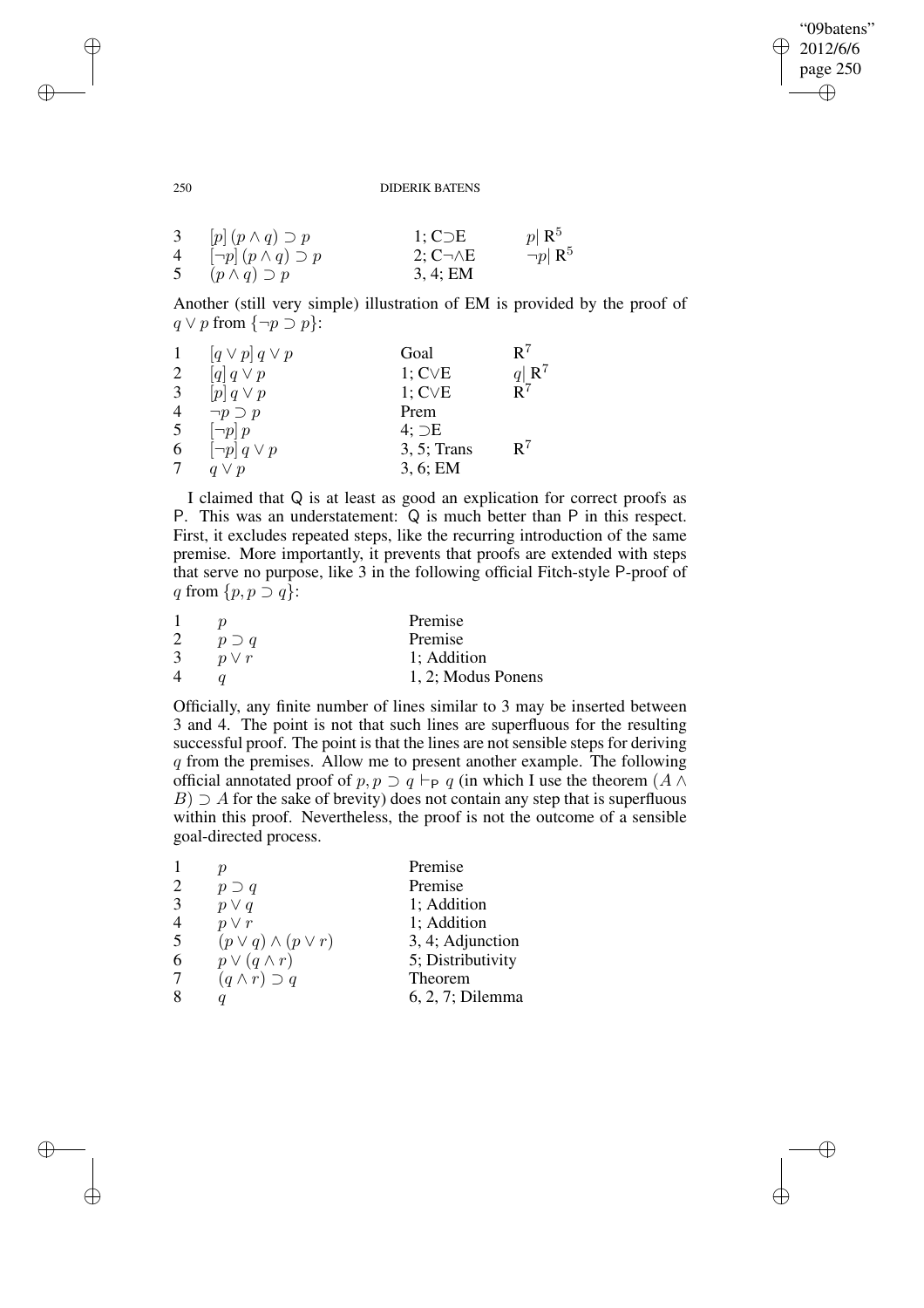✐

## 250 DIDERIK BATENS

| 3 <sup>7</sup> | $[p](p \wedge q) \supset p$        | $1; C\supset E$      | $ p  \mathbf{R}^5$       |
|----------------|------------------------------------|----------------------|--------------------------|
|                | 4 $[\neg p](p \wedge q) \supset p$ | $2; C \neg \wedge E$ | $\neg p \, \mathsf{R}^5$ |
|                | 5 $(p \wedge q) \supset p$         | 3, 4; EM             |                          |

Another (still very simple) illustration of EM is provided by the proof of  $q \lor p$  from  $\{\neg p \supset p\}$ :

|   | $\left[q \vee p\right] q \vee p$ | Goal           | R٦                       |
|---|----------------------------------|----------------|--------------------------|
| 2 | $[q] \, q \vee p$                | $1; C\vee E$   | $q \,   \, \mathbb{R}^7$ |
| 3 | $[p] \, q \vee p$                | $1; C\vee E$   | $\mathbf{R}^7$           |
| 4 | $\neg p \supset p$               | Prem           |                          |
| 5 | $\neg p$   $p$                   | $4; \supset E$ |                          |
| 6 | $\neg p \, q \vee p$             | $3, 5$ ; Trans | $\mathbf{R}^7$           |
| 7 | $q \vee p$                       | 3, 6; EM       |                          |

I claimed that Q is at least as good an explication for correct proofs as P. This was an understatement: Q is much better than P in this respect. First, it excludes repeated steps, like the recurring introduction of the same premise. More importantly, it prevents that proofs are extended with steps that serve no purpose, like 3 in the following official Fitch-style P-proof of q from  $\{p, p \supset q\}$ :

|   |               | Premise            |
|---|---------------|--------------------|
|   | $p \supset q$ | Premise            |
| 3 | $p \vee r$    | 1; Addition        |
| 4 |               | 1, 2; Modus Ponens |

Officially, any finite number of lines similar to 3 may be inserted between 3 and 4. The point is not that such lines are superfluous for the resulting successful proof. The point is that the lines are not sensible steps for deriving q from the premises. Allow me to present another example. The following official annotated proof of  $p, p \supset q \vdash_{\mathsf{P}} q$  (in which I use the theorem  $(A \wedge$  $B) \supseteq A$  for the sake of brevity) does not contain any step that is superfluous within this proof. Nevertheless, the proof is not the outcome of a sensible goal-directed process.

|                |                                | Premise           |
|----------------|--------------------------------|-------------------|
| $\overline{2}$ | $p \supset q$                  | Premise           |
| 3              | $p \vee q$                     | 1; Addition       |
|                | $p \vee r$                     | 1; Addition       |
| 5              | $(p \vee q) \wedge (p \vee r)$ | 3, 4; Adjunction  |
| 6              | $p \vee (q \wedge r)$          | 5; Distributivity |
|                | $(q \wedge r) \supset q$       | Theorem           |
|                |                                | 6, 2, 7; Dilemma  |
|                |                                |                   |

✐

✐

✐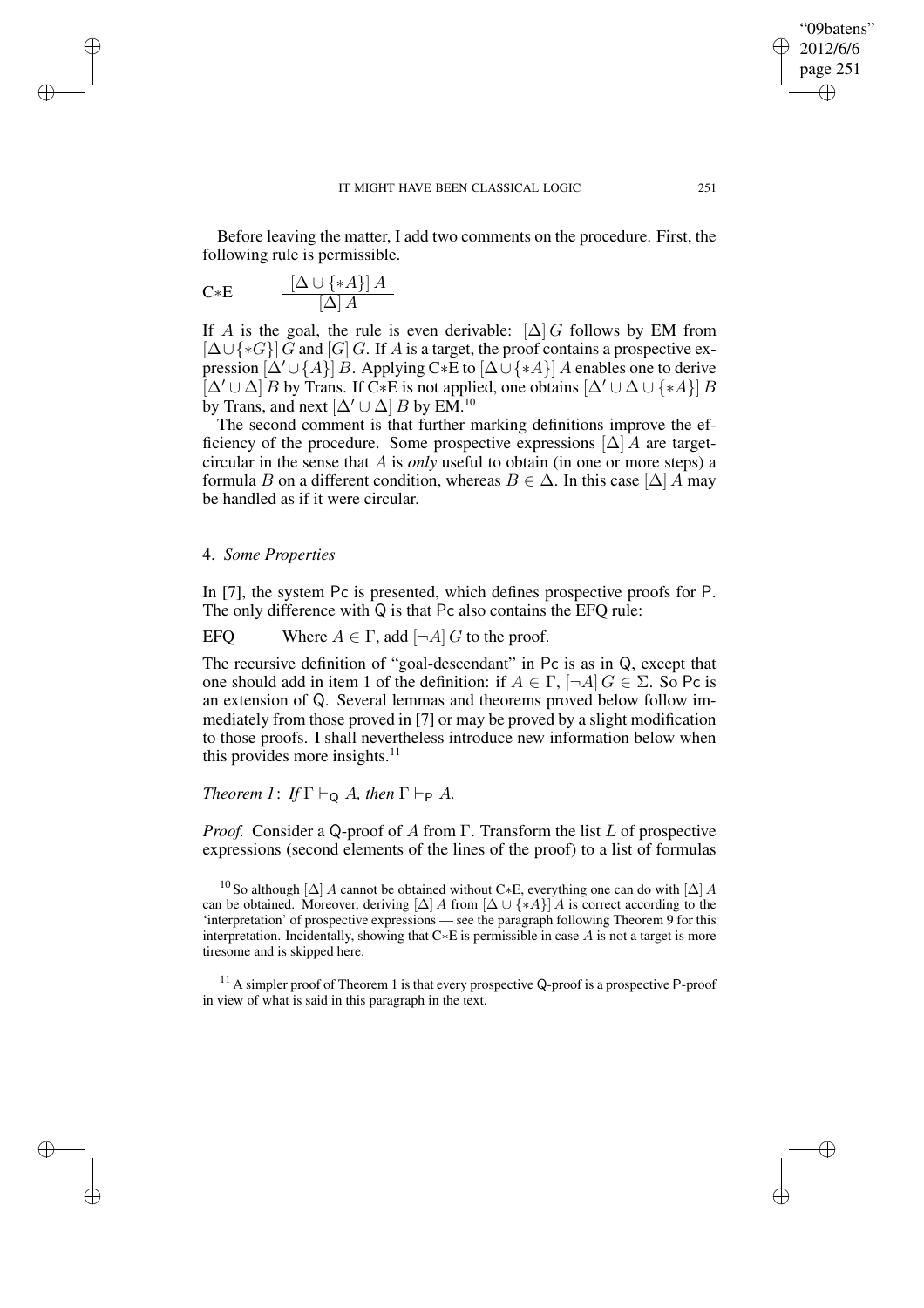Before leaving the matter, I add two comments on the procedure. First, the following rule is permissible.

$$
C * E \qquad \frac{[\Delta \cup \{ *A \} ] A}{[\Delta] A}
$$

✐

✐

✐

✐

If A is the goal, the rule is even derivable:  $[\Delta]$  G follows by EM from  $[\Delta \cup {\ast}G]$  G and  $[G]$  G. If A is a target, the proof contains a prospective expression  $[\Delta' \cup \{A\}]$  B. Applying C∗E to  $[\Delta \cup \{A\}]$  A enables one to derive  $[\Delta' \cup \Delta]$  B by Trans. If C∗E is not applied, one obtains  $[\Delta' \cup \Delta \cup \{ *A \}]$  B by Trans, and next  $[\Delta' \cup \Delta] B$  by EM.<sup>10</sup>

The second comment is that further marking definitions improve the efficiency of the procedure. Some prospective expressions  $[\Delta]$  A are targetcircular in the sense that A is *only* useful to obtain (in one or more steps) a formula B on a different condition, whereas  $B \in \Delta$ . In this case  $[\Delta] A$  may be handled as if it were circular.

# 4. *Some Properties*

In [7], the system Pc is presented, which defines prospective proofs for P. The only difference with Q is that Pc also contains the EFQ rule:

EFQ Where  $A \in \Gamma$ , add  $[\neg A]$  G to the proof.

The recursive definition of "goal-descendant" in Pc is as in Q, except that one should add in item 1 of the definition: if  $A \in \Gamma$ ,  $\neg A \mid G \in \Sigma$ . So Pc is an extension of Q. Several lemmas and theorems proved below follow immediately from those proved in [7] or may be proved by a slight modification to those proofs. I shall nevertheless introduce new information below when this provides more insights. $11$ 

# *Theorem* 1: *If*  $\Gamma \vdash_{\mathsf{Q}} A$ *, then*  $\Gamma \vdash_{\mathsf{P}} A$ *.*

*Proof.* Consider a Q-proof of A from Γ. Transform the list L of prospective expressions (second elements of the lines of the proof) to a list of formulas

<sup>10</sup> So although [ $\Delta$ ] A cannot be obtained without C∗E, everything one can do with [ $\Delta$ ] A can be obtained. Moreover, deriving  $[\Delta] A$  from  $[\Delta \cup {\{ *A \}}] A$  is correct according to the 'interpretation' of prospective expressions — see the paragraph following Theorem 9 for this interpretation. Incidentally, showing that C∗E is permissible in case A is not a target is more tiresome and is skipped here.

<sup>11</sup> A simpler proof of Theorem 1 is that every prospective Q-proof is a prospective P-proof in view of what is said in this paragraph in the text.

"09batens" 2012/6/6 page 251

✐

✐

✐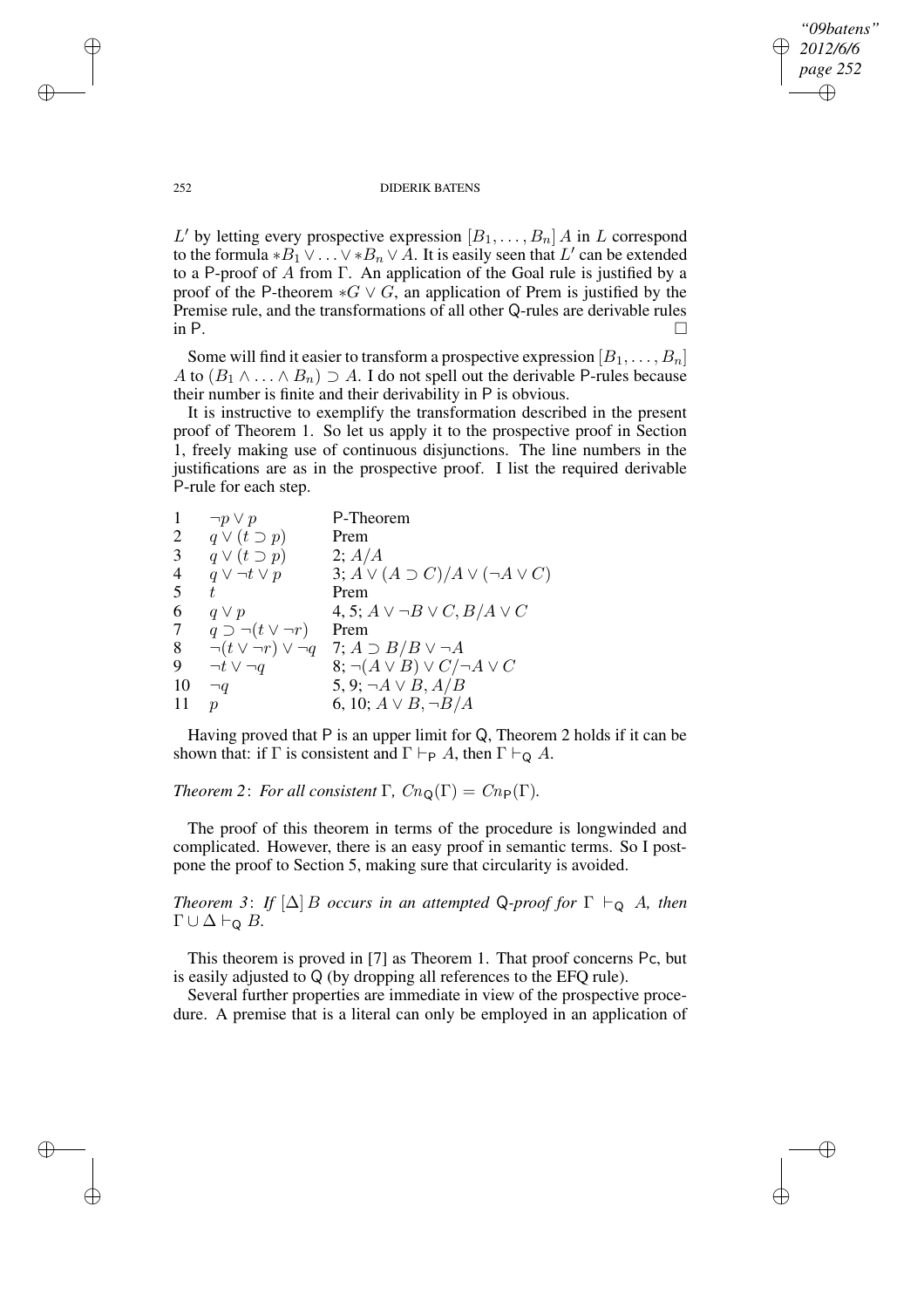*"09batens" 2012/6/6 page 252* ✐ ✐

✐

✐

#### 252 DIDERIK BATENS

L' by letting every prospective expression  $[B_1, \ldots, B_n]$  A in L correspond to the formula \* $B_1 \vee \ldots \vee B_n \vee A$ . It is easily seen that L' can be extended to a P-proof of A from Γ. An application of the Goal rule is justified by a proof of the P-theorem  $*G \vee G$ , an application of Prem is justified by the Premise rule, and the transformations of all other Q-rules are derivable rules in P.  $\Box$ 

Some will find it easier to transform a prospective expression  $[B_1, \ldots, B_n]$ A to  $(B_1 \wedge \ldots \wedge B_n) \supseteq A$ . I do not spell out the derivable P-rules because their number is finite and their derivability in P is obvious.

It is instructive to exemplify the transformation described in the present proof of Theorem 1. So let us apply it to the prospective proof in Section 1, freely making use of continuous disjunctions. The line numbers in the justifications are as in the prospective proof. I list the required derivable P-rule for each step.

| 1              | $\neg p \vee p$                   | P-Theorem                                        |
|----------------|-----------------------------------|--------------------------------------------------|
| $\overline{2}$ | $q \vee (t \supset p)$            | Prem                                             |
| 3              | $q \vee (t \supset p)$            | 2; A/A                                           |
| 4              | $q \vee \neg t \vee p$            | 3; $A \vee (A \supset C)/A \vee (\neg A \vee C)$ |
| 5              | t.                                | Prem                                             |
| 6              | $q \vee p$                        | 4, 5; $A \vee \neg B \vee C$ , $B/A \vee C$      |
| $\overline{7}$ | $q \supset \neg(t \vee \neg r)$   | Prem                                             |
| 8              | $\neg(t \vee \neg r) \vee \neg q$ | 7; $A \supset B/B \vee \neg A$                   |
| 9              | $\neg t \vee \neg q$              | $(8; \neg(A \vee B) \vee C) \neg A \vee C$       |
| 10             | $\neg q$                          | 5, 9; $\neg A \lor B$ , $A/B$                    |
| 11             | ŋ                                 | 6, 10; $A \vee B$ , $\neg B/A$                   |
|                |                                   |                                                  |

Having proved that P is an upper limit for Q, Theorem 2 holds if it can be shown that: if  $\Gamma$  is consistent and  $\Gamma \vdash_{\mathsf{P}} A$ , then  $\Gamma \vdash_{\mathsf{Q}} A$ .

*Theorem* 2: *For all consistent*  $\Gamma$ *, Cn*<sub>Q</sub>( $\Gamma$ ) = Cn<sub>P</sub>( $\Gamma$ )*.* 

The proof of this theorem in terms of the procedure is longwinded and complicated. However, there is an easy proof in semantic terms. So I postpone the proof to Section 5, making sure that circularity is avoided.

*Theorem* 3: *If*  $[\Delta]$  *B occurs in an attempted* Q-*proof for*  $\Gamma \vdash_{\mathbf{Q}} A$ *, then*  $\Gamma \cup \Delta \vdash_{\mathsf{Q}} B$ .

This theorem is proved in [7] as Theorem 1. That proof concerns Pc, but is easily adjusted to Q (by dropping all references to the EFQ rule).

Several further properties are immediate in view of the prospective procedure. A premise that is a literal can only be employed in an application of

✐

✐

✐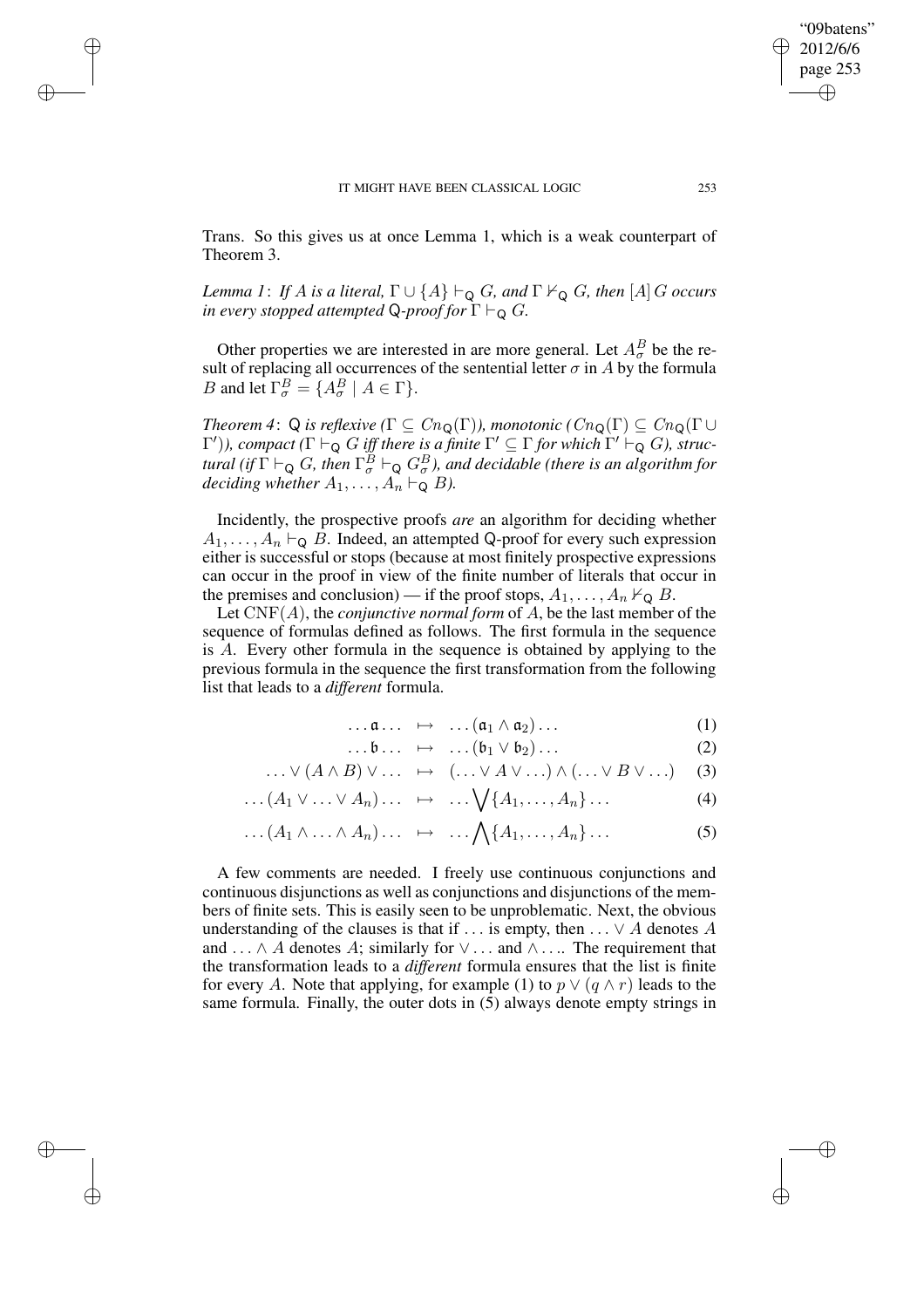✐

✐

✐

Trans. So this gives us at once Lemma 1, which is a weak counterpart of Theorem 3.

*Lemma* 1: *If A is a literal*,  $\Gamma \cup \{A\} \vdash_{\mathbb{Q}} G$ *, and*  $\Gamma \nvdash_{\mathbb{Q}} G$ *, then*  $[A]$  *G occurs in every stopped attempted* Q-*proof for*  $\Gamma \vdash_{\mathsf{Q}} G$ *.* 

Other properties we are interested in are more general. Let  $A^B_\sigma$  be the result of replacing all occurrences of the sentential letter  $\sigma$  in  $A$  by the formula B and let  $\Gamma^B_\sigma = \{A^B_\sigma \mid A \in \Gamma\}.$ 

*Theorem* 4: Q *is reflexive*  $(\Gamma \subseteq Cn_Q(\Gamma))$ *, monotonic*  $(Cn_Q(\Gamma) \subseteq Cn_Q(\Gamma)$  $(\Gamma')$ ), *compact*  $(\Gamma \vdash_{\mathsf{Q}} G$  *iff there is a finite*  $\Gamma' \subseteq \Gamma$  *for which*  $\Gamma' \vdash_{\mathsf{Q}} G$ ), *struc* $t$ ural (if  $\Gamma \vdash_{\mathsf{Q}} G$ , then  $\Gamma_\sigma^B \vdash_{\mathsf{Q}} G_\sigma^B$ ), and decidable (there is an algorithm for *deciding whether*  $A_1, \ldots, A_n \vdash_{\mathsf{Q}} B$ *).* 

Incidently, the prospective proofs *are* an algorithm for deciding whether  $A_1, \ldots, A_n \vdash_{\mathsf{Q}} B$ . Indeed, an attempted Q-proof for every such expression either is successful or stops (because at most finitely prospective expressions can occur in the proof in view of the finite number of literals that occur in the premises and conclusion) — if the proof stops,  $A_1, \ldots, A_n \nvdash_{\mathbf{Q}} B$ .

Let CNF(A), the *conjunctive normal form* of A, be the last member of the sequence of formulas defined as follows. The first formula in the sequence is A. Every other formula in the sequence is obtained by applying to the previous formula in the sequence the first transformation from the following list that leads to a *different* formula.

$$
\dots \mathfrak{a} \dots \mapsto \dots (\mathfrak{a}_1 \wedge \mathfrak{a}_2) \dots \tag{1}
$$

$$
\dots \mathfrak{b} \dots \ \mapsto \ \dots (\mathfrak{b}_1 \vee \mathfrak{b}_2) \dots \tag{2}
$$

$$
\ldots \vee (A \wedge B) \vee \ldots \quad \mapsto \quad (\ldots \vee A \vee \ldots) \wedge (\ldots \vee B \vee \ldots) \tag{3}
$$

$$
\dots (A_1 \vee \dots \vee A_n) \dots \mapsto \dots \bigvee \{A_1, \dots, A_n\} \dots \tag{4}
$$

$$
\dots (A_1 \wedge \dots \wedge A_n) \dots \mapsto \dots \wedge \{A_1, \dots, A_n\} \dots \tag{5}
$$

A few comments are needed. I freely use continuous conjunctions and continuous disjunctions as well as conjunctions and disjunctions of the members of finite sets. This is easily seen to be unproblematic. Next, the obvious understanding of the clauses is that if  $\dots$  is empty, then  $\dots \vee A$  denotes A and  $\ldots \wedge A$  denotes A; similarly for  $\vee \ldots$  and  $\wedge \ldots$  The requirement that the transformation leads to a *different* formula ensures that the list is finite for every A. Note that applying, for example (1) to  $p \vee (q \wedge r)$  leads to the same formula. Finally, the outer dots in (5) always denote empty strings in

"09batens" 2012/6/6 page 253

✐

✐

✐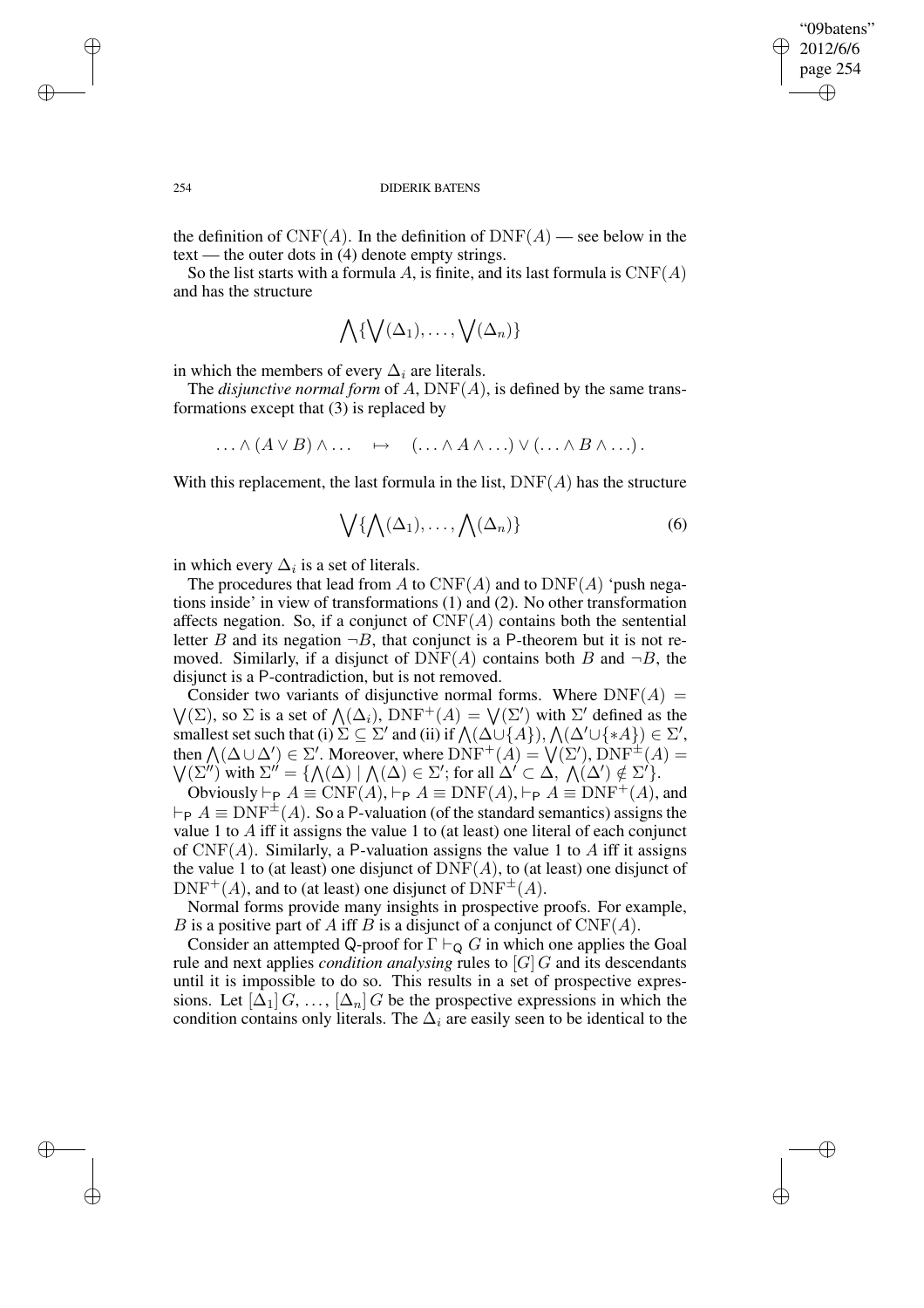✐

#### 254 DIDERIK BATENS

the definition of  $CNF(A)$ . In the definition of  $DNF(A)$  — see below in the text — the outer dots in (4) denote empty strings.

So the list starts with a formula A, is finite, and its last formula is  $CNF(A)$ and has the structure

$$
\bigwedge \{\bigvee(\Delta_1),\ldots,\bigvee(\Delta_n)\}
$$

in which the members of every  $\Delta_i$  are literals.

The *disjunctive normal form* of  $A$ ,  $DNF(A)$ , is defined by the same transformations except that (3) is replaced by

$$
\ldots \wedge (A \vee B) \wedge \ldots \quad \mapsto \quad (\ldots \wedge A \wedge \ldots) \vee (\ldots \wedge B \wedge \ldots).
$$

With this replacement, the last formula in the list,  $DNF(A)$  has the structure

$$
\bigvee \{ \bigwedge (\Delta_1), \dots, \bigwedge (\Delta_n) \} \tag{6}
$$

in which every  $\Delta_i$  is a set of literals.

The procedures that lead from A to  $CNF(A)$  and to  $DNF(A)$  'push negations inside' in view of transformations (1) and (2). No other transformation affects negation. So, if a conjunct of  $CNF(A)$  contains both the sentential letter B and its negation  $\neg B$ , that conjunct is a P-theorem but it is not removed. Similarly, if a disjunct of  $\text{DNF}(A)$  contains both B and  $\neg B$ , the disjunct is a P-contradiction, but is not removed.

Consider two variants of disjunctive normal forms. Where  $DNF(A) =$  $\bigvee(\Sigma)$ , so  $\Sigma$  is a set of  $\bigwedge(\Delta_i)$ ,  $\text{DNF}^+(A) = \bigvee(\Sigma')$  with  $\Sigma'$  defined as the smallest set such that (i)  $\Sigma \subseteq \Sigma'$  and (ii) if  $\bigwedge(\Delta \cup \{A\}), \bigwedge(\Delta' \cup \{A\}) \in \Sigma'$ , then  $\Lambda(\Delta \cup \Delta') \in \Sigma'$ . Moreover, where  $\text{DNF}^+(A) = \bigvee(\Sigma')$ ,  $\text{DNF}^{\pm}(A) =$  $\bigvee (\Sigma'')$  with  $\Sigma'' = {\bigwedge (\Delta) | \bigwedge (\Delta) \in \Sigma' ; \text{ for all } \Delta' \subset \Delta, \bigwedge (\Delta') \notin \Sigma' \bigwedge}.$ 

Obviously  $\vdash_{\mathsf{P}} A \equiv \text{CNF}(A), \vdash_{\mathsf{P}} A \equiv \text{DNF}(A), \vdash_{\mathsf{P}} A \equiv \text{DNF}^+(A)$ , and  $\vdash_{\mathsf{P}} A \equiv \text{DNF}^{\pm}(A)$ . So a P-valuation (of the standard semantics) assigns the value 1 to  $\hat{A}$  iff it assigns the value 1 to (at least) one literal of each conjunct of  $CNF(A)$ . Similarly, a P-valuation assigns the value 1 to A iff it assigns the value 1 to (at least) one disjunct of  $\text{DNF}(A)$ , to (at least) one disjunct of  $DNF^+(A)$ , and to (at least) one disjunct of  $DNF^{\pm}(A)$ .

Normal forms provide many insights in prospective proofs. For example, B is a positive part of A iff B is a disjunct of a conjunct of  $CNF(A)$ .

Consider an attempted Q-proof for  $\Gamma \vdash_{\Omega} G$  in which one applies the Goal rule and next applies *condition analysing* rules to [G] G and its descendants until it is impossible to do so. This results in a set of prospective expressions. Let  $[\Delta_1]$  G, ...,  $[\Delta_n]$  G be the prospective expressions in which the condition contains only literals. The  $\Delta_i$  are easily seen to be identical to the

✐

✐

✐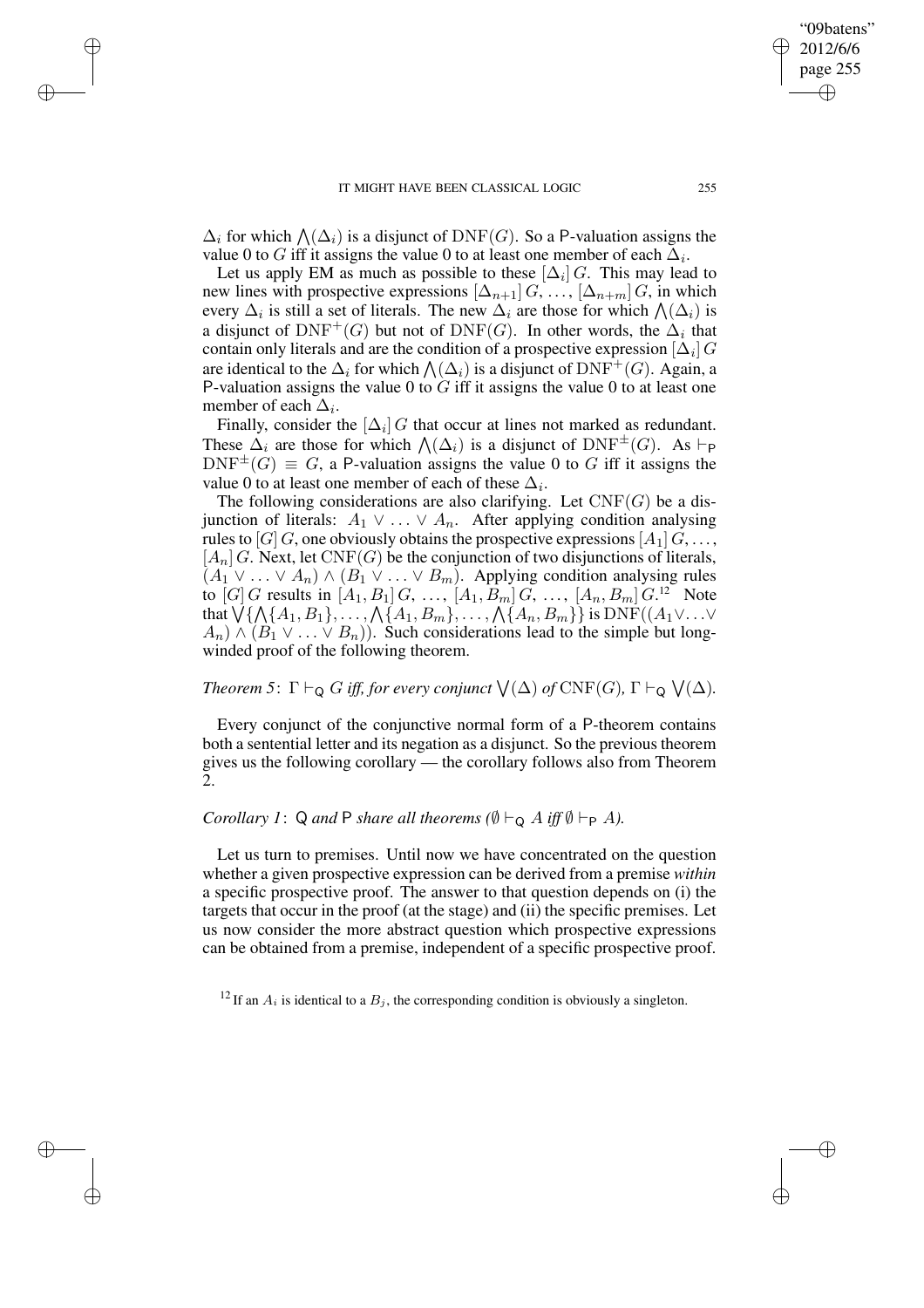✐

✐

✐

 $\Delta_i$  for which  $\bigwedge(\Delta_i)$  is a disjunct of DNF(G). So a P-valuation assigns the value 0 to G iff it assigns the value 0 to at least one member of each  $\Delta_i$ .

Let us apply EM as much as possible to these  $[\Delta_i] G$ . This may lead to new lines with prospective expressions  $[\Delta_{n+1}] G, \ldots, [\Delta_{n+m}] G$ , in which every  $\Delta_i$  is still a set of literals. The new  $\Delta_i$  are those for which  $\bigwedge(\Delta_i)$  is a disjunct of  $\text{DNF}^+(G)$  but not of  $\text{DNF}(G)$ . In other words, the  $\Delta_i$  that contain only literals and are the condition of a prospective expression  $[\Delta_i]$   $G$ are identical to the  $\Delta_i$  for which  $\bigwedge(\Delta_i)$  is a disjunct of  $\text{DNF}^+(G)$ . Again, a P-valuation assigns the value 0 to  $G$  iff it assigns the value 0 to at least one member of each  $\Delta_i$ .

Finally, consider the  $[\Delta_i]$  G that occur at lines not marked as redundant. These  $\Delta_i$  are those for which  $\bigwedge(\Delta_i)$  is a disjunct of DNF<sup> $\pm$ </sup>(G). As  $\vdash_{\mathsf{P}}$  $DNF^{\pm}(G) \equiv G$ , a P-valuation assigns the value 0 to G iff it assigns the value 0 to at least one member of each of these  $\Delta_i$ .

The following considerations are also clarifying. Let  $CNF(G)$  be a disjunction of literals:  $A_1 \vee \ldots \vee A_n$ . After applying condition analysing rules to [G] G, one obviously obtains the prospective expressions  $[A_1]$   $G, \ldots$ ,  $[A_n]$  G. Next, let  $CNF(G)$  be the conjunction of two disjunctions of literals,  $(A_1 \vee \ldots \vee A_n) \wedge (B_1 \vee \ldots \vee B_m)$ . Applying condition analysing rules to [G] G results in  $[A_1, B_1]$  G, ...,  $[A_1, B_m]$  G, ...,  $[A_n, B_m]$  G.<sup>12</sup> Note that  $\bigvee\{\bigwedge\{A_1,B_1\},\ldots,\bigwedge\{A_1,B_m\},\ldots,\bigwedge\{A_n,B_m\}\}$  is  $\mathrm{DNF}((A_1\vee\ldots\vee$  $(A_n) \wedge (B_1 \vee \ldots \vee B_n)$ . Such considerations lead to the simple but longwinded proof of the following theorem.

*Theorem* 5:  $\Gamma \vdash_Q G$  *iff, for every conjunct*  $\bigvee(\Delta)$  *of*  $\text{CNF}(G)$ ,  $\Gamma \vdash_Q \bigvee(\Delta)$ *.* 

Every conjunct of the conjunctive normal form of a P-theorem contains both a sentential letter and its negation as a disjunct. So the previous theorem gives us the following corollary — the corollary follows also from Theorem 2.

# *Corollary 1*: Q *and* P *share all theorems*  $(\emptyset \vdash_{\mathsf{Q}} A$  *iff*  $\emptyset \vdash_{\mathsf{P}} A$ *).*

Let us turn to premises. Until now we have concentrated on the question whether a given prospective expression can be derived from a premise *within* a specific prospective proof. The answer to that question depends on (i) the targets that occur in the proof (at the stage) and (ii) the specific premises. Let us now consider the more abstract question which prospective expressions can be obtained from a premise, independent of a specific prospective proof.

<sup>12</sup> If an  $A_i$  is identical to a  $B_j$ , the corresponding condition is obviously a singleton.

"09batens" 2012/6/6 page 255

✐

✐

✐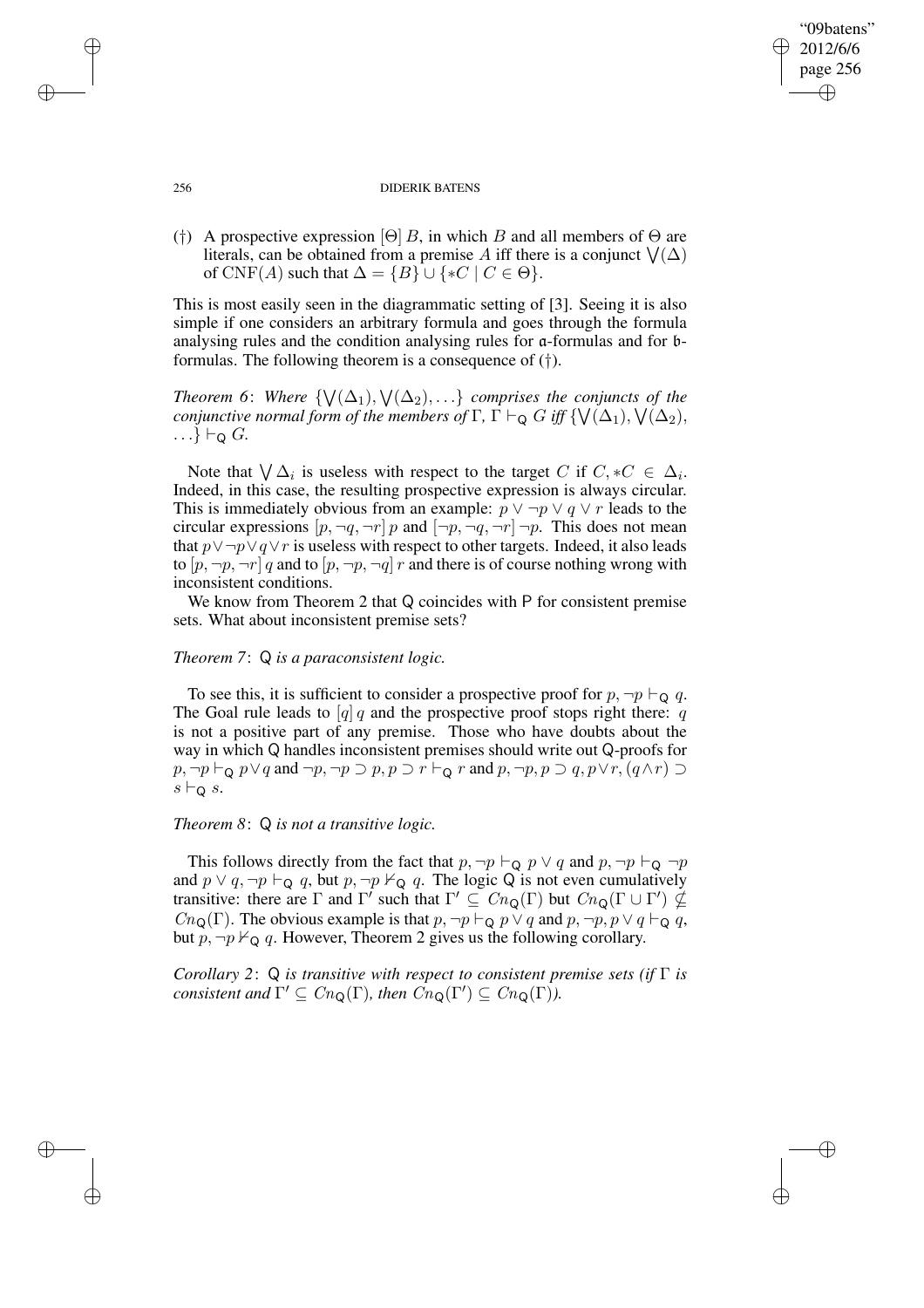## "09batens" 2012/6/6 page 256 ✐ ✐

✐

✐

#### 256 DIDERIK BATENS

(†) A prospective expression [Θ] B, in which B and all members of  $\Theta$  are literals, can be obtained from a premise A iff there is a conjunct  $\bigvee(\Delta)$ of CNF(A) such that  $\Delta = \{B\} \cup \{ *C \mid C \in \Theta \}.$ 

This is most easily seen in the diagrammatic setting of [3]. Seeing it is also simple if one considers an arbitrary formula and goes through the formula analysing rules and the condition analysing rules for a-formulas and for bformulas. The following theorem is a consequence of (†).

*Theorem* 6: Where  $\{\setminus\}(\Delta_1), \setminus\{(\Delta_2), \ldots\}$  *comprises the conjuncts of the conjunctive normal form of the members of*  $\Gamma$ ,  $\Gamma \vdash_{\mathsf{Q}} G$  *iff*  $\{ \mathsf{V}(\Delta_1), \mathsf{V}(\Delta_2),$  $\ldots \} \vdash_{\Omega} G$ .

Note that  $\bigvee \Delta_i$  is useless with respect to the target C if  $C, *C \in \Delta_i$ . Indeed, in this case, the resulting prospective expression is always circular. This is immediately obvious from an example:  $p \lor \neg p \lor q \lor r$  leads to the circular expressions  $[p, \neg q, \neg r] p$  and  $[\neg p, \neg q, \neg r] \neg p$ . This does not mean that  $p \lor \neg p \lor q \lor r$  is useless with respect to other targets. Indeed, it also leads to  $[p, \neg p, \neg r]$  q and to  $[p, \neg p, \neg q]$  r and there is of course nothing wrong with inconsistent conditions.

We know from Theorem 2 that Q coincides with P for consistent premise sets. What about inconsistent premise sets?

## *Theorem 7*: Q *is a paraconsistent logic.*

To see this, it is sufficient to consider a prospective proof for  $p, \neg p \vdash_{\mathsf{Q}} q$ . The Goal rule leads to  $[q]$  q and the prospective proof stops right there: q is not a positive part of any premise. Those who have doubts about the way in which Q handles inconsistent premises should write out Q-proofs for  $p, \neg p \vdash_{\mathsf{Q}} p \lor q$  and  $\neg p, \neg p \supset p, p \supset r \vdash_{\mathsf{Q}} r$  and  $p, \neg p, p \supset q, p \lor r, (q \land r) \supset$  $s \vdash_{\mathsf{Q}} s$ .

# *Theorem 8*: Q *is not a transitive logic.*

This follows directly from the fact that  $p, \neg p \vdash_Q p \lor q$  and  $p, \neg p \vdash_Q \neg p$ and  $p \lor q$ ,  $\neg p \vdash_Q q$ , but  $p$ ,  $\neg p \nvdash_Q q$ . The logic Q is not even cumulatively transitive: there are  $\Gamma$  and  $\Gamma'$  such that  $\Gamma' \subseteq Cn_Q(\Gamma)$  but  $Cn_Q(\Gamma \cup \Gamma') \nsubseteq$  $Cn_{\mathbf{Q}}(\Gamma)$ . The obvious example is that  $p, \neg p \vdash_{\mathbf{Q}} p \lor q$  and  $p, \neg p, p \lor q \vdash_{\mathbf{Q}} q$ , but  $p, \neg p \nvdash_{\mathsf{Q}} q$ . However, Theorem 2 gives us the following corollary.

*Corollary 2*: Q *is transitive with respect to consistent premise sets (if* Γ *is consistent and*  $\Gamma' \subseteq Cn_Q(\Gamma)$ *, then*  $\overline{C}n_Q(\Gamma') \subseteq Cn_Q(\Gamma)$ *).* 

✐

✐

✐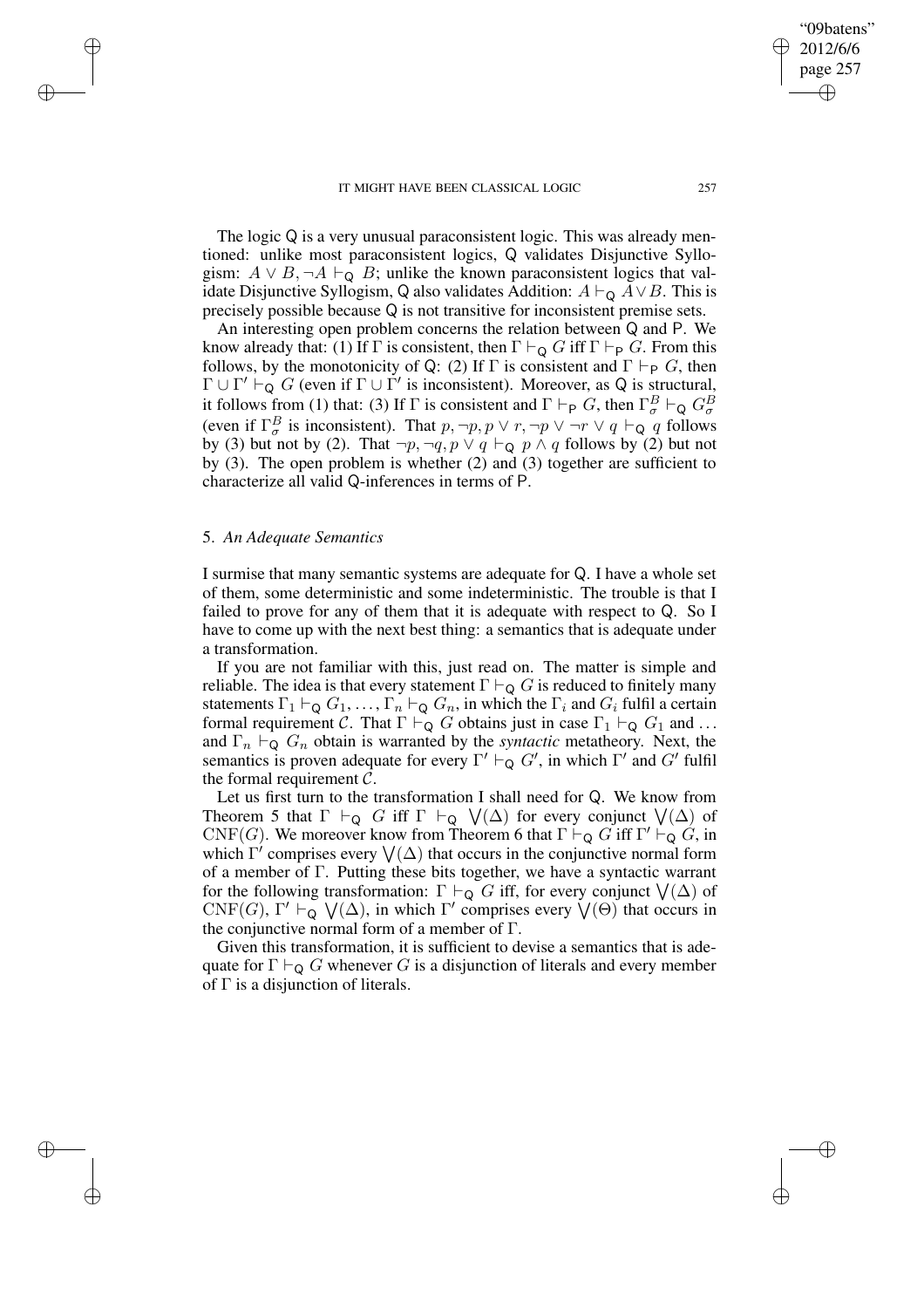The logic Q is a very unusual paraconsistent logic. This was already mentioned: unlike most paraconsistent logics, Q validates Disjunctive Syllogism:  $A \vee B$ , ¬ $A \vdash_{\mathsf{Q}} B$ ; unlike the known paraconsistent logics that validate Disjunctive Syllogism, Q also validates Addition:  $A \vdash_{\mathsf{Q}} A \vee B$ . This is precisely possible because Q is not transitive for inconsistent premise sets.

An interesting open problem concerns the relation between Q and P. We know already that: (1) If  $\Gamma$  is consistent, then  $\Gamma \vdash_{\mathsf{Q}} G$  iff  $\Gamma \vdash_{\mathsf{P}} G$ . From this follows, by the monotonicity of Q: (2) If  $\Gamma$  is consistent and  $\Gamma \vdash_{\mathsf{P}} G$ , then  $\Gamma \cup \Gamma' \vdash_Q G$  (even if  $\Gamma \cup \Gamma'$  is inconsistent). Moreover, as Q is structural, it follows from (1) that: (3) If  $\Gamma$  is consistent and  $\Gamma \vdash_{\mathsf{P}} G$ , then  $\Gamma^B_\sigma \vdash_{\mathsf{Q}} G^B_\sigma$ (even if  $\Gamma^B_\sigma$  is inconsistent). That  $p, \neg p, p \lor r, \neg p \lor \neg r \lor q \vdash_Q q$  follows by (3) but not by (2). That  $\neg p, \neg q, p \lor q \vdash_{\mathbf{Q}} p \land q$  follows by (2) but not by (3). The open problem is whether (2) and (3) together are sufficient to characterize all valid Q-inferences in terms of P.

# 5. *An Adequate Semantics*

✐

✐

✐

✐

I surmise that many semantic systems are adequate for Q. I have a whole set of them, some deterministic and some indeterministic. The trouble is that I failed to prove for any of them that it is adequate with respect to Q. So I have to come up with the next best thing: a semantics that is adequate under a transformation.

If you are not familiar with this, just read on. The matter is simple and reliable. The idea is that every statement  $\Gamma \vdash_Q G$  is reduced to finitely many statements  $\Gamma_1 \vdash_Q G_1, \ldots, \Gamma_n \vdash_Q G_n$ , in which the  $\Gamma_i$  and  $G_i$  fulfil a certain formal requirement C. That  $\Gamma \vdash_{\mathsf{Q}} G$  obtains just in case  $\Gamma_1 \vdash_{\mathsf{Q}} G_1$  and ... and  $\Gamma_n \vdash_Q G_n$  obtain is warranted by the *syntactic* metatheory. Next, the semantics is proven adequate for every  $\Gamma' \vdash_Q G'$ , in which  $\Gamma'$  and  $G'$  fulfil the formal requirement  $C$ .

Let us first turn to the transformation I shall need for Q. We know from Theorem 5 that  $\Gamma \vdash_Q G$  iff  $\Gamma \vdash_Q \bigvee(\Delta)$  for every conjunct  $\bigvee(\Delta)$  of CNF(G). We moreover know from Theorem 6 that  $\Gamma \vdash_Q G$  iff  $\Gamma' \vdash_Q G$ , in which  $\Gamma'$  comprises every  $\bigvee(\Delta)$  that occurs in the conjunctive normal form of a member of Γ. Putting these bits together, we have a syntactic warrant for the following transformation:  $\Gamma \vdash_Q G$  iff, for every conjunct  $\bigvee(\Delta)$  of CNF(G),  $\Gamma' \vdash_{\mathsf{Q}} \bigvee(\Delta)$ , in which  $\Gamma'$  comprises every  $\bigvee(\Theta)$  that occurs in the conjunctive normal form of a member of  $\Gamma$ .

Given this transformation, it is sufficient to devise a semantics that is adequate for  $\Gamma \vdash_{\mathsf{Q}} G$  whenever G is a disjunction of literals and every member of  $\Gamma$  is a disjunction of literals.

"09batens" 2012/6/6 page 257

✐

✐

✐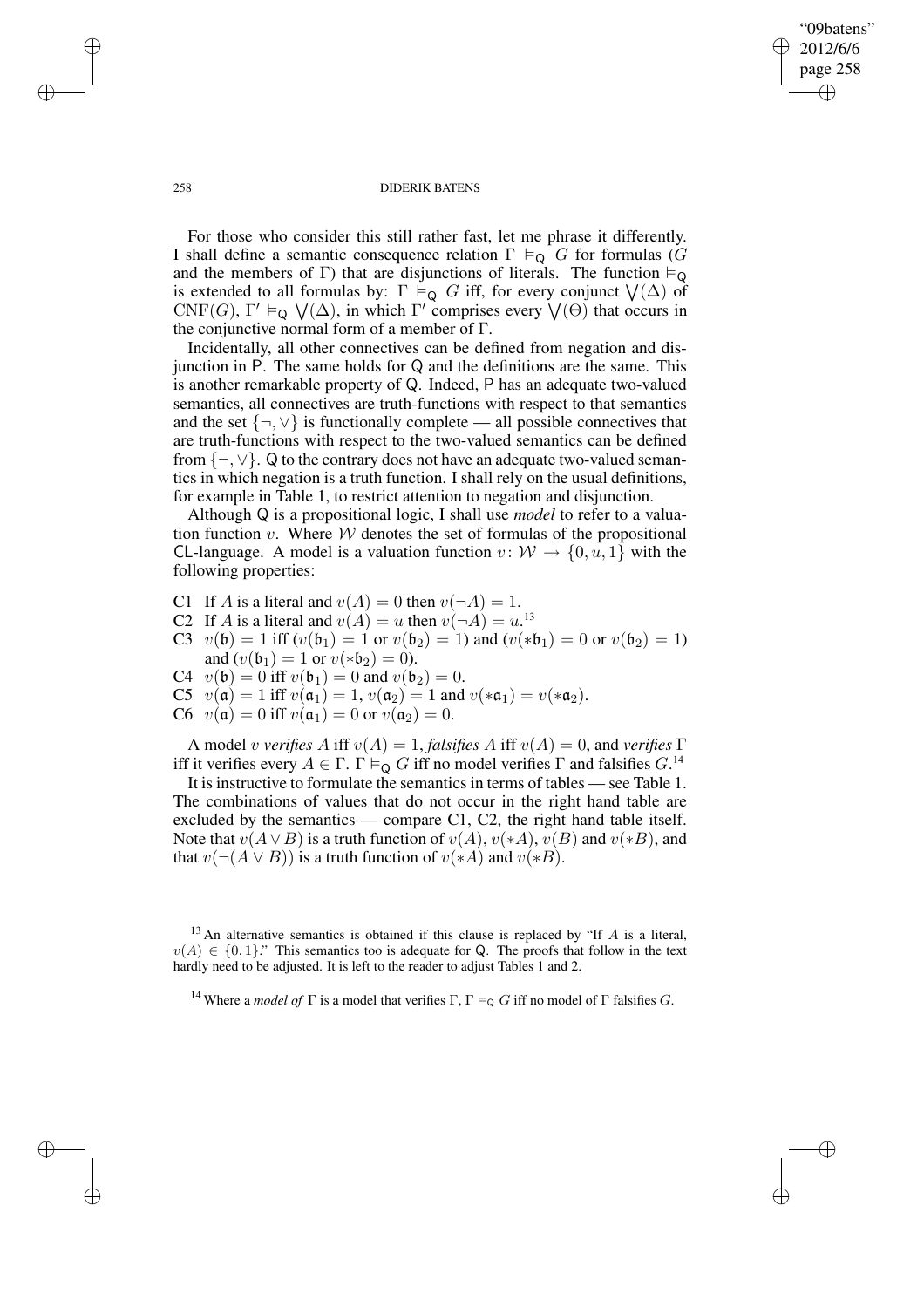"09batens" 2012/6/6 page 258 ✐ ✐

✐

✐

## 258 DIDERIK BATENS

For those who consider this still rather fast, let me phrase it differently. I shall define a semantic consequence relation  $\Gamma \vDash_{\mathsf{Q}} G$  for formulas (G and the members of Γ) that are disjunctions of literals. The function  $\models_Q$ is extended to all formulas by:  $\Gamma \stackrel{\sim}{\models}_Q G$  iff, for every conjunct  $\bigvee(\Delta)$  of CNF(G),  $\Gamma' \vDash_{\mathsf{Q}} \bigvee(\Delta)$ , in which  $\Gamma'$  comprises every  $\bigvee(\Theta)$  that occurs in the conjunctive normal form of a member of Γ.

Incidentally, all other connectives can be defined from negation and disjunction in P. The same holds for Q and the definitions are the same. This is another remarkable property of Q. Indeed, P has an adequate two-valued semantics, all connectives are truth-functions with respect to that semantics and the set  $\{\neg, \vee\}$  is functionally complete — all possible connectives that are truth-functions with respect to the two-valued semantics can be defined from  $\{\neg, \vee\}$ . Q to the contrary does not have an adequate two-valued semantics in which negation is a truth function. I shall rely on the usual definitions, for example in Table 1, to restrict attention to negation and disjunction.

Although Q is a propositional logic, I shall use *model* to refer to a valuation function  $v$ . Where  $W$  denotes the set of formulas of the propositional CL-language. A model is a valuation function  $v: \mathcal{W} \to \{0, u, 1\}$  with the following properties:

C1 If A is a literal and  $v(A) = 0$  then  $v(\neg A) = 1$ .

- C2 If A is a literal and  $v(A) = u$  then  $v(\neg A) = u$ .<sup>13</sup>
- C3  $v(\mathfrak{b}) = 1$  iff  $(v(\mathfrak{b}_1) = 1$  or  $v(\mathfrak{b}_2) = 1$ ) and  $(v(\ast \mathfrak{b}_1) = 0$  or  $v(\mathfrak{b}_2) = 1$ ) and  $(v(\mathfrak{b}_1) = 1$  or  $v(*\mathfrak{b}_2) = 0$ ).
- C4  $v(\mathfrak{b}) = 0$  iff  $v(\mathfrak{b}_1) = 0$  and  $v(\mathfrak{b}_2) = 0$ .
- C5  $v(\mathfrak{a}) = 1$  iff  $v(\mathfrak{a}_1) = 1$ ,  $v(\mathfrak{a}_2) = 1$  and  $v(*\mathfrak{a}_1) = v(*\mathfrak{a}_2)$ .
- C6  $v(\mathfrak{a}) = 0$  iff  $v(\mathfrak{a}_1) = 0$  or  $v(\mathfrak{a}_2) = 0$ .

A model *v verifies* A iff  $v(A) = 1$ , *falsifies* A iff  $v(A) = 0$ , and *verifies*  $\Gamma$ iff it verifies every  $A \in \Gamma$ .  $\Gamma \vDash_{\mathsf{Q}} G$  iff no model verifies  $\Gamma$  and falsifies  $G$ .<sup>14</sup>

It is instructive to formulate the semantics in terms of tables — see Table 1. The combinations of values that do not occur in the right hand table are excluded by the semantics — compare C1, C2, the right hand table itself. Note that  $v(A \vee B)$  is a truth function of  $v(A), v(*A), v(B)$  and  $v(*B)$ , and that  $v(\neg(A \lor B))$  is a truth function of  $v(*A)$  and  $v(*B)$ .

 $13$  An alternative semantics is obtained if this clause is replaced by "If A is a literal,  $v(A) \in \{0,1\}$ ." This semantics too is adequate for Q. The proofs that follow in the text hardly need to be adjusted. It is left to the reader to adjust Tables 1 and 2.

✐

✐

✐

<sup>&</sup>lt;sup>14</sup> Where a *model of*  $\Gamma$  is a model that verifies  $\Gamma$ ,  $\Gamma \vDash_{\mathbb{Q}} G$  iff no model of  $\Gamma$  falsifies G.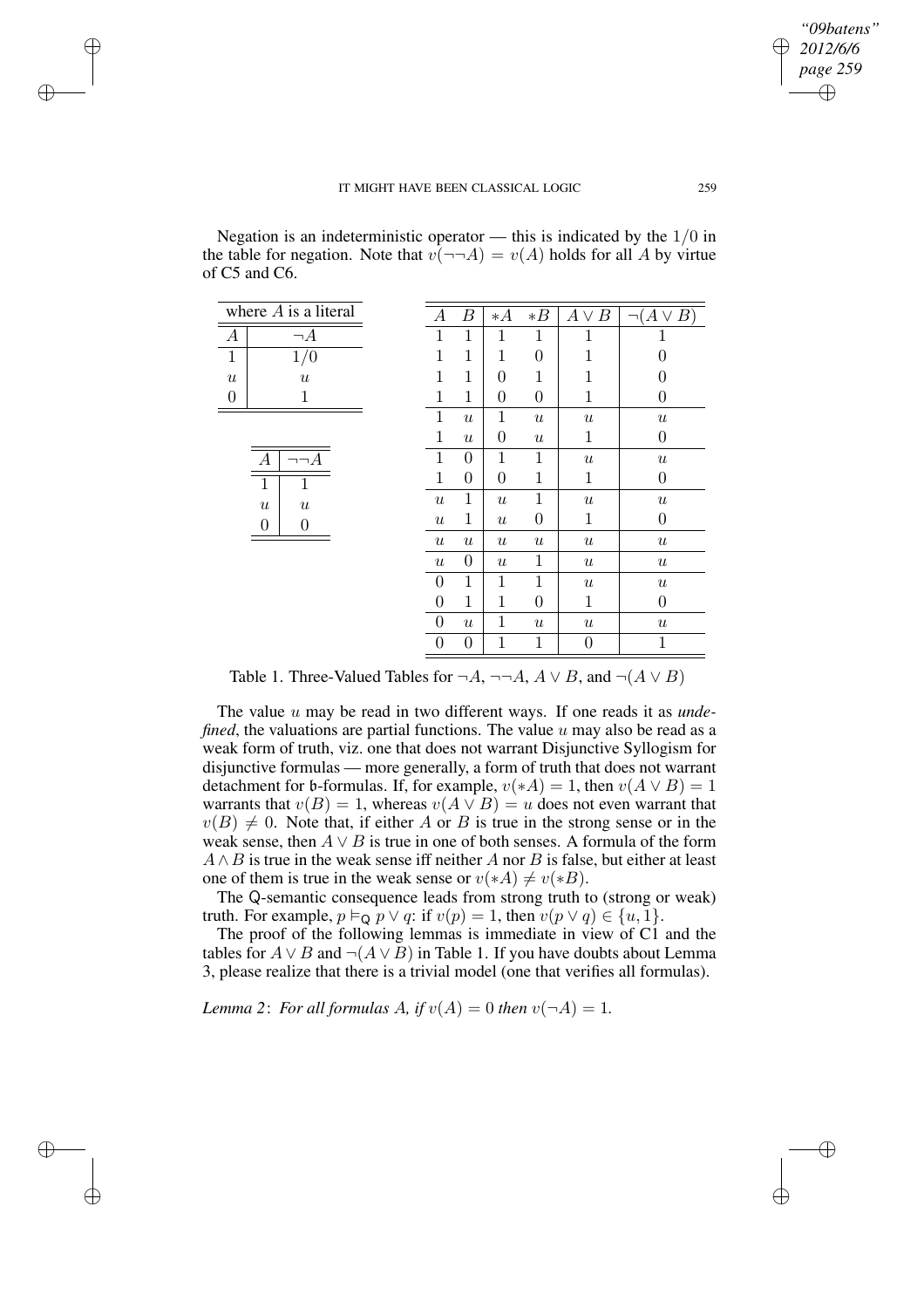✐

✐

✐

✐

✐

Negation is an indeterministic operator — this is indicated by the  $1/0$  in the table for negation. Note that  $v(\neg\neg A) = v(A)$  holds for all A by virtue of C5 and C6.

|                  | where $A$ is a literal               | А                         | Β                | $*$ A            | $*B$             | $\bm{A}$<br>$\vee$<br>В | ר $(A \vee B^\dagger)$ |
|------------------|--------------------------------------|---------------------------|------------------|------------------|------------------|-------------------------|------------------------|
| $\boldsymbol{A}$ | $\neg A$                             | $\mathbf{1}$              | $\mathbf 1$      | 1                | $\mathbf 1$      | 1                       | 1                      |
| $1\,$            | 1/0                                  | $\mathbf{1}$              | $\mathbf 1$      | $\mathbf{1}$     | $\overline{0}$   | 1                       | 0                      |
| $\boldsymbol{u}$ | $\boldsymbol{u}$                     | 1                         | 1                | $\overline{0}$   | $\mathbf 1$      | 1                       | 0                      |
| $\overline{0}$   | 1                                    | 1                         | 1                | $\overline{0}$   | $\overline{0}$   | 1                       | 0                      |
|                  |                                      | $\mathbf{1}$              | $\boldsymbol{u}$ | $\mathbf{1}$     | $\boldsymbol{u}$ | $\boldsymbol{u}$        | $\boldsymbol{u}$       |
|                  |                                      | $\mathbf{1}$              | $\boldsymbol{u}$ | $\boldsymbol{0}$ | $\boldsymbol{u}$ | 1                       | $\theta$               |
|                  | $\neg\neg A$<br>А                    | $\mathbf{1}$              | $\overline{0}$   | $\mathbf{1}$     | $\mathbf 1$      | $\boldsymbol{u}$        | $\boldsymbol{u}$       |
|                  | $\mathbf{1}$<br>1                    | $\mathbf{1}$              | $\boldsymbol{0}$ | $\overline{0}$   | $\mathbf 1$      | 1                       | $\theta$               |
|                  | $\boldsymbol{u}$<br>$\boldsymbol{u}$ | $\boldsymbol{\mathit{u}}$ | $\mathbf{1}$     | $\boldsymbol{u}$ | $\mathbf{1}$     | $\boldsymbol{u}$        | $\boldsymbol{u}$       |
|                  | $\Omega$<br>0                        | $\boldsymbol{\mathit{u}}$ | $\mathbf{1}$     | $\boldsymbol{u}$ | $\overline{0}$   | $\mathbf{1}$            | 0                      |
|                  |                                      | $\boldsymbol{u}$          | $\boldsymbol{u}$ | $\boldsymbol{u}$ | $\boldsymbol{u}$ | $\boldsymbol{u}$        | $\boldsymbol{u}$       |
|                  |                                      | $\boldsymbol{u}$          | $\boldsymbol{0}$ | $\boldsymbol{u}$ | 1                | $\boldsymbol{u}$        | $\boldsymbol{u}$       |
|                  |                                      | $\boldsymbol{0}$          | $\mathbf{1}$     | $\mathbf{1}$     | $\mathbf 1$      | $\boldsymbol{u}$        | $\boldsymbol{u}$       |
|                  |                                      | $\overline{0}$            | $\mathbf{1}$     | $\mathbf{1}$     | $\overline{0}$   | 1                       | $\overline{0}$         |
|                  |                                      | $\theta$                  | $\boldsymbol{u}$ | 1                | $\boldsymbol{u}$ | $\boldsymbol{u}$        | $\boldsymbol{u}$       |
|                  |                                      | $\theta$                  | $\boldsymbol{0}$ | 1                | $\mathbf 1$      | 0                       | $\mathbf 1$            |

Table 1. Three-Valued Tables for  $\neg A$ ,  $\neg \neg A$ ,  $A \lor B$ , and  $\neg (A \lor B)$ 

The value u may be read in two different ways. If one reads it as *undefined*, the valuations are partial functions. The value u may also be read as a weak form of truth, viz. one that does not warrant Disjunctive Syllogism for disjunctive formulas — more generally, a form of truth that does not warrant detachment for b-formulas. If, for example,  $v(*A) = 1$ , then  $v(A \vee B) = 1$ warrants that  $v(B) = 1$ , whereas  $v(A \vee B) = u$  does not even warrant that  $v(B) \neq 0$ . Note that, if either A or B is true in the strong sense or in the weak sense, then  $A \vee B$  is true in one of both senses. A formula of the form  $A \wedge B$  is true in the weak sense iff neither A nor B is false, but either at least one of them is true in the weak sense or  $v(*A) \neq v(*B)$ .

The Q-semantic consequence leads from strong truth to (strong or weak) truth. For example,  $p \vDash_{\mathsf{Q}} p \vee q$ : if  $v(p) = 1$ , then  $v(p \vee q) \in \{u, 1\}$ .

The proof of the following lemmas is immediate in view of C1 and the tables for  $A ∨ B$  and  $\neg(A ∨ B)$  in Table 1. If you have doubts about Lemma 3, please realize that there is a trivial model (one that verifies all formulas).

*Lemma* 2: *For all formulas A, if*  $v(A) = 0$  *then*  $v(\neg A) = 1$ *.*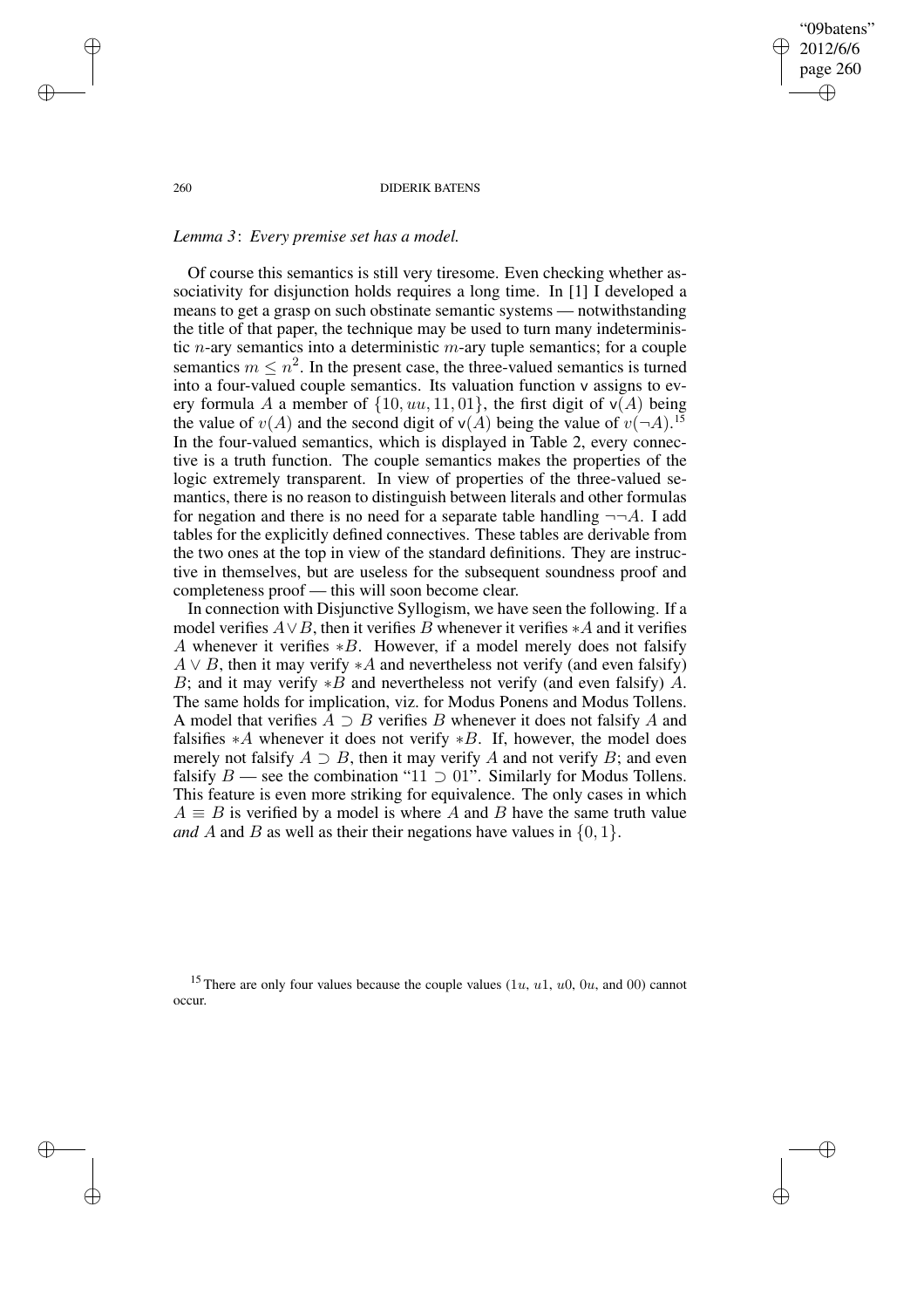"09batens" 2012/6/6 page 260 ✐ ✐

✐

✐

#### 260 DIDERIK BATENS

## *Lemma 3*: *Every premise set has a model.*

Of course this semantics is still very tiresome. Even checking whether associativity for disjunction holds requires a long time. In [1] I developed a means to get a grasp on such obstinate semantic systems — notwithstanding the title of that paper, the technique may be used to turn many indeterministic *n*-ary semantics into a deterministic *m*-ary tuple semantics; for a couple semantics  $m \leq n^2$ . In the present case, the three-valued semantics is turned into a four-valued couple semantics. Its valuation function v assigns to every formula A a member of  $\{10, uu, 11, 01\}$ , the first digit of  $v(A)$  being the value of  $v(A)$  and the second digit of  $v(A)$  being the value of  $v(\neg A)$ .<sup>15</sup> In the four-valued semantics, which is displayed in Table 2, every connective is a truth function. The couple semantics makes the properties of the logic extremely transparent. In view of properties of the three-valued semantics, there is no reason to distinguish between literals and other formulas for negation and there is no need for a separate table handling  $\neg\neg A$ . I add tables for the explicitly defined connectives. These tables are derivable from the two ones at the top in view of the standard definitions. They are instructive in themselves, but are useless for the subsequent soundness proof and completeness proof — this will soon become clear.

In connection with Disjunctive Syllogism, we have seen the following. If a model verifies  $A \vee B$ , then it verifies B whenever it verifies ∗A and it verifies A whenever it verifies ∗B. However, if a model merely does not falsify  $A \vee B$ , then it may verify  $*A$  and nevertheless not verify (and even falsify) B; and it may verify  $*B$  and nevertheless not verify (and even falsify) A. The same holds for implication, viz. for Modus Ponens and Modus Tollens. A model that verifies  $\overline{A} \supset B$  verifies B whenever it does not falsify A and falsifies  $*A$  whenever it does not verify  $*B$ . If, however, the model does merely not falsify  $A \supset B$ , then it may verify A and not verify B; and even falsify  $B$  — see the combination "11  $\supset$  01". Similarly for Modus Tollens. This feature is even more striking for equivalence. The only cases in which  $A \equiv B$  is verified by a model is where A and B have the same truth value *and* A and B as well as their their negations have values in  $\{0, 1\}$ .

<sup>15</sup> There are only four values because the couple values  $(1u, u1, u0, 0u, \text{ and } 00)$  cannot occur.

✐

✐

✐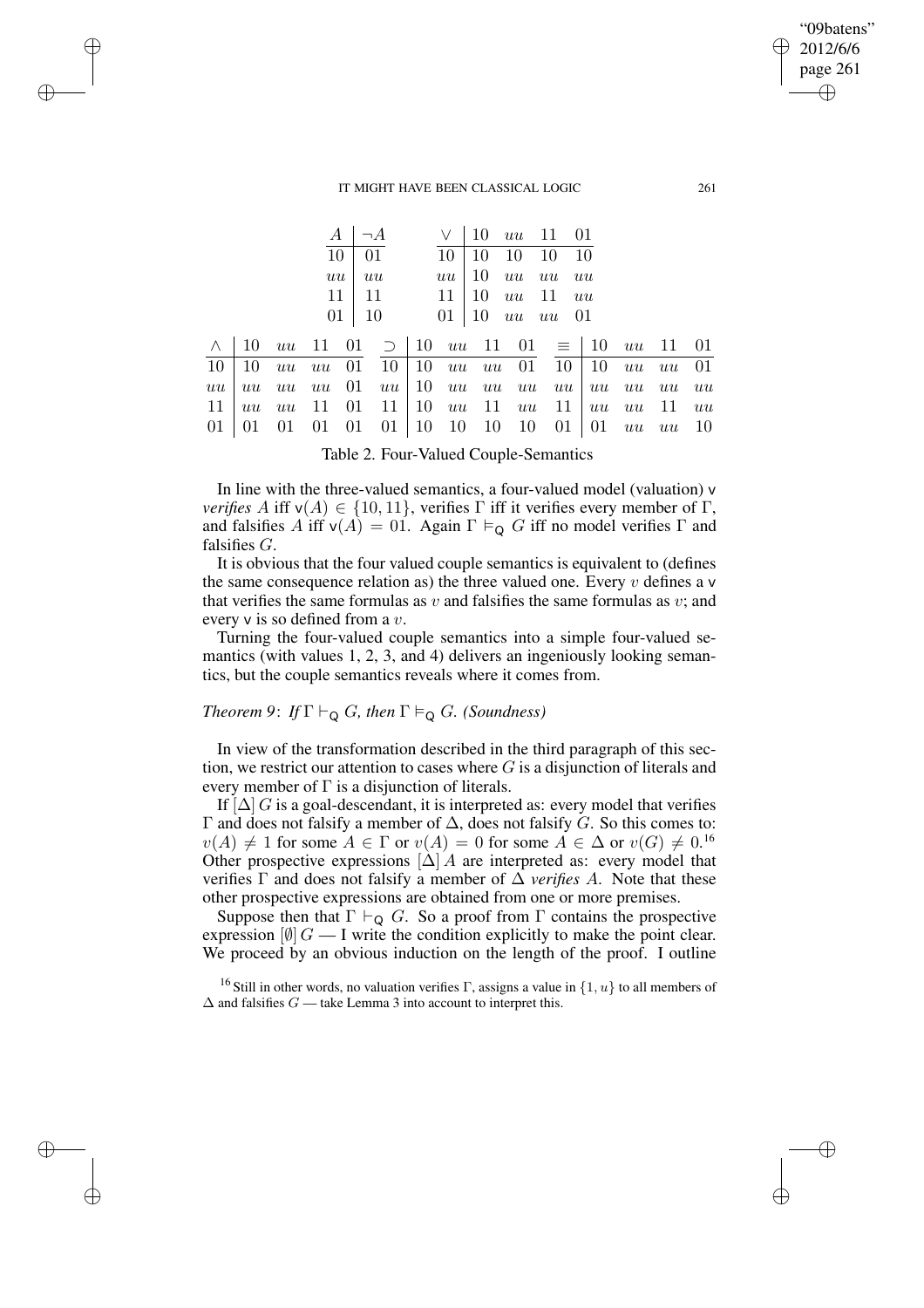✐

✐

✐

✐

|  |  | $A \mid \neg A$ |  |  | $\vee$ 10 <i>uu</i> 11 01                                                                      |  |  |
|--|--|-----------------|--|--|------------------------------------------------------------------------------------------------|--|--|
|  |  | $10 \quad 01$   |  |  | $10 \mid 10 \mid 10 \mid 10 \mid 10$                                                           |  |  |
|  |  | $uu - uu$       |  |  | $uu$ 10 $uu$ $uu$ $uu$                                                                         |  |  |
|  |  | $11 \mid 11$    |  |  | $11 \mid 10 \, u\bar{u} \, 11 \, u\bar{u}$                                                     |  |  |
|  |  |                 |  |  | $01 \mid 10$ $01 \mid 10$ $uu$ $uu$ $01$                                                       |  |  |
|  |  |                 |  |  | $\wedge$ 10 uu 11 01 $\supset$ 10 uu 11 01 $\equiv$ 10 uu 11 01                                |  |  |
|  |  |                 |  |  | $10 \mid 10 \; uu \; uu \; 01 \; 10 \mid 10 \; uu \; uu \; 01 \; 10 \mid 10 \; uu \; uu \; 01$ |  |  |
|  |  |                 |  |  | uu uu uu uu 01 uu 10 uu uu uu uu uu uu uu uu                                                   |  |  |
|  |  |                 |  |  | $11 \mid uu$ uu $11 \mid 01 \mid 11 \mid 10$ uu $11 \mid uu \mid 11 \mid uu$ uu $11 \mid uu$   |  |  |
|  |  |                 |  |  | 01 01 01 01 01 01 10 10 10 10 01 01 $uu$ $uu$ 10                                               |  |  |
|  |  |                 |  |  |                                                                                                |  |  |

Table 2. Four-Valued Couple-Semantics

In line with the three-valued semantics, a four-valued model (valuation) v *verifies* A iff  $v(A) \in \{10, 11\}$ , verifies  $\Gamma$  iff it verifies every member of  $\Gamma$ , and falsifies A iff  $v(A) = 01$ . Again  $\Gamma \vDash_{\mathbf{Q}} G$  iff no model verifies  $\Gamma$  and falsifies G.

It is obvious that the four valued couple semantics is equivalent to (defines the same consequence relation as) the three valued one. Every  $v$  defines a v that verifies the same formulas as  $v$  and falsifies the same formulas as  $v$ ; and every v is so defined from a v.

Turning the four-valued couple semantics into a simple four-valued semantics (with values 1, 2, 3, and 4) delivers an ingeniously looking semantics, but the couple semantics reveals where it comes from.

# *Theorem* 9: *If*  $\Gamma \vdash_{\mathsf{Q}} G$ *, then*  $\Gamma \vDash_{\mathsf{Q}} G$ *. (Soundness)*

In view of the transformation described in the third paragraph of this section, we restrict our attention to cases where  $G$  is a disjunction of literals and every member of  $\Gamma$  is a disjunction of literals.

If  $[\Delta]$  G is a goal-descendant, it is interpreted as: every model that verifies Γ and does not falsify a member of  $\Delta$ , does not falsify G. So this comes to:  $v(A) \neq 1$  for some  $A \in \Gamma$  or  $v(A) = 0$  for some  $A \in \Delta$  or  $v(G) \neq 0.16$ Other prospective expressions  $[\Delta]$  A are interpreted as: every model that verifies  $\Gamma$  and does not falsify a member of  $\Delta$  *verifies A*. Note that these other prospective expressions are obtained from one or more premises.

Suppose then that  $\Gamma \vdash_{\mathsf{Q}} G$ . So a proof from  $\Gamma$  contains the prospective expression  $[0]$   $G - I$  write the condition explicitly to make the point clear. We proceed by an obvious induction on the length of the proof. I outline

<sup>16</sup> Still in other words, no valuation verifies Γ, assigns a value in  $\{1, u\}$  to all members of  $\Delta$  and falsifies  $G$  — take Lemma 3 into account to interpret this.

"09batens" 2012/6/6 page 261

✐

✐

✐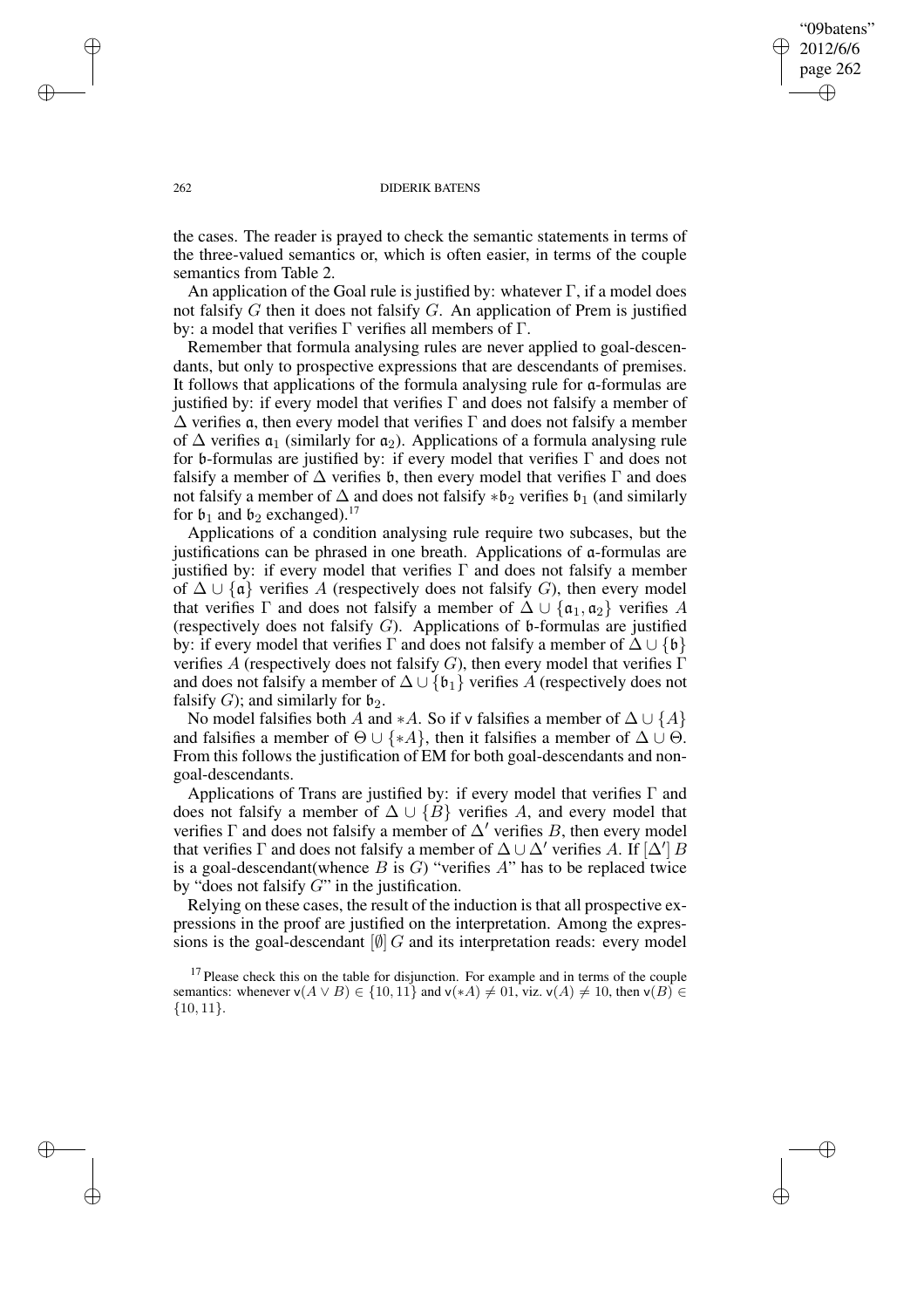"09batens" 2012/6/6 page 262 ✐ ✐

✐

✐

## 262 DIDERIK BATENS

the cases. The reader is prayed to check the semantic statements in terms of the three-valued semantics or, which is often easier, in terms of the couple semantics from Table 2.

An application of the Goal rule is justified by: whatever  $\Gamma$ , if a model does not falsify  $G$  then it does not falsify  $G$ . An application of Prem is justified by: a model that verifies Γ verifies all members of Γ.

Remember that formula analysing rules are never applied to goal-descendants, but only to prospective expressions that are descendants of premises. It follows that applications of the formula analysing rule for a-formulas are justified by: if every model that verifies  $\Gamma$  and does not falsify a member of  $\Delta$  verifies α, then every model that verifies Γ and does not falsify a member of  $\Delta$  verifies  $\mathfrak{a}_1$  (similarly for  $\mathfrak{a}_2$ ). Applications of a formula analysing rule for b-formulas are justified by: if every model that verifies Γ and does not falsify a member of  $\Delta$  verifies b, then every model that verifies  $\Gamma$  and does not falsify a member of  $\Delta$  and does not falsify  $*b_2$  verifies  $b_1$  (and similarly for  $\mathfrak{b}_1$  and  $\mathfrak{b}_2$  exchanged).<sup>17</sup>

Applications of a condition analysing rule require two subcases, but the justifications can be phrased in one breath. Applications of a-formulas are justified by: if every model that verifies  $\Gamma$  and does not falsify a member of  $\Delta \cup \{\mathfrak{a}\}\$  verifies A (respectively does not falsify G), then every model that verifies  $\Gamma$  and does not falsify a member of  $\Delta \cup \{\mathfrak{a}_1, \mathfrak{a}_2\}$  verifies A (respectively does not falsify  $G$ ). Applications of b-formulas are justified by: if every model that verifies  $\Gamma$  and does not falsify a member of  $\Delta \cup \{\mathfrak{b}\}\$ verifies A (respectively does not falsify G), then every model that verifies  $\Gamma$ and does not falsify a member of  $\Delta \cup \{\mathfrak{b}_1\}$  verifies A (respectively does not falsify G); and similarly for  $\mathfrak{b}_2$ .

No model falsifies both A and ∗A. So if v falsifies a member of  $\Delta \cup \{A\}$ and falsifies a member of  $\Theta \cup \{*A\}$ , then it falsifies a member of  $\Delta \cup \Theta$ . From this follows the justification of EM for both goal-descendants and nongoal-descendants.

Applications of Trans are justified by: if every model that verifies Γ and does not falsify a member of  $\Delta \cup \{B\}$  verifies A, and every model that verifies  $\Gamma$  and does not falsify a member of  $\Delta'$  verifies B, then every model that verifies  $\Gamma$  and does not falsify a member of  $\Delta \cup \Delta'$  verifies A. If  $[\Delta']B$ is a goal-descendant (whence  $B$  is  $G$ ) "verifies  $A$ " has to be replaced twice by "does not falsify  $G$ " in the justification.

Relying on these cases, the result of the induction is that all prospective expressions in the proof are justified on the interpretation. Among the expressions is the goal-descendant  $[\emptyset]$  G and its interpretation reads: every model

✐

✐

✐

 $17$  Please check this on the table for disjunction. For example and in terms of the couple semantics: whenever  $\mathsf{v}(A \lor B) \in \{10, 11\}$  and  $\mathsf{v}(*A) \neq 01$ , viz.  $\mathsf{v}(A) \neq 10$ , then  $\mathsf{v}(B) \in$ {10, 11}.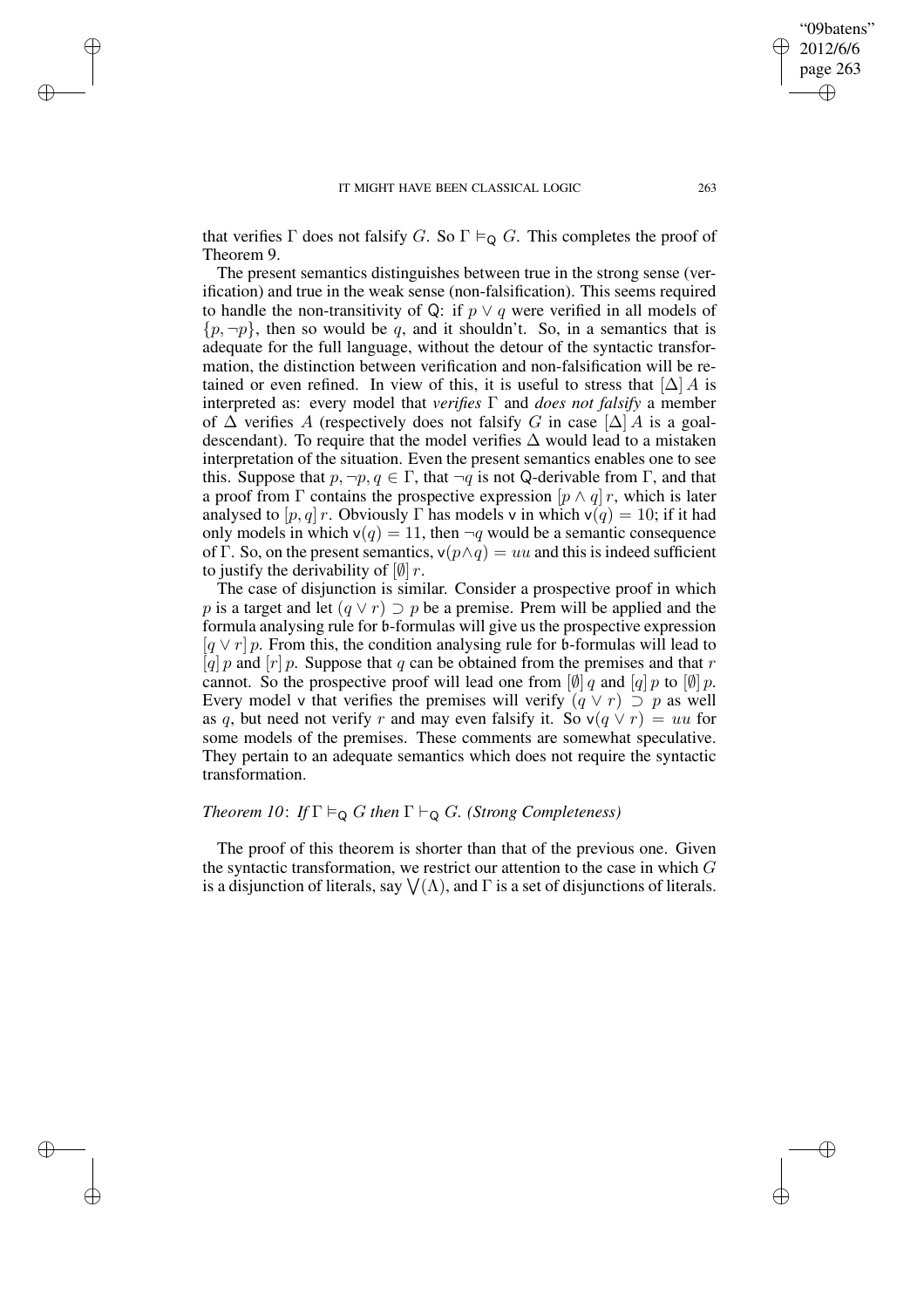✐

✐

✐

that verifies  $\Gamma$  does not falsify G. So  $\Gamma \vDash_{\mathsf{Q}} G$ . This completes the proof of Theorem 9.

The present semantics distinguishes between true in the strong sense (verification) and true in the weak sense (non-falsification). This seems required to handle the non-transitivity of Q: if  $p \vee q$  were verified in all models of  $\{p, \neg p\}$ , then so would be q, and it shouldn't. So, in a semantics that is adequate for the full language, without the detour of the syntactic transformation, the distinction between verification and non-falsification will be retained or even refined. In view of this, it is useful to stress that  $[\Delta] A$  is interpreted as: every model that *verifies* Γ and *does not falsify* a member of  $\Delta$  verifies A (respectively does not falsify G in case  $[\Delta]$  A is a goaldescendant). To require that the model verifies  $\Delta$  would lead to a mistaken interpretation of the situation. Even the present semantics enables one to see this. Suppose that  $p, \neg p, q \in \Gamma$ , that  $\neg q$  is not Q-derivable from  $\Gamma$ , and that a proof from  $\Gamma$  contains the prospective expression  $[p \wedge q] r$ , which is later analysed to  $[p, q]$  r. Obviously  $\Gamma$  has models v in which  $v(q) = 10$ ; if it had only models in which  $v(q) = 11$ , then  $\neg q$  would be a semantic consequence of Γ. So, on the present semantics,  $v(p \land q) = uu$  and this is indeed sufficient to justify the derivability of  $\left[\emptyset\right]$  r.

The case of disjunction is similar. Consider a prospective proof in which p is a target and let  $(q \vee r) \supset p$  be a premise. Prem will be applied and the formula analysing rule for b-formulas will give us the prospective expression  $[q \vee r] p$ . From this, the condition analysing rule for b-formulas will lead to [q] p and  $[r]$  p. Suppose that q can be obtained from the premises and that r cannot. So the prospective proof will lead one from  $\left[\emptyset\right]$  q and  $\left[q\right]$  p to  $\left[\emptyset\right]$  p. Every model v that verifies the premises will verify  $(q \lor r) \supset p$  as well as q, but need not verify r and may even falsify it. So  $v(q \lor r) = uu$  for some models of the premises. These comments are somewhat speculative. They pertain to an adequate semantics which does not require the syntactic transformation.

# *Theorem 10*: *If*  $\Gamma \models_{\mathbb{Q}} G$  *then*  $\Gamma \vdash_{\mathbb{Q}} G$ *. (Strong Completeness)*

The proof of this theorem is shorter than that of the previous one. Given the syntactic transformation, we restrict our attention to the case in which  $G$ is a disjunction of literals, say  $\bigvee(\Lambda)$ , and  $\Gamma$  is a set of disjunctions of literals.

"09batens" 2012/6/6 page 263

✐

✐

✐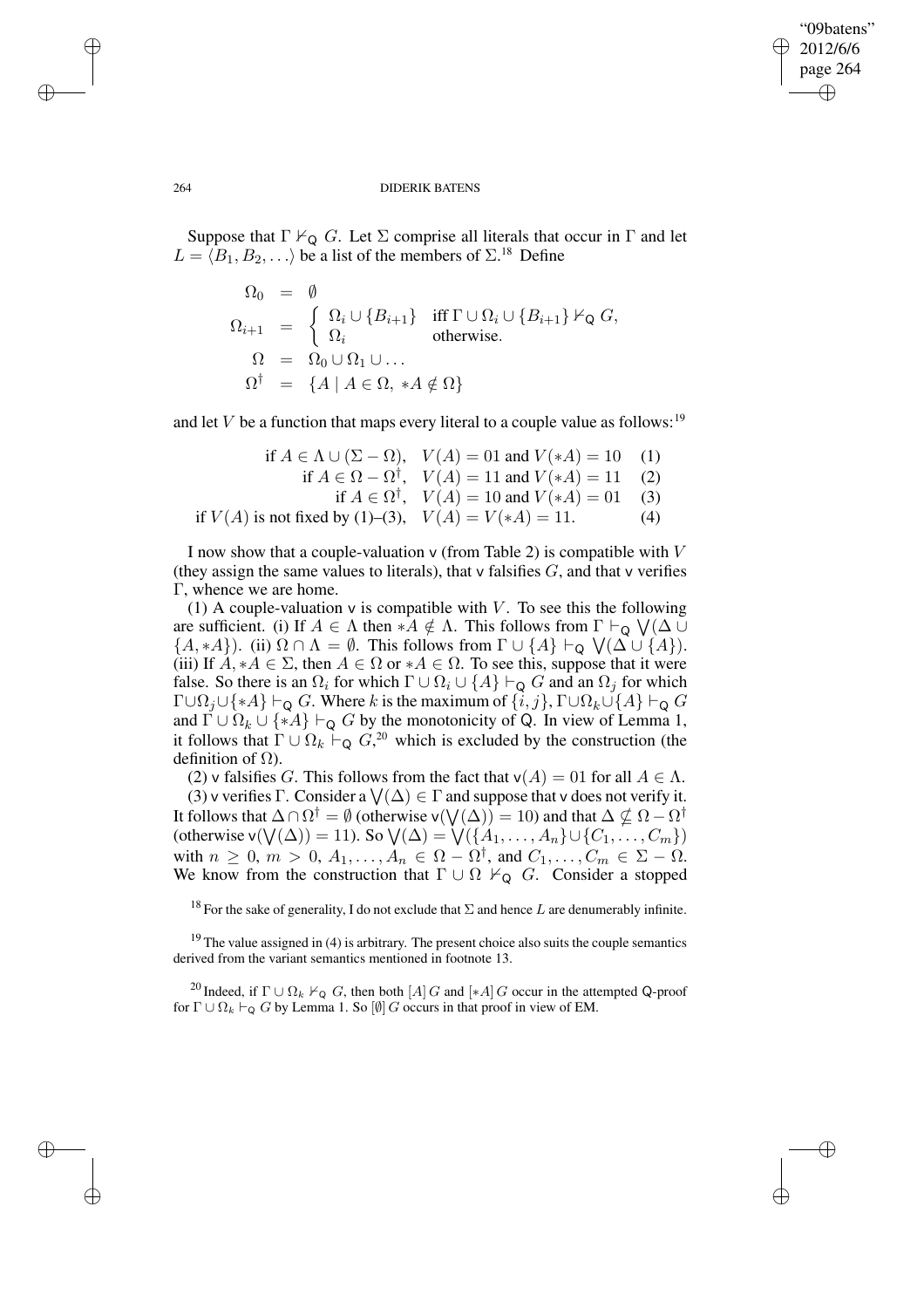✐

#### 264 DIDERIK BATENS

Suppose that  $\Gamma \nvdash_{\mathsf{Q}} G$ . Let  $\Sigma$  comprise all literals that occur in  $\Gamma$  and let  $L = \langle B_1, B_2, \ldots \rangle$  be a list of the members of  $\Sigma^{18}$  Define

$$
\Omega_0 = \emptyset
$$
  
\n
$$
\Omega_{i+1} = \begin{cases}\n\Omega_i \cup \{B_{i+1}\} & \text{iff } \Gamma \cup \Omega_i \cup \{B_{i+1}\} \nvdash_{\mathsf{Q}} G, \\
\Omega_i & \text{otherwise.} \\
\Omega = \Omega_0 \cup \Omega_1 \cup \dots \\
\Omega^{\dagger} = \{A \mid A \in \Omega, \ A \notin \Omega\}\n\end{cases}
$$

and let V be a function that maps every literal to a couple value as follows:<sup>19</sup>

if 
$$
A \in \Lambda \cup (\Sigma - \Omega)
$$
,  $V(A) = 01$  and  $V(*A) = 10$  (1)  
if  $A \in \Omega - \Omega^{\dagger}$ ,  $V(A) = 11$  and  $V(*A) = 11$  (2)  
if  $A \in \Omega^{\dagger}$ ,  $V(A) = 10$  and  $V(*A) = 01$  (3)  
if  $V(A)$  is not fixed by (1)–(3),  $V(A) = V(*A) = 11$ . (4)

I now show that a couple-valuation  $\vee$  (from Table 2) is compatible with  $V$ (they assign the same values to literals), that  $\vee$  falsifies  $G$ , and that  $\vee$  verifies Γ, whence we are home.

(1) A couple-valuation  $\nu$  is compatible with V. To see this the following are sufficient. (i) If  $A \in \Lambda$  then  $*A \notin \Lambda$ . This follows from  $\Gamma \vdash_Q \bigvee (\Delta \cup$  $\{A, *A\}$ ). (ii)  $\Omega \cap \Lambda = \emptyset$ . This follows from  $\Gamma \cup \{A\} \vdash_{\mathsf{Q}} \bigvee (\Delta \cup \{A\})$ . (iii) If  $A, *A \in \Sigma$ , then  $A \in \Omega$  or  $*A \in \Omega$ . To see this, suppose that it were false. So there is an  $\Omega_i$  for which  $\Gamma \cup \Omega_i \cup \{A\} \vdash_{\mathsf{Q}} G$  and an  $\Omega_j$  for which  $\Gamma \cup \Omega_j \cup \{*A\} \vdash_Q G$ . Where k is the maximum of  $\{i, j\}$ ,  $\Gamma \cup \Omega_k \cup \{A\} \vdash_Q G$ and  $\Gamma \cup \Omega_k \cup \{ *A \} \vdash_{\mathsf{Q}} G$  by the monotonicity of Q. In view of Lemma 1, it follows that  $\Gamma \cup \Omega_k \vdash_Q G^{20}$  which is excluded by the construction (the definition of  $Ω$ ).

(2) v falsifies G. This follows from the fact that  $v(A) = 01$  for all  $A \in \Lambda$ .

(3) v verifies  $\Gamma$ . Consider a  $\bigvee(\Delta) \in \Gamma$  and suppose that v does not verify it. It follows that  $\Delta \cap \Omega^\dagger = \emptyset$  (otherwise v $(\bigvee(\Delta)) = 10$ ) and that  $\Delta \nsubseteq \Omega - \Omega^\dagger$ (otherwise  $\mathsf{v}(\mathsf{V}(\Delta)) = 11$ ). So  $\mathsf{V}(\Delta) = \mathsf{V}(\{A_1, \ldots, A_n\} \cup \{C_1, \ldots, C_m\})$ with  $n \geq 0$ ,  $m > 0$ ,  $A_1, \ldots, A_n \in \Omega - \Omega^{\dagger}$ , and  $C_1, \ldots, C_m \in \Sigma - \Omega$ . We know from the construction that  $\Gamma \cup \Omega \nvdash_{\mathsf{Q}} G$ . Consider a stopped

<sup>18</sup> For the sake of generality, I do not exclude that  $\Sigma$  and hence L are denumerably infinite.

 $19$  The value assigned in (4) is arbitrary. The present choice also suits the couple semantics derived from the variant semantics mentioned in footnote 13.

<sup>20</sup> Indeed, if  $\Gamma \cup \Omega_k \nvdash_Q G$ , then both  $[A]$  G and  $[*A]$  G occur in the attempted Q-proof for  $\Gamma \cup \Omega_k \vdash_Q G$  by Lemma 1. So  $[\emptyset]$  G occurs in that proof in view of EM.

✐

✐

✐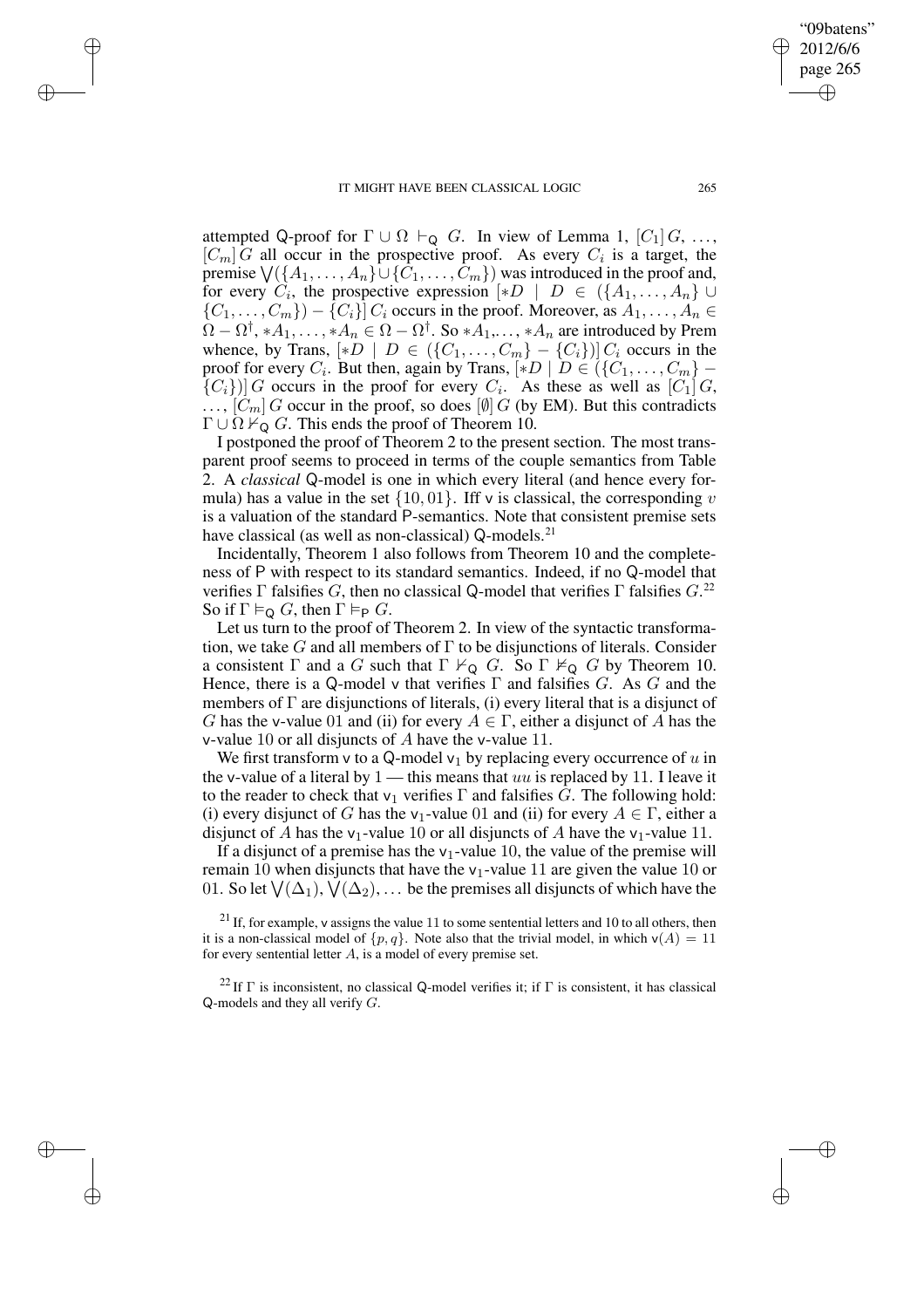✐

✐

✐

✐

attempted Q-proof for  $\Gamma \cup \Omega \vdash_{\mathsf{Q}} G$ . In view of Lemma 1,  $[C_1] G$ , ...,  $[C_m]$  G all occur in the prospective proof. As every  $C_i$  is a target, the premise  $\bigvee (\{A_1,\ldots,A_n\} \cup \{C_1,\ldots,C_m\})$  was introduced in the proof and, for every  $C_i$ , the prospective expression  $[*D \mid D \in (\{A_1, \ldots, A_n\} \cup$  $\{C_1, \ldots, C_m\}$  –  $\{C_i\}$   $C_i$  occurs in the proof. Moreover, as  $A_1, \ldots, A_n$   $\in$  $\Omega - \Omega^{\dagger}, *A_1, \ldots, *A_n \in \Omega - \Omega^{\dagger}$ . So  $*A_1, \ldots, *A_n$  are introduced by Prem whence, by Trans,  $[*D \mid D \in (\{C_1, \ldots, C_m\} - \{C_i\})]$  C<sub>i</sub> occurs in the proof for every  $C_i$ . But then, again by Trans,  $[*D \mid D \in (\{C_1, \ldots, C_m\} - \{C_i\})$  ${C_i}$ ) G occurs in the proof for every  $C_i$ . As these as well as  $[C_1]$  G,  $\ldots$ ,  $[C_m]$  G occur in the proof, so does  $[\emptyset]$  G (by EM). But this contradicts  $\Gamma \cup \Omega \nvdash_{\mathsf{Q}} G$ . This ends the proof of Theorem 10.

I postponed the proof of Theorem 2 to the present section. The most transparent proof seems to proceed in terms of the couple semantics from Table 2. A *classical* Q-model is one in which every literal (and hence every formula) has a value in the set  $\{10, 01\}$ . Iff v is classical, the corresponding v is a valuation of the standard P-semantics. Note that consistent premise sets have classical (as well as non-classical) Q-models.<sup>21</sup>

Incidentally, Theorem 1 also follows from Theorem 10 and the completeness of P with respect to its standard semantics. Indeed, if no Q-model that verifies  $\Gamma$  falsifies G, then no classical Q-model that verifies  $\Gamma$  falsifies  $G$ <sup>22</sup> So if  $\Gamma \vDash_{\mathsf{Q}} G$ , then  $\Gamma \vDash_{\mathsf{P}} G$ .

Let us turn to the proof of Theorem 2. In view of the syntactic transformation, we take G and all members of  $\Gamma$  to be disjunctions of literals. Consider a consistent  $\Gamma$  and a G such that  $\Gamma \nvdash_{\mathsf{Q}} G$ . So  $\Gamma \nvdash_{\mathsf{Q}} G$  by Theorem 10. Hence, there is a Q-model v that verifies  $\Gamma$  and falsifies G. As G and the members of  $\Gamma$  are disjunctions of literals, (i) every literal that is a disjunct of G has the v-value 01 and (ii) for every  $A \in \Gamma$ , either a disjunct of A has the v-value 10 or all disjuncts of A have the v-value 11.

We first transform v to a Q-model  $v_1$  by replacing every occurrence of u in the v-value of a literal by  $1$  — this means that uu is replaced by 11. I leave it to the reader to check that  $v_1$  verifies  $\Gamma$  and falsifies G. The following hold: (i) every disjunct of G has the v<sub>1</sub>-value 01 and (ii) for every  $A \in \Gamma$ , either a disjunct of A has the v<sub>1</sub>-value 10 or all disjuncts of A have the v<sub>1</sub>-value 11.

If a disjunct of a premise has the  $v_1$ -value 10, the value of the premise will remain 10 when disjuncts that have the  $v_1$ -value 11 are given the value 10 or 01. So let  $\bigvee(\Delta_1), \bigvee(\Delta_2), \ldots$  be the premises all disjuncts of which have the

 $21$  If, for example, v assigns the value 11 to some sentential letters and 10 to all others, then it is a non-classical model of  $\{p, q\}$ . Note also that the trivial model, in which  $v(A) = 11$ for every sentential letter A, is a model of every premise set.

<sup>22</sup> If  $\Gamma$  is inconsistent, no classical Q-model verifies it; if  $\Gamma$  is consistent, it has classical  $Q$ -models and they all verify  $G$ .

page 265 ✐

✐

"09batens" 2012/6/6

✐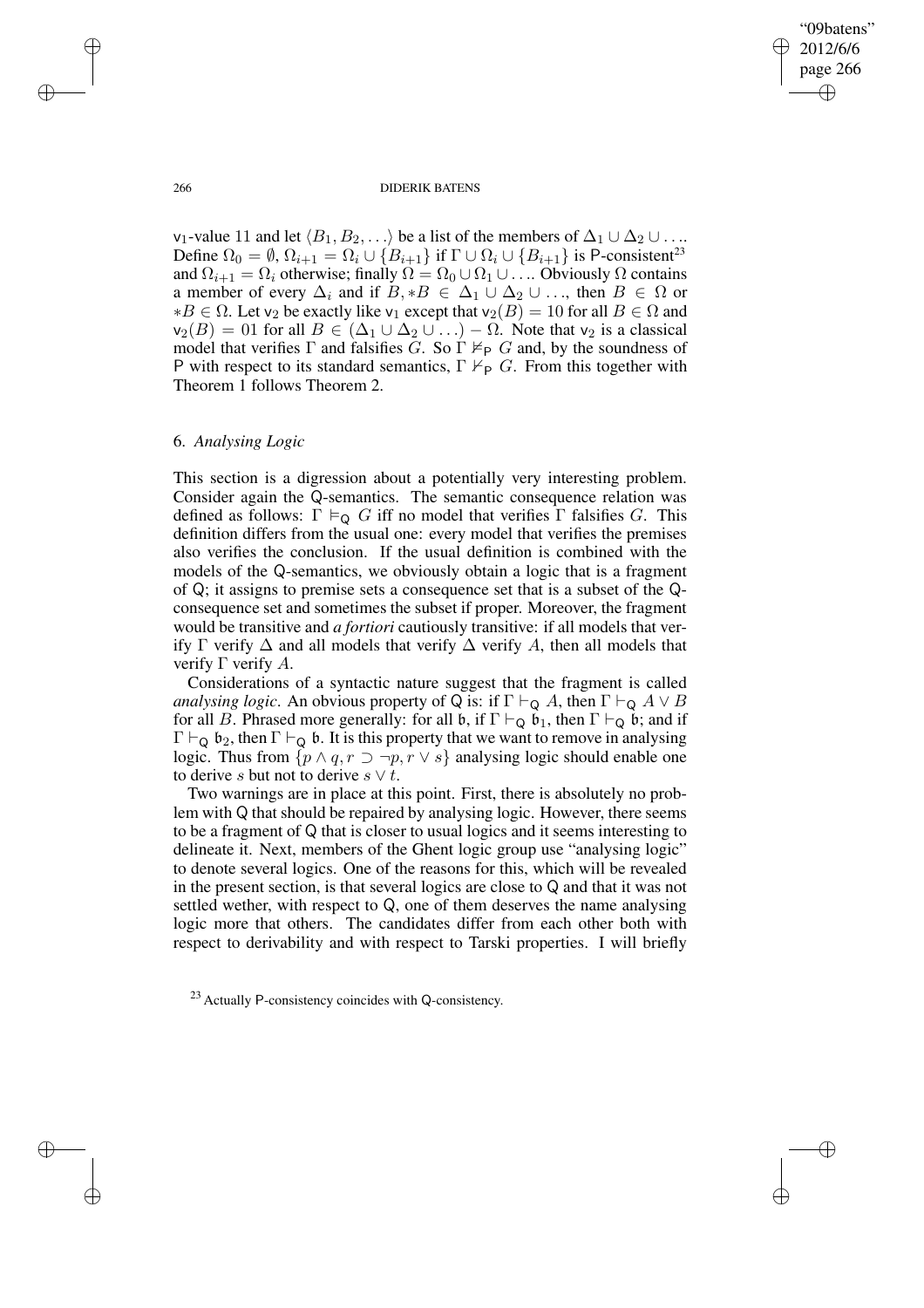✐

#### 266 DIDERIK BATENS

v<sub>1</sub>-value 11 and let  $\langle B_1, B_2, \ldots \rangle$  be a list of the members of  $\Delta_1 \cup \Delta_2 \cup \ldots$ Define  $\Omega_0 = \emptyset$ ,  $\Omega_{i+1} = \Omega_i \cup \{B_{i+1}\}\$ if  $\Gamma \cup \Omega_i \cup \{B_{i+1}\}\$ is P-consistent<sup>23</sup> and  $\Omega_{i+1} = \Omega_i$  otherwise; finally  $\Omega = \Omega_0 \cup \Omega_1 \cup \ldots$  Obviously  $\Omega$  contains a member of every  $\Delta_i$  and if  $B, *B \in \Delta_1 \cup \Delta_2 \cup \ldots$ , then  $B \in \Omega$  or  $*B \in Ω$ . Let v<sub>2</sub> be exactly like v<sub>1</sub> except that v<sub>2</sub>(B) = 10 for all B ∈ Ω and  $v_2(B) = 01$  for all  $B \in (\Delta_1 \cup \Delta_2 \cup ...) - \Omega$ . Note that  $v_2$  is a classical model that verifies  $\Gamma$  and falsifies G. So  $\Gamma \nvDash_{\mathsf{P}} G$  and, by the soundness of P with respect to its standard semantics,  $\Gamma \nvdash_{\mathsf{P}} G$ . From this together with Theorem 1 follows Theorem 2.

## 6. *Analysing Logic*

This section is a digression about a potentially very interesting problem. Consider again the Q-semantics. The semantic consequence relation was defined as follows:  $\Gamma \vDash_{\mathbf{Q}} G$  iff no model that verifies  $\Gamma$  falsifies G. This definition differs from the usual one: every model that verifies the premises also verifies the conclusion. If the usual definition is combined with the models of the Q-semantics, we obviously obtain a logic that is a fragment of Q; it assigns to premise sets a consequence set that is a subset of the Qconsequence set and sometimes the subset if proper. Moreover, the fragment would be transitive and *a fortiori* cautiously transitive: if all models that verify  $\Gamma$  verify  $\Delta$  and all models that verify  $\Delta$  verify A, then all models that verify  $Γ$  verify  $A$ .

Considerations of a syntactic nature suggest that the fragment is called *analysing logic*. An obvious property of Q is: if  $\Gamma \vdash_Q A$ , then  $\Gamma \vdash_Q A \lor B$ for all B. Phrased more generally: for all  $\mathfrak{b}$ , if  $\Gamma \vdash_Q \mathfrak{b}_1$ , then  $\Gamma \vdash_Q \mathfrak{b}$ ; and if  $\Gamma \vdash_{\mathsf{Q}} \mathfrak{b}_2$ , then  $\Gamma \vdash_{\mathsf{Q}} \mathfrak{b}$ . It is this property that we want to remove in analysing logic. Thus from  $\{p \land q, r \supset \neg p, r \lor s\}$  analysing logic should enable one to derive s but not to derive  $s \vee t$ .

Two warnings are in place at this point. First, there is absolutely no problem with Q that should be repaired by analysing logic. However, there seems to be a fragment of Q that is closer to usual logics and it seems interesting to delineate it. Next, members of the Ghent logic group use "analysing logic" to denote several logics. One of the reasons for this, which will be revealed in the present section, is that several logics are close to Q and that it was not settled wether, with respect to Q, one of them deserves the name analysing logic more that others. The candidates differ from each other both with respect to derivability and with respect to Tarski properties. I will briefly

<sup>23</sup> Actually P-consistency coincides with Q-consistency.

✐

✐

✐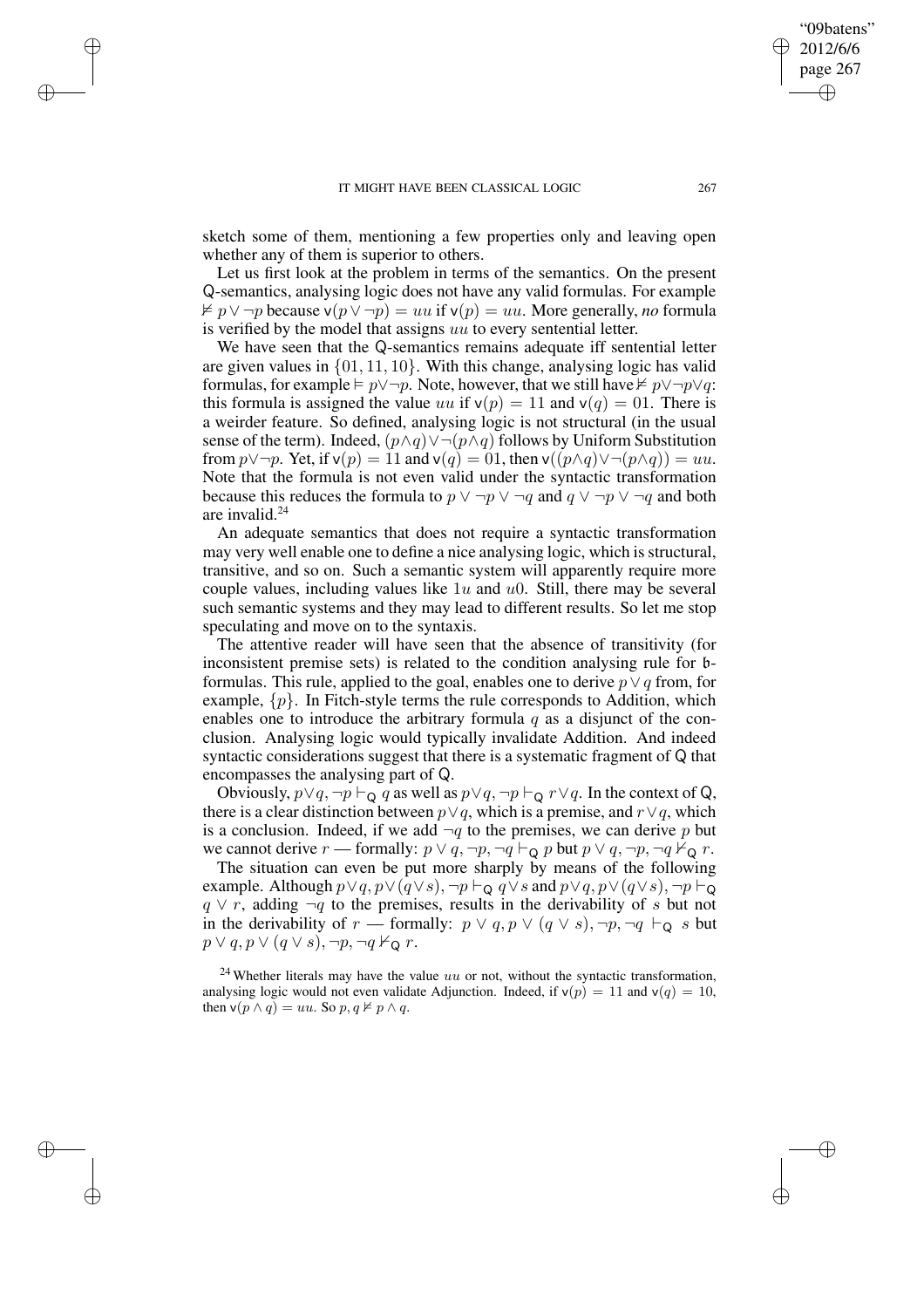✐

✐

✐

sketch some of them, mentioning a few properties only and leaving open whether any of them is superior to others.

Let us first look at the problem in terms of the semantics. On the present Q-semantics, analysing logic does not have any valid formulas. For example  $\neq p \vee \neg p$  because v( $p \vee \neg p$ ) = uu if v( $p$ ) = uu. More generally, *no* formula is verified by the model that assigns uu to every sentential letter.

We have seen that the Q-semantics remains adequate iff sentential letter are given values in  $\{01, 11, 10\}$ . With this change, analysing logic has valid formulas, for example  $\models p \vee \neg p$ . Note, however, that we still have  $\not\vDash p \vee \neg p \vee q$ : this formula is assigned the value uu if  $v(p) = 11$  and  $v(q) = 01$ . There is a weirder feature. So defined, analysing logic is not structural (in the usual sense of the term). Indeed,  $(p \land q) \lor \neg (p \land q)$  follows by Uniform Substitution from  $p \lor \neg p$ . Yet, if  $\mathsf{v}(p) = 11$  and  $\mathsf{v}(q) = 01$ , then  $\mathsf{v}((p \land q) \lor \neg (p \land q)) = uu$ . Note that the formula is not even valid under the syntactic transformation because this reduces the formula to  $p \lor \neg p \lor \neg q$  and  $q \lor \neg p \lor \neg q$  and both are invalid.<sup>24</sup>

An adequate semantics that does not require a syntactic transformation may very well enable one to define a nice analysing logic, which is structural, transitive, and so on. Such a semantic system will apparently require more couple values, including values like  $1u$  and  $u$ 0. Still, there may be several such semantic systems and they may lead to different results. So let me stop speculating and move on to the syntaxis.

The attentive reader will have seen that the absence of transitivity (for inconsistent premise sets) is related to the condition analysing rule for bformulas. This rule, applied to the goal, enables one to derive  $p \vee q$  from, for example,  $\{p\}$ . In Fitch-style terms the rule corresponds to Addition, which enables one to introduce the arbitrary formula  $q$  as a disjunct of the conclusion. Analysing logic would typically invalidate Addition. And indeed syntactic considerations suggest that there is a systematic fragment of Q that encompasses the analysing part of Q.

Obviously,  $p \lor q$ ,  $\neg p \vdash_Q q$  as well as  $p \lor q$ ,  $\neg p \vdash_Q r \lor q$ . In the context of Q, there is a clear distinction between  $p \lor q$ , which is a premise, and  $r \lor q$ , which is a conclusion. Indeed, if we add  $\neg q$  to the premises, we can derive p but we cannot derive r — formally:  $p \lor q, \neg p, \neg q \vdash_{\mathsf{Q}} p$  but  $p \lor q, \neg p, \neg q \nvdash_{\mathsf{Q}} r$ .

The situation can even be put more sharply by means of the following example. Although  $p \lor q$ ,  $p \lor (q \lor s)$ ,  $\neg p \vdash_Q q \lor s$  and  $p \lor q$ ,  $p \lor (q \lor s)$ ,  $\neg p \vdash_Q$  $q \vee r$ , adding  $\neg q$  to the premises, results in the derivability of s but not in the derivability of r — formally:  $p \lor q, p \lor (q \lor s), \neg p, \neg q \vdash_Q s$  but  $p \vee q, p \vee (q \vee s), \neg p, \neg q \nvdash_{\mathsf{Q}} r.$ 

 $24$  Whether literals may have the value uu or not, without the syntactic transformation, analysing logic would not even validate Adjunction. Indeed, if  $v(p) = 11$  and  $v(q) = 10$ , then  $\mathsf{v}(p \land q) = uu$ . So  $p, q \not\models p \land q$ .

"09batens" 2012/6/6 page 267

✐

✐

✐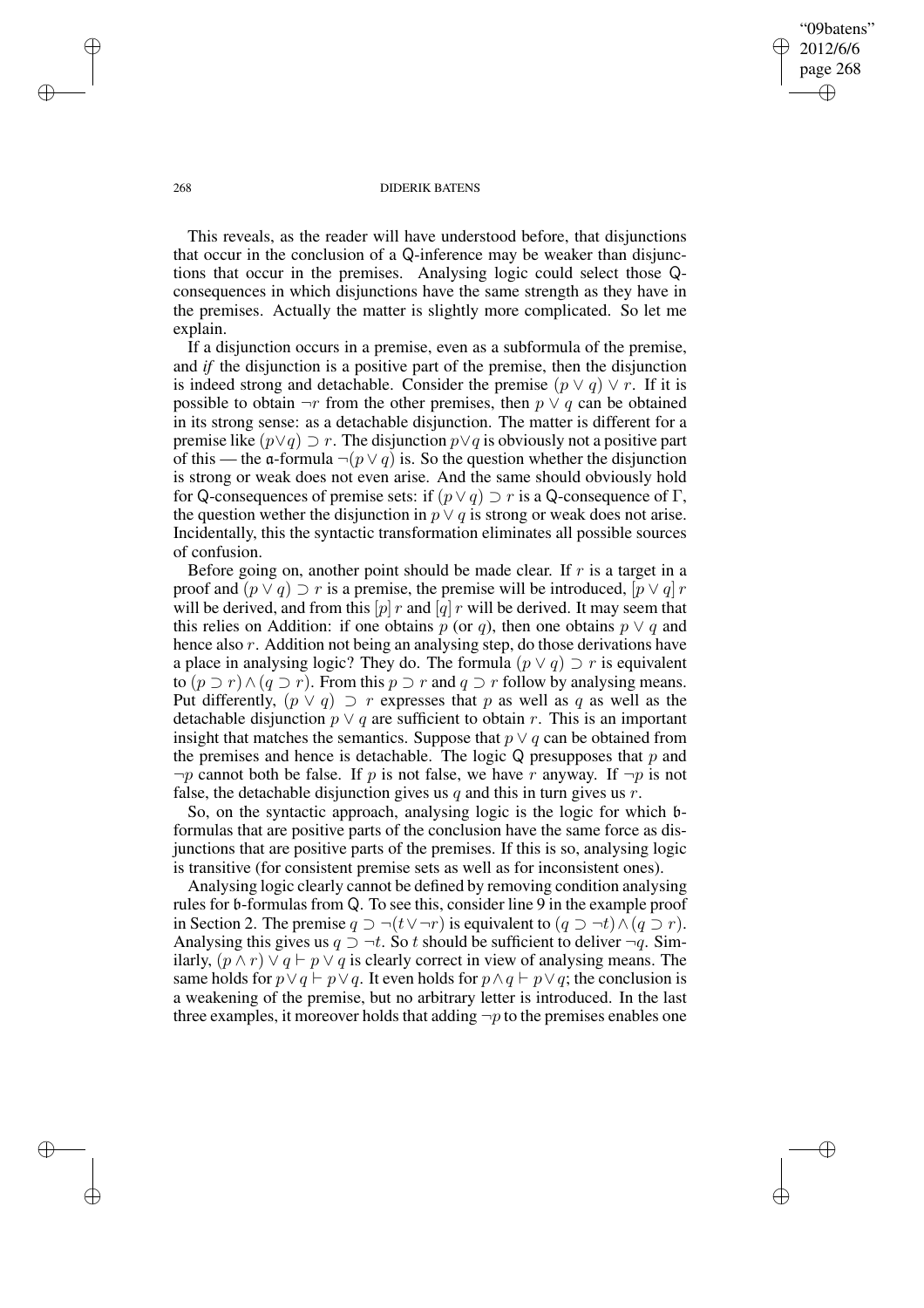"09batens" 2012/6/6 page 268 ✐ ✐

✐

✐

#### 268 DIDERIK BATENS

This reveals, as the reader will have understood before, that disjunctions that occur in the conclusion of a Q-inference may be weaker than disjunctions that occur in the premises. Analysing logic could select those Qconsequences in which disjunctions have the same strength as they have in the premises. Actually the matter is slightly more complicated. So let me explain.

If a disjunction occurs in a premise, even as a subformula of the premise, and *if* the disjunction is a positive part of the premise, then the disjunction is indeed strong and detachable. Consider the premise  $(p \vee q) \vee r$ . If it is possible to obtain  $\neg r$  from the other premises, then  $p \lor q$  can be obtained in its strong sense: as a detachable disjunction. The matter is different for a premise like  $(p\vee q) \supset r$ . The disjunction  $p\vee q$  is obviously not a positive part of this — the a-formula  $\neg(p \lor q)$  is. So the question whether the disjunction is strong or weak does not even arise. And the same should obviously hold for Q-consequences of premise sets: if  $(p \lor q) \supset r$  is a Q-consequence of  $\Gamma$ , the question wether the disjunction in  $p \vee q$  is strong or weak does not arise. Incidentally, this the syntactic transformation eliminates all possible sources of confusion.

Before going on, another point should be made clear. If  $r$  is a target in a proof and  $(p \vee q) \supset r$  is a premise, the premise will be introduced,  $[p \vee q]$  r will be derived, and from this  $[p]$  r and  $[q]$  r will be derived. It may seem that this relies on Addition: if one obtains p (or q), then one obtains  $p \vee q$  and hence also r. Addition not being an analysing step, do those derivations have a place in analysing logic? They do. The formula  $(p \lor q) \supset r$  is equivalent to  $(p \supset r) \wedge (q \supset r)$ . From this  $p \supset r$  and  $q \supset r$  follow by analysing means. Put differently,  $(p \vee q) \supset r$  expresses that p as well as q as well as the detachable disjunction  $p \vee q$  are sufficient to obtain r. This is an important insight that matches the semantics. Suppose that  $p \lor q$  can be obtained from the premises and hence is detachable. The logic  $Q$  presupposes that  $p$  and  $\neg p$  cannot both be false. If p is not false, we have r anyway. If  $\neg p$  is not false, the detachable disjunction gives us  $q$  and this in turn gives us  $r$ .

So, on the syntactic approach, analysing logic is the logic for which bformulas that are positive parts of the conclusion have the same force as disjunctions that are positive parts of the premises. If this is so, analysing logic is transitive (for consistent premise sets as well as for inconsistent ones).

Analysing logic clearly cannot be defined by removing condition analysing rules for b-formulas from Q. To see this, consider line 9 in the example proof in Section 2. The premise  $q \supset \neg(t \vee \neg r)$  is equivalent to  $(q \supset \neg t) \wedge (q \supset r)$ . Analysing this gives us  $q \supset \neg t$ . So t should be sufficient to deliver  $\neg q$ . Similarly,  $(p \wedge r) \vee q \vdash p \vee q$  is clearly correct in view of analysing means. The same holds for  $p \lor q \vdash p \lor q$ . It even holds for  $p \land q \vdash p \lor q$ ; the conclusion is a weakening of the premise, but no arbitrary letter is introduced. In the last three examples, it moreover holds that adding  $\neg p$  to the premises enables one

✐

✐

✐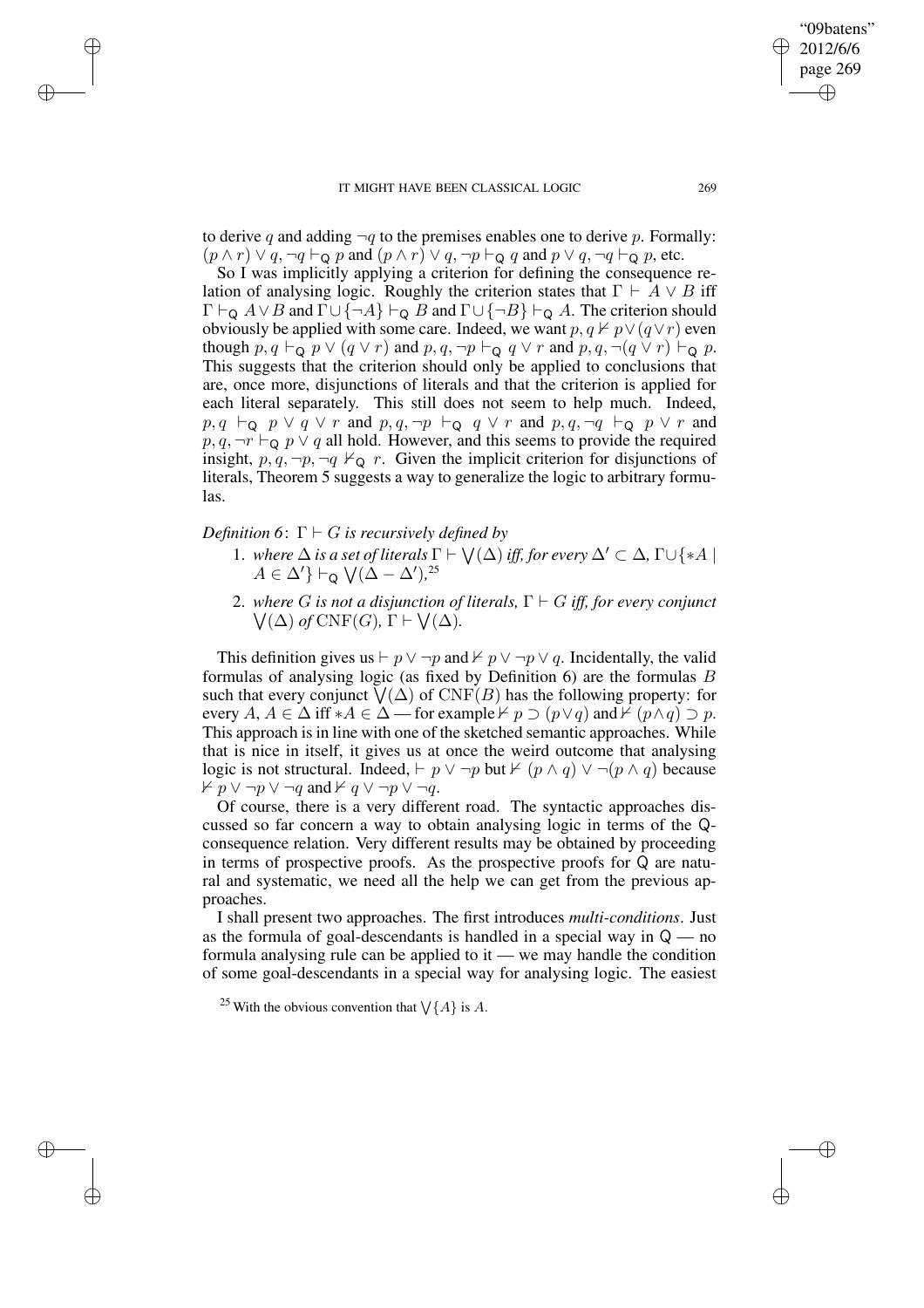to derive q and adding  $\neg q$  to the premises enables one to derive p. Formally:  $(p \wedge r) \vee q$ ,  $\neg q \vdash_{\mathsf{Q}} p$  and  $(p \wedge r) \vee q$ ,  $\neg p \vdash_{\mathsf{Q}} q$  and  $p \vee q$ ,  $\neg q \vdash_{\mathsf{Q}} p$ , etc.

So I was implicitly applying a criterion for defining the consequence relation of analysing logic. Roughly the criterion states that  $\Gamma \vdash A \lor B$  iff  $\Gamma \vdash_{\mathsf{Q}} A \lor B$  and  $\Gamma \cup \{\neg A\} \vdash_{\mathsf{Q}} B$  and  $\Gamma \cup \{\neg B\} \vdash_{\mathsf{Q}} A$ . The criterion should obviously be applied with some care. Indeed, we want  $p, q \nvdash p \vee (q \vee r)$  even though  $p, q \vdash_{\mathsf{Q}} p \vee (q \vee r)$  and  $p, q, \neg p \vdash_{\mathsf{Q}} q \vee r$  and  $p, q, \neg (q \vee r) \vdash_{\mathsf{Q}} p$ . This suggests that the criterion should only be applied to conclusions that are, once more, disjunctions of literals and that the criterion is applied for each literal separately. This still does not seem to help much. Indeed,  $p, q \vdash_{\mathsf{Q}} p \lor q \lor r$  and  $p, q, \neg p \vdash_{\mathsf{Q}} q \lor r$  and  $p, q, \neg q \vdash_{\mathsf{Q}} p \lor r$  and  $p, q, \neg r \vdash_{\mathsf{Q}} p \lor q$  all hold. However, and this seems to provide the required insight,  $p, q, \neg p, \neg q \nvdash_{\mathsf{Q}} r$ . Given the implicit criterion for disjunctions of literals, Theorem 5 suggests a way to generalize the logic to arbitrary formulas.

*Definition* 6:  $\Gamma \vdash G$  *is recursively defined by* 

✐

✐

✐

✐

- 1. *where*  $\Delta$  *is a set of literals*  $\Gamma \vdash \bigvee(\Delta)$  *iff, for every*  $\Delta' \subset \Delta$ ,  $\Gamma \cup \{ *A \mid$  $A \in \Delta'$ } ⊢o  $\sqrt{(\Delta - \Delta')}$ ,<sup>25</sup>
- 2. *wher e* G *is not a disjunction of literals,* Γ ` G *iff, for every conjunct*  $\bigvee(\Delta)$  *of* CNF(*G*),  $\Gamma \vdash \bigvee(\Delta)$ .

This definition gives us  $\vdash p \lor \neg p$  and  $\nvdash p \lor \neg p \lor q$ . Incidentally, the valid formulas of analysing logic (as fixed by Definition 6) are the formulas B such that every conjunct  $\bigvee(\Delta)$  of  $\mathrm{CNF}(B)$  has the following property: for every  $A, A \in \Delta$  iff \* $A \in \Delta$  — for example  $\nvdash p \supset (p \lor q)$  and  $\nvdash (p \land q) \supset p$ . This approach is in line with one of the sketched semantic approaches. While that is nice in itself, it gives us at once the weird outcome that analysing logic is not structural. Indeed,  $\vdash p \lor \neg p$  but  $\nvdash (p \land q) \lor \neg (p \land q)$  because  $\forall p \lor \neg p \lor \neg q$  and  $\forall q \lor \neg p \lor \neg q$ .

Of course, there is a very different road. The syntactic approaches discussed so far concern a way to obtain analysing logic in terms of the Qconsequence relation. Very different results may be obtained by proceeding in terms of prospective proofs. As the prospective proofs for Q are natural and systematic, we need all the help we can get from the previous approaches.

I shall present two approaches. The first introduces *multi-conditions*. Just as the formula of goal-descendants is handled in a special way in  $Q$  — no formula analysing rule can be applied to it — we may handle the condition of some goal-descendants in a special way for analysing logic. The easiest

<sup>25</sup> With the obvious convention that  $\bigvee$ {A} is A.

"09batens" 2012/6/6 page 269

✐

✐

✐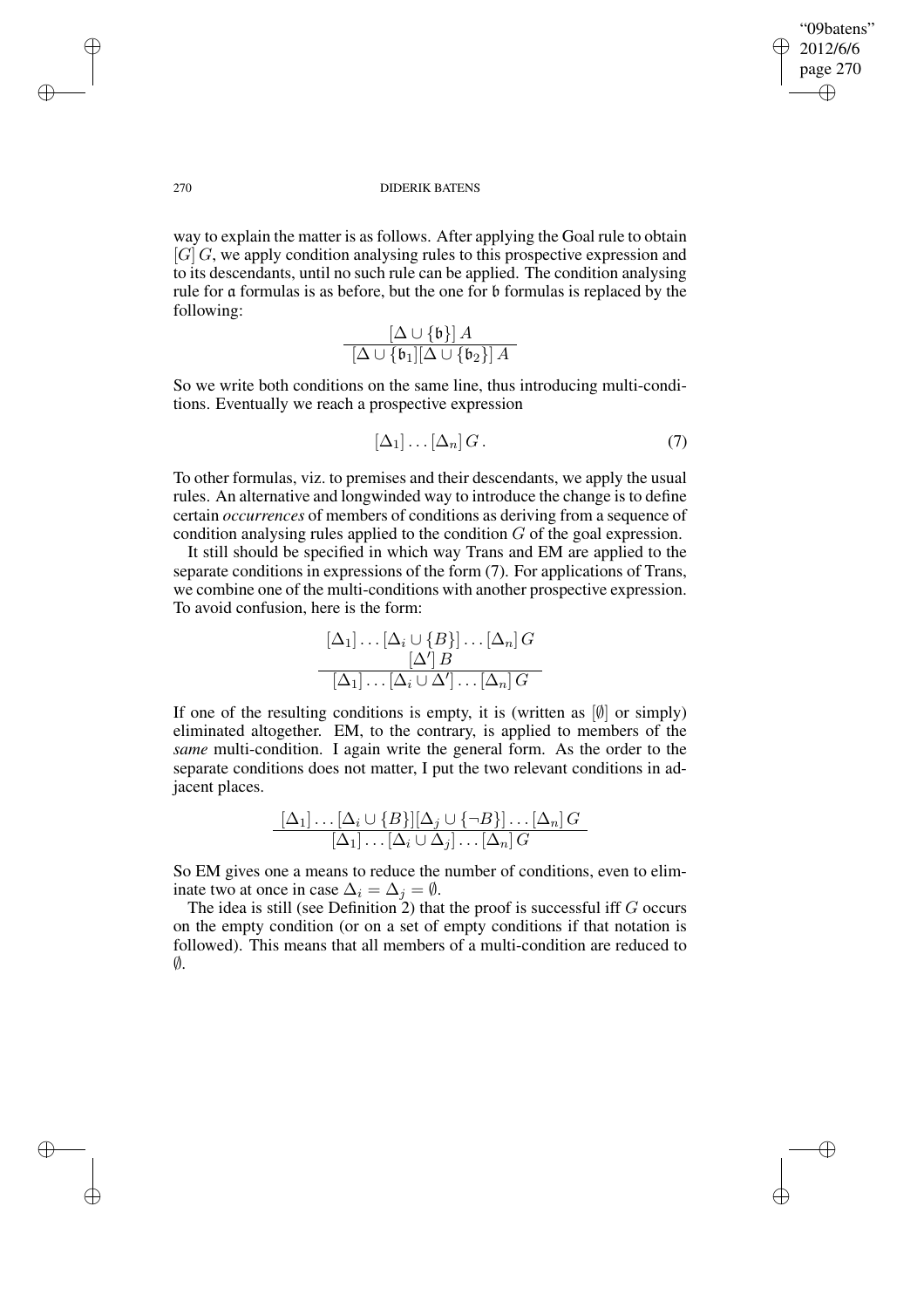✐

## 270 DIDERIK BATENS

way to explain the matter is as follows. After applying the Goal rule to obtain  $[G]$  G, we apply condition analysing rules to this prospective expression and to its descendants, until no such rule can be applied. The condition analysing rule for a formulas is as before, but the one for b formulas is replaced by the following:

$$
\frac{[\Delta \cup \{\mathfrak{b}\}]\, A}{[\Delta \cup \{\mathfrak{b}_1][\Delta \cup \{\mathfrak{b}_2\}]\, A}
$$

So we write both conditions on the same line, thus introducing multi-conditions. Eventually we reach a prospective expression

$$
[\Delta_1] \dots [\Delta_n] \, G \,. \tag{7}
$$

To other formulas, viz. to premises and their descendants, we apply the usual rules. An alternative and longwinded way to introduce the change is to define certain *occurrences* of members of conditions as deriving from a sequence of condition analysing rules applied to the condition G of the goal expression.

It still should be specified in which way Trans and EM are applied to the separate conditions in expressions of the form (7). For applications of Trans, we combine one of the multi-conditions with another prospective expression. To avoid confusion, here is the form:

$$
\frac{[\Delta_1] \dots [\Delta_i \cup \{B\}]\dots [\Delta_n] G}{[\Delta_1] \dots [\Delta_i \cup \Delta']\dots [\Delta_n] G}
$$

If one of the resulting conditions is empty, it is (written as  $[0]$  or simply) eliminated altogether. EM, to the contrary, is applied to members of the *same* multi-condition. I again write the general form. As the order to the separate conditions does not matter, I put the two relevant conditions in adjacent places.

$$
\frac{[\Delta_1] \dots [\Delta_i \cup \{B\}][\Delta_j \cup \{\neg B\}]\dots [\Delta_n] G}{[\Delta_1] \dots [\Delta_i \cup \Delta_j] \dots [\Delta_n] G}
$$

So EM gives one a means to reduce the number of conditions, even to eliminate two at once in case  $\Delta_i = \Delta_j = \emptyset$ .

The idea is still (see Definition 2) that the proof is successful iff  $G$  occurs on the empty condition (or on a set of empty conditions if that notation is followed). This means that all members of a multi-condition are reduced to  $\emptyset$ .

✐

✐

✐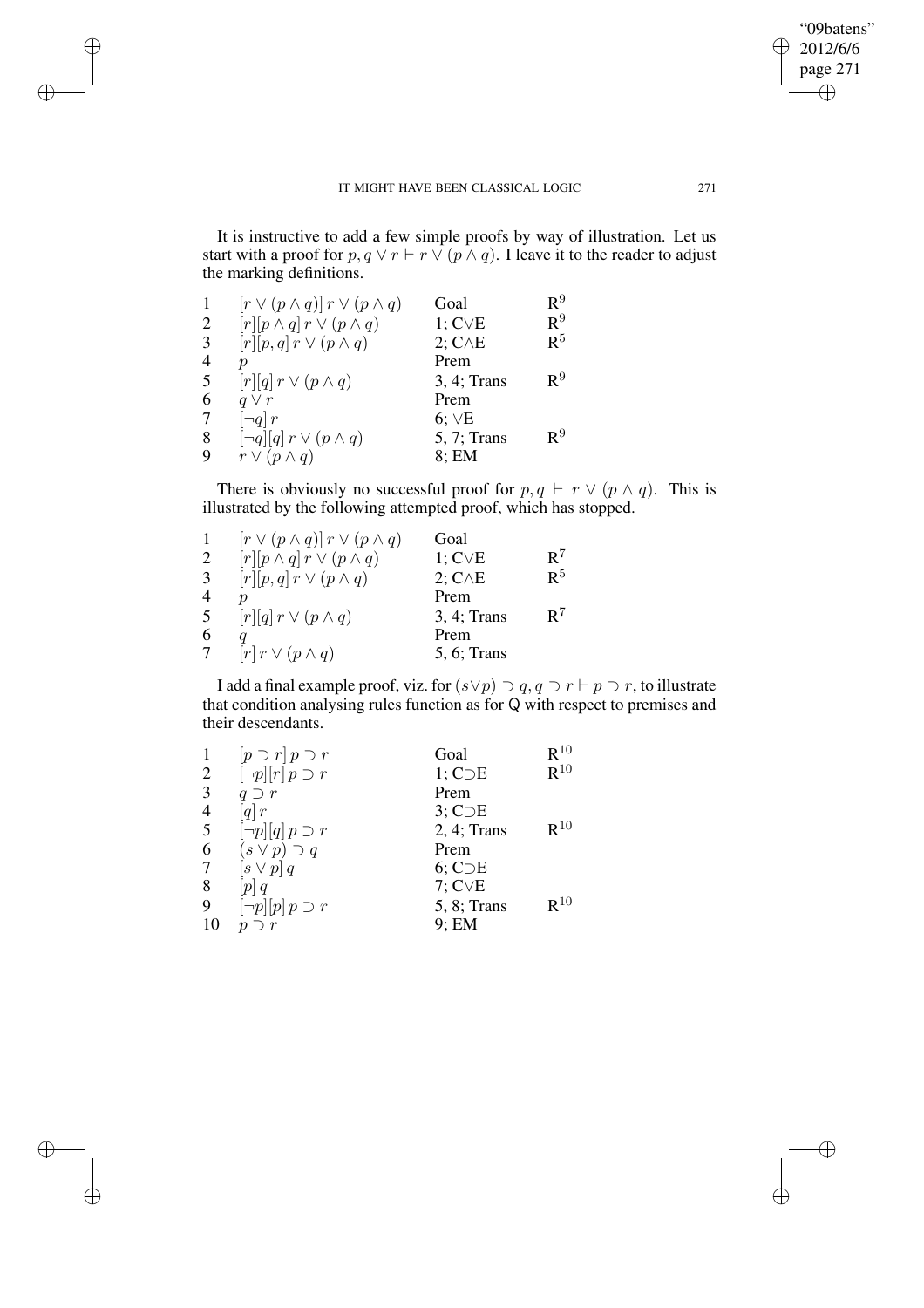It is instructive to add a few simple proofs by way of illustration. Let us start with a proof for  $p, q \vee r \vdash r \vee (p \wedge q)$ . I leave it to the reader to adjust the marking definitions.

|   | $[r \vee (p \wedge q)] r \vee (p \wedge q)$       | Goal            | $\mathtt{R}^9$ |
|---|---------------------------------------------------|-----------------|----------------|
| 2 | $[r][p \wedge q]$ $r \vee (p \wedge q)$           | $1; C\vee E$    | $\mathtt{R}^9$ |
| 3 | $[r][p,q]$ $r \vee (p \wedge q)$                  | $2; C \wedge E$ | $\mathsf{R}^5$ |
| 4 | $\boldsymbol{p}$                                  | Prem            |                |
| 5 | $[r][q]$ $r \vee (p \wedge q)$                    | 3, 4; Trans     | $\mathsf{R}^9$ |
| 6 | $q \vee r$                                        | Prem            |                |
| 7 | $\lceil \neg q \rceil r$                          | $6; \vee E$     |                |
| 8 | $\lceil \neg q \rceil [q] \, r \vee (p \wedge q)$ | 5, 7; Trans     | $\mathsf{R}^9$ |
| 9 | $r \vee (p \wedge q)$                             | $8$ ; EM        |                |

✐

✐

 $\oplus$ 

✐

There is obviously no successful proof for  $p, q \vdash r \lor (p \land q)$ . This is illustrated by the following attempted proof, which has stopped.

|    | $[r \vee (p \wedge q)] r \vee (p \wedge q)$ | Goal            |                |
|----|---------------------------------------------|-----------------|----------------|
| 2  | $[r][p \wedge q]$ $r \vee (p \wedge q)$     | $1; C\vee E$    | $R^7$          |
| 3  | $[r][p,q]$ $r \vee (p \wedge q)$            | $2; C \wedge E$ | $\mathsf{R}^5$ |
| 4  |                                             | Prem            |                |
| -5 | $[r][q]$ $r \vee (p \wedge q)$              | 3, 4; Trans     | $R^7$          |
| 6  |                                             | Prem            |                |
| 7  | $[r]$ $r \vee (p \wedge q)$                 | 5, 6; Trans     |                |

I add a final example proof, viz. for  $(s \lor p) \supset q$ ,  $q \supset r \vdash p \supset r$ , to illustrate that condition analysing rules function as for Q with respect to premises and their descendants.

|                | $[p \supset r] p \supset r$                          | Goal               | $R^{10}$ |
|----------------|------------------------------------------------------|--------------------|----------|
| 2              | $\lceil \neg p \rceil \lceil r \rceil \ p \supset r$ | 1; C <sub>DE</sub> | $R^{10}$ |
| 3              | $q \supset r$                                        | Prem               |          |
| $\overline{4}$ | $\left[ q\right] r$                                  | $3;$ C $\supset$ E |          |
| 5              | $\lceil \neg p \rceil [q] \, p \supset r$            | $2, 4;$ Trans      | $R^{10}$ |
| 6              | $(s \vee p) \supset q$                               | Prem               |          |
| 7              | $[s \vee p] q$                                       | $6;$ C $\supset$ E |          |
| 8              | p q                                                  | $7;$ C $\vee$ E    |          |
| 9              | $\neg p$   $[p]$ $p \supset r$                       | 5, 8; Trans        | $R^{10}$ |
| 10             | $\boldsymbol{n}$                                     | 9; EM              |          |

"09batens" 2012/6/6 page 271

 $\bigoplus$ 

✐

 $\oplus$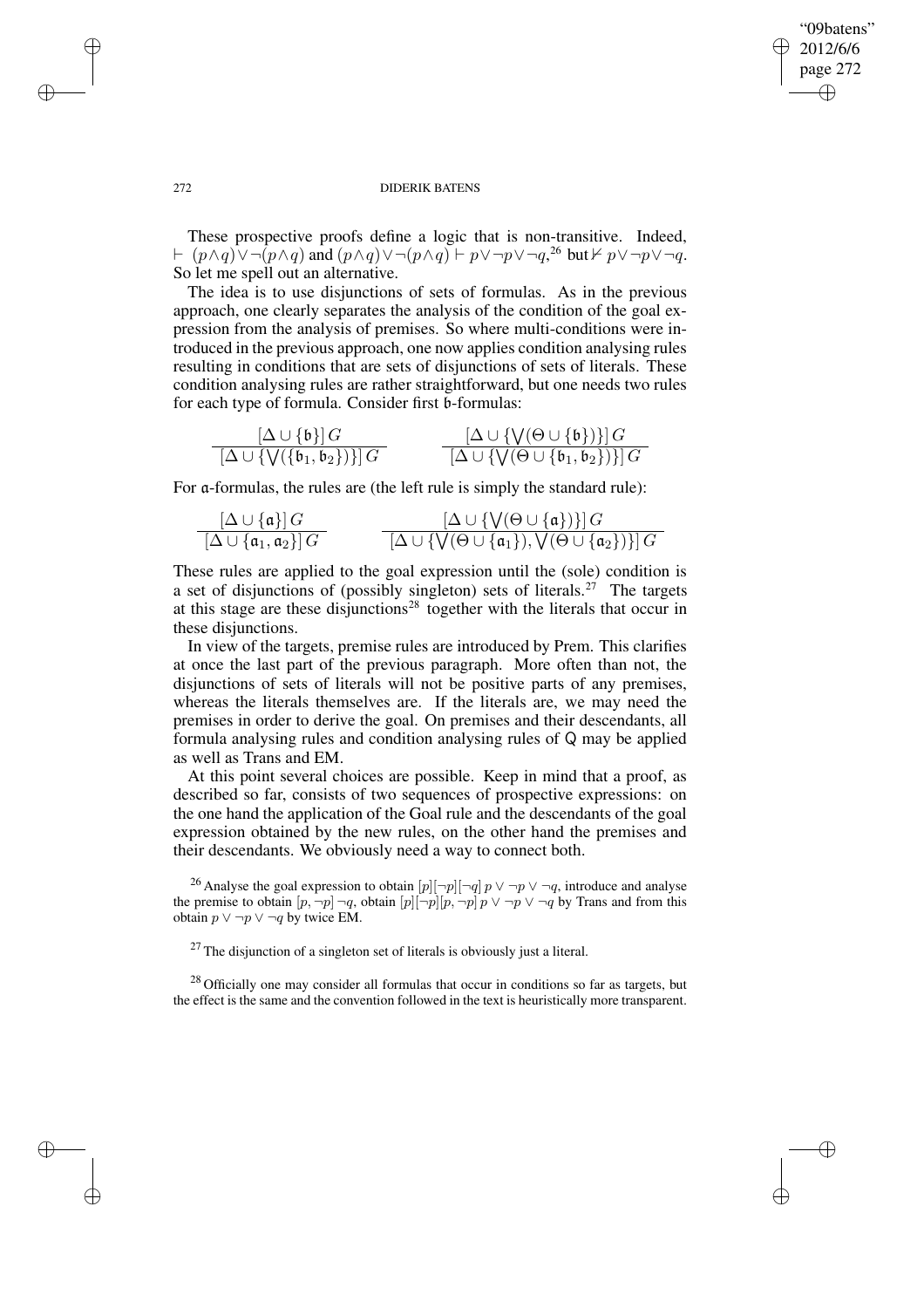✐

#### 272 DIDERIK BATENS

These prospective proofs define a logic that is non-transitive. Indeed,  $\vdash$   $(p \land q) \lor \neg(p \land q)$  and  $(p \land q) \lor \neg(p \land q) \vdash p \lor \neg p \lor \neg q$ ,<sup>26</sup> but  $\nvdash p \lor \neg p \lor \neg q$ . So let me spell out an alternative.

The idea is to use disjunctions of sets of formulas. As in the previous approach, one clearly separates the analysis of the condition of the goal expression from the analysis of premises. So where multi-conditions were introduced in the previous approach, one now applies condition analysing rules resulting in conditions that are sets of disjunctions of sets of literals. These condition analysing rules are rather straightforward, but one needs two rules for each type of formula. Consider first b-formulas:

$$
\frac{[\Delta \cup \{\mathfrak{b}\}]\,G}{[\Delta \cup \{\mathsf{V}(\{\mathfrak{b}_1,\mathfrak{b}_2\})\}] \,G} \qquad \qquad \frac{[\Delta \cup \{\mathsf{V}(\Theta \cup \{\mathfrak{b}\})\}]\,G}{[\Delta \cup \{\mathsf{V}(\Theta \cup \{\mathfrak{b}_1,\mathfrak{b}_2\})\}] \,G}
$$

For a-formulas, the rules are (the left rule is simply the standard rule):

$$
\frac{[\Delta \cup \{\mathfrak{a}\}]\,G}{[\Delta \cup \{\mathfrak{a}_1, \mathfrak{a}_2\}]\,G} \qquad \qquad \frac{[\Delta \cup \{\mathsf{V}(\Theta \cup \{\mathfrak{a}\})\}]\,G}{[\Delta \cup \{\mathsf{V}(\Theta \cup \{\mathfrak{a}_1\}), \mathsf{V}(\Theta \cup \{\mathfrak{a}_2\})\}]\,G}
$$

These rules are applied to the goal expression until the (sole) condition is a set of disjunctions of (possibly singleton) sets of literals.<sup>27</sup> The targets at this stage are these disjunctions<sup>28</sup> together with the literals that occur in these disjunctions.

In view of the targets, premise rules are introduced by Prem. This clarifies at once the last part of the previous paragraph. More often than not, the disjunctions of sets of literals will not be positive parts of any premises, whereas the literals themselves are. If the literals are, we may need the premises in order to derive the goal. On premises and their descendants, all formula analysing rules and condition analysing rules of Q may be applied as well as Trans and EM.

At this point several choices are possible. Keep in mind that a proof, as described so far, consists of two sequences of prospective expressions: on the one hand the application of the Goal rule and the descendants of the goal expression obtained by the new rules, on the other hand the premises and their descendants. We obviously need a way to connect both.

<sup>26</sup> Analyse the goal expression to obtain  $[p]$  $\neg p$ ] $\neg p \lor \neg p \lor \neg q$ , introduce and analyse the premise to obtain  $[p, \neg p] \neg q$ , obtain  $[p][\neg p][p, \neg p]$   $p \lor \neg p \lor \neg q$  by Trans and from this obtain  $p \lor \neg p \lor \neg q$  by twice EM.

 $27$  The disjunction of a singleton set of literals is obviously just a literal.

 $28$  Officially one may consider all formulas that occur in conditions so far as targets, but the effect is the same and the convention followed in the text is heuristically more transparent.

✐

✐

✐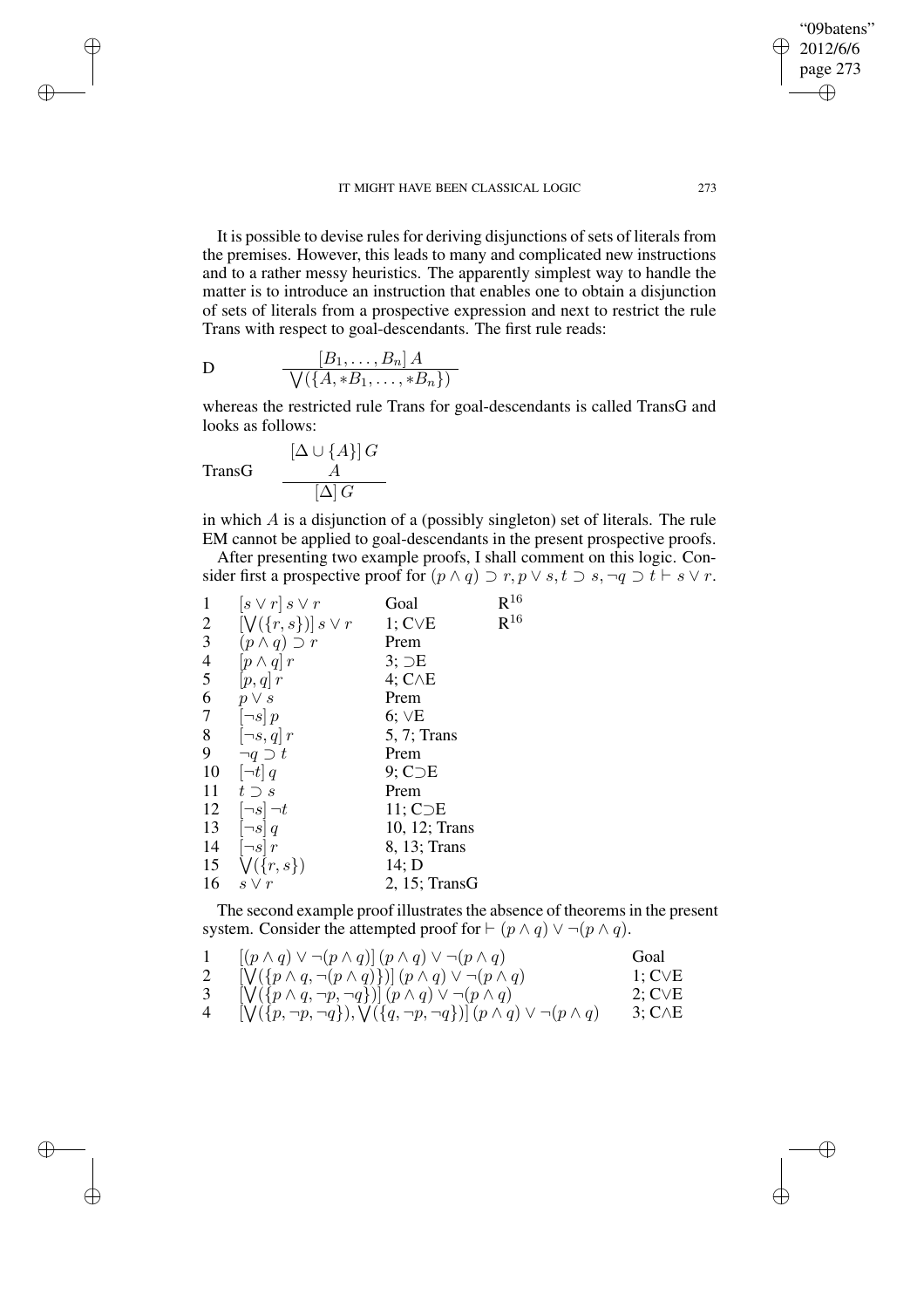It is possible to devise rules for deriving disjunctions of sets of literals from the premises. However, this leads to many and complicated new instructions and to a rather messy heuristics. The apparently simplest way to handle the matter is to introduce an instruction that enables one to obtain a disjunction of sets of literals from a prospective expression and next to restrict the rule Trans with respect to goal-descendants. The first rule reads:

$$
\mathbf{D} \qquad \qquad \frac{[B_1, \ldots, B_n] A}{\sqrt{\left(\{A, *B_1, \ldots, *B_n\}\right)}}
$$

whereas the restricted rule Trans for goal-descendants is called TransG and looks as follows:

$$
\text{TransG} \qquad \frac{[\Delta \cup \{A\}] \, G}{[{\Delta}] \, G}
$$

✐

✐

✐

✐

in which  $\overline{A}$  is a disjunction of a (possibly singleton) set of literals. The rule EM cannot be applied to goal-descendants in the present prospective proofs.

After presenting two example proofs, I shall comment on this logic. Consider first a prospective proof for  $(p \land q) \supset r, p \lor s, t \supset s, \neg q \supset t \vdash s \lor r$ .

| 1              | $[s\vee r] \ s\vee r$           | Goal                | $R^{16}$ |
|----------------|---------------------------------|---------------------|----------|
| $\overline{2}$ | $[\bigvee(\{r,s\})]$ s $\vee$ r | $1; C\vee E$        | $R^{16}$ |
| 3              | $(p \wedge q) \supset r$        | Prem                |          |
| $\overline{4}$ | $[p \wedge q]$ r                | 3:DE                |          |
| 5              | $[p,q]$ r                       | $4; C \wedge E$     |          |
| 6              | $p \vee s$                      | Prem                |          |
| $\tau$         | $\lceil \neg s \rceil p$        | 6;VE                |          |
| 8              | $[\neg s, q]$ r                 | $5, 7$ ; Trans      |          |
| 9              | $\neg q \supset t$              | Prem                |          |
| 10             | $[\neg t]$ q                    | $9;$ C $\neg$ E     |          |
| 11             | $t \supset s$                   | Prem                |          |
| 12             | $[\neg s] \neg t$               | 11; C <sub>DE</sub> |          |
| 13             | $[\neg s]$ q                    | 10, 12; Trans       |          |
| 14             | $\lceil \neg s \rceil r$        | 8, 13; Trans        |          |
| 15             | $\bigvee (\{r,s\})$             | 14; D               |          |
| 16             | $s \vee r$                      | $2, 15$ ; TransG    |          |

The second example proof illustrates the absence of theorems in the present system. Consider the attempted proof for  $\vdash$   $(p \land q) \lor \neg (p \land q)$ .

|   | $[(p \wedge q) \vee \neg (p \wedge q)] (p \wedge q) \vee \neg (p \wedge q)$                            | Goal               |
|---|--------------------------------------------------------------------------------------------------------|--------------------|
|   | $[\mathsf{V}(\{p \land q, \neg(p \land q)\})](p \land q) \lor \neg(p \land q)$                         | $1:$ CVE           |
|   | $[\bigvee(\{p\land q, \neg p, \neg q\})](p\land q) \lor \neg(p\land q)$                                | $2; C\vee E$       |
| 4 | $[\mathsf{V}(\{p,\neg p,\neg q\}),\mathsf{V}(\{q,\neg p,\neg q\})](p \wedge q) \vee \neg (p \wedge q)$ | $3; C \triangle E$ |

"09batens" 2012/6/6 page 273

✐

✐

✐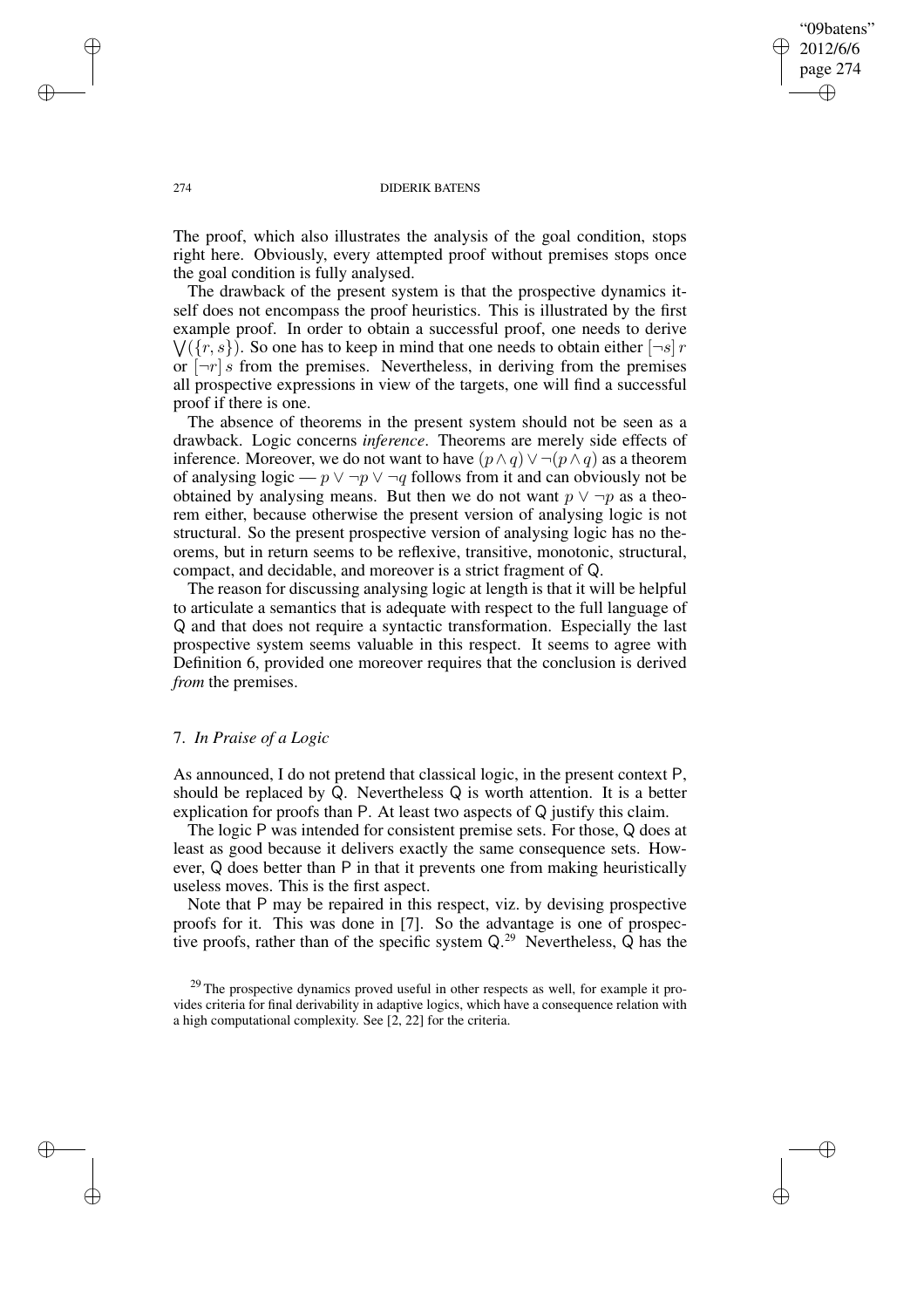## "09batens" 2012/6/6 page 274 ✐ ✐

✐

✐

#### 274 DIDERIK BATENS

The proof, which also illustrates the analysis of the goal condition, stops right here. Obviously, every attempted proof without premises stops once the goal condition is fully analysed.

The drawback of the present system is that the prospective dynamics itself does not encompass the proof heuristics. This is illustrated by the first  $\bigvee (\{r, s\})$ . So one has to keep in mind that one needs to obtain either  $[\neg s]$  r example proof. In order to obtain a successful proof, one needs to derive or  $|\neg r|$  s from the premises. Nevertheless, in deriving from the premises all prospective expressions in view of the targets, one will find a successful proof if there is one.

The absence of theorems in the present system should not be seen as a drawback. Logic concerns *inference*. Theorems are merely side effects of inference. Moreover, we do not want to have  $(p \wedge q) \vee \neg (p \wedge q)$  as a theorem of analysing logic —  $p \lor \neg p \lor \neg q$  follows from it and can obviously not be obtained by analysing means. But then we do not want  $p \vee \neg p$  as a theorem either, because otherwise the present version of analysing logic is not structural. So the present prospective version of analysing logic has no theorems, but in return seems to be reflexive, transitive, monotonic, structural, compact, and decidable, and moreover is a strict fragment of Q.

The reason for discussing analysing logic at length is that it will be helpful to articulate a semantics that is adequate with respect to the full language of Q and that does not require a syntactic transformation. Especially the last prospective system seems valuable in this respect. It seems to agree with Definition 6, provided one moreover requires that the conclusion is derived *from* the premises.

# 7. *In Praise of a Logic*

As announced, I do not pretend that classical logic, in the present context P, should be replaced by Q. Nevertheless Q is worth attention. It is a better explication for proofs than P. At least two aspects of Q justify this claim.

The logic P was intended for consistent premise sets. For those, Q does at least as good because it delivers exactly the same consequence sets. However, Q does better than P in that it prevents one from making heuristically useless moves. This is the first aspect.

Note that P may be repaired in this respect, viz. by devising prospective proofs for it. This was done in [7]. So the advantage is one of prospective proofs, rather than of the specific system  $Q^{29}$  Nevertheless, Q has the

✐

✐

✐

<sup>&</sup>lt;sup>29</sup> The prospective dynamics proved useful in other respects as well, for example it provides criteria for final derivability in adaptive logics, which have a consequence relation with a high computational complexity. See [2, 22] for the criteria.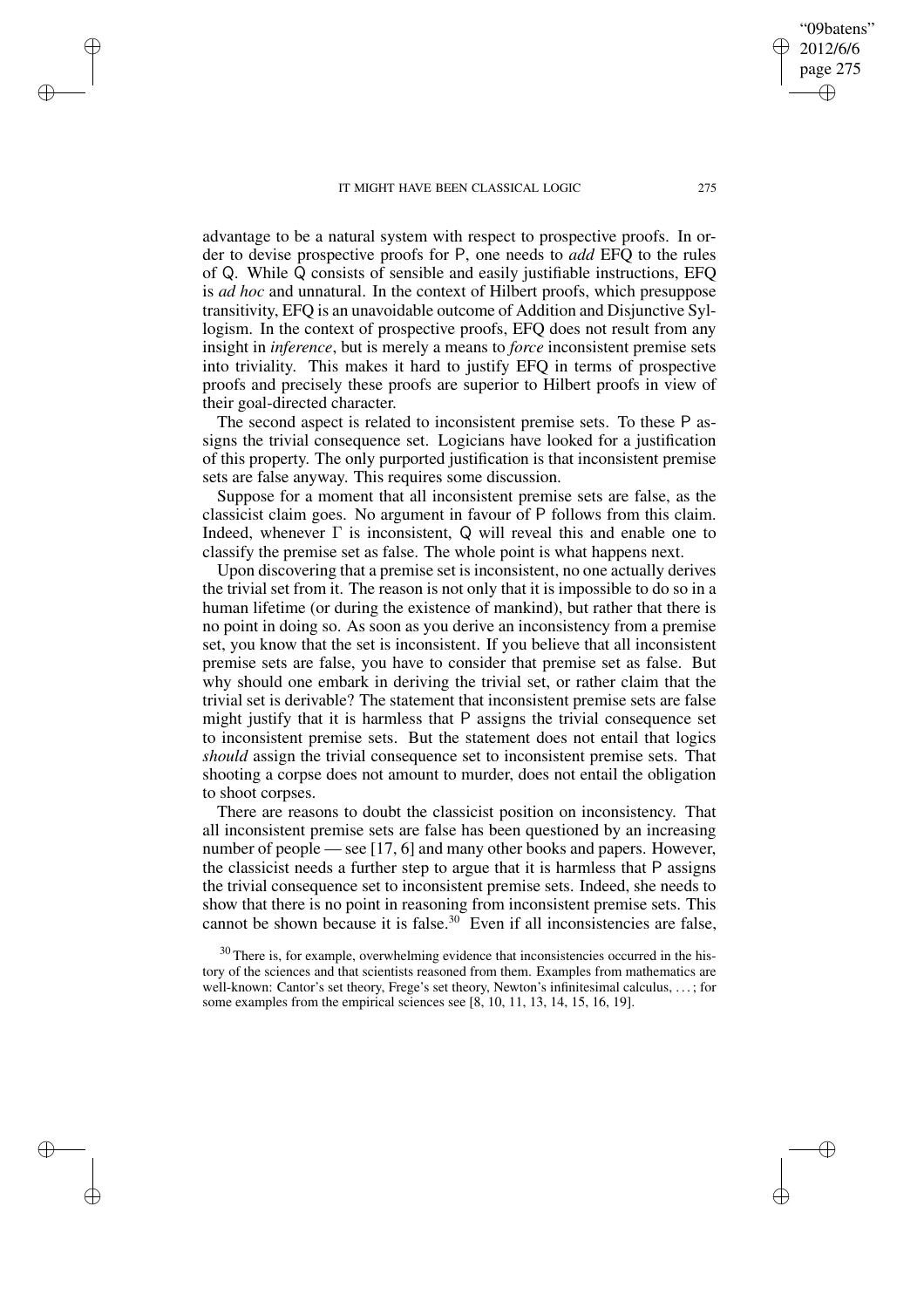✐

✐

✐

✐

advantage to be a natural system with respect to prospective proofs. In order to devise prospective proofs for P, one needs to *add* EFQ to the rules of Q. While Q consists of sensible and easily justifiable instructions, EFQ is *ad hoc* and unnatural. In the context of Hilbert proofs, which presuppose transitivity, EFQ is an unavoidable outcome of Addition and Disjunctive Syllogism. In the context of prospective proofs, EFQ does not result from any insight in *inference*, but is merely a means to *force* inconsistent premise sets into triviality. This makes it hard to justify EFQ in terms of prospective proofs and precisely these proofs are superior to Hilbert proofs in view of their goal-directed character.

The second aspect is related to inconsistent premise sets. To these P assigns the trivial consequence set. Logicians have looked for a justification of this property. The only purported justification is that inconsistent premise sets are false anyway. This requires some discussion.

Suppose for a moment that all inconsistent premise sets are false, as the classicist claim goes. No argument in favour of P follows from this claim. Indeed, whenever  $\Gamma$  is inconsistent, Q will reveal this and enable one to classify the premise set as false. The whole point is what happens next.

Upon discovering that a premise set is inconsistent, no one actually derives the trivial set from it. The reason is not only that it is impossible to do so in a human lifetime (or during the existence of mankind), but rather that there is no point in doing so. As soon as you derive an inconsistency from a premise set, you know that the set is inconsistent. If you believe that all inconsistent premise sets are false, you have to consider that premise set as false. But why should one embark in deriving the trivial set, or rather claim that the trivial set is derivable? The statement that inconsistent premise sets are false might justify that it is harmless that P assigns the trivial consequence set to inconsistent premise sets. But the statement does not entail that logics *should* assign the trivial consequence set to inconsistent premise sets. That shooting a corpse does not amount to murder, does not entail the obligation to shoot corpses.

There are reasons to doubt the classicist position on inconsistency. That all inconsistent premise sets are false has been questioned by an increasing number of people — see [17, 6] and many other books and papers. However, the classicist needs a further step to argue that it is harmless that P assigns the trivial consequence set to inconsistent premise sets. Indeed, she needs to show that there is no point in reasoning from inconsistent premise sets. This cannot be shown because it is false.<sup>30</sup> Even if all inconsistencies are false,

 $30$  There is, for example, overwhelming evidence that inconsistencies occurred in the history of the sciences and that scientists reasoned from them. Examples from mathematics are well-known: Cantor's set theory, Frege's set theory, Newton's infinitesimal calculus, . . . ; for some examples from the empirical sciences see [8, 10, 11, 13, 14, 15, 16, 19].

"09batens" 2012/6/6 page 275

✐

✐

✐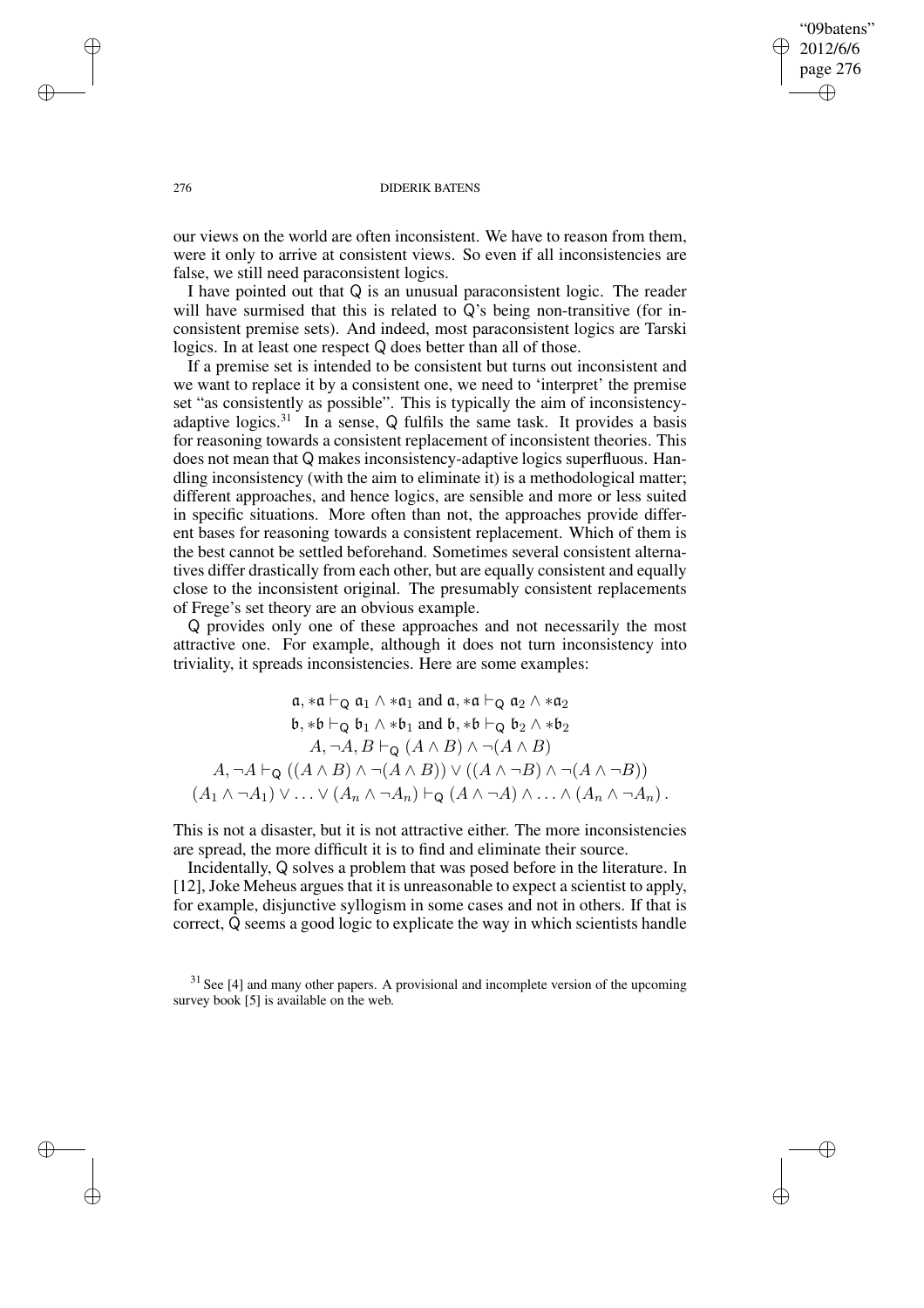## "09batens" 2012/6/6 page 276 ✐ ✐

✐

✐

## 276 DIDERIK BATENS

our views on the world are often inconsistent. We have to reason from them, were it only to arrive at consistent views. So even if all inconsistencies are false, we still need paraconsistent logics.

I have pointed out that Q is an unusual paraconsistent logic. The reader will have surmised that this is related to Q's being non-transitive (for inconsistent premise sets). And indeed, most paraconsistent logics are Tarski logics. In at least one respect Q does better than all of those.

If a premise set is intended to be consistent but turns out inconsistent and we want to replace it by a consistent one, we need to 'interpret' the premise set "as consistently as possible". This is typically the aim of inconsistencyadaptive logics. $31$  In a sense, Q fulfils the same task. It provides a basis for reasoning towards a consistent replacement of inconsistent theories. This does not mean that Q makes inconsistency-adaptive logics superfluous. Handling inconsistency (with the aim to eliminate it) is a methodological matter; different approaches, and hence logics, are sensible and more or less suited in specific situations. More often than not, the approaches provide different bases for reasoning towards a consistent replacement. Which of them is the best cannot be settled beforehand. Sometimes several consistent alternatives differ drastically from each other, but are equally consistent and equally close to the inconsistent original. The presumably consistent replacements of Frege's set theory are an obvious example.

Q provides only one of these approaches and not necessarily the most attractive one. For example, although it does not turn inconsistency into triviality, it spreads inconsistencies. Here are some examples:

$$
\mathfrak{a}, \ast \mathfrak{a} \vdash_{\mathsf{Q}} \mathfrak{a}_{1} \land \ast \mathfrak{a}_{1} \text{ and } \mathfrak{a}, \ast \mathfrak{a} \vdash_{\mathsf{Q}} \mathfrak{a}_{2} \land \ast \mathfrak{a}_{2}
$$
\n
$$
\mathfrak{b}, \ast \mathfrak{b} \vdash_{\mathsf{Q}} \mathfrak{b}_{1} \land \ast \mathfrak{b}_{1} \text{ and } \mathfrak{b}, \ast \mathfrak{b} \vdash_{\mathsf{Q}} \mathfrak{b}_{2} \land \ast \mathfrak{b}_{2}
$$
\n
$$
A, \neg A, B \vdash_{\mathsf{Q}} (A \land B) \land \neg(A \land B)
$$
\n
$$
A, \neg A \vdash_{\mathsf{Q}} ((A \land B) \land \neg(A \land B)) \lor ((A \land \neg B) \land \neg(A \land \neg B))
$$
\n
$$
(A_{1} \land \neg A_{1}) \lor \dots \lor (A_{n} \land \neg A_{n}) \vdash_{\mathsf{Q}} (A \land \neg A) \land \dots \land (A_{n} \land \neg A_{n}).
$$

This is not a disaster, but it is not attractive either. The more inconsistencies are spread, the more difficult it is to find and eliminate their source.

Incidentally, Q solves a problem that was posed before in the literature. In [12], Joke Meheus argues that it is unreasonable to expect a scientist to apply, for example, disjunctive syllogism in some cases and not in others. If that is correct, Q seems a good logic to explicate the way in which scientists handle

 $31$  See [4] and many other papers. A provisional and incomplete version of the upcoming survey book [5] is available on the web.

✐

✐

✐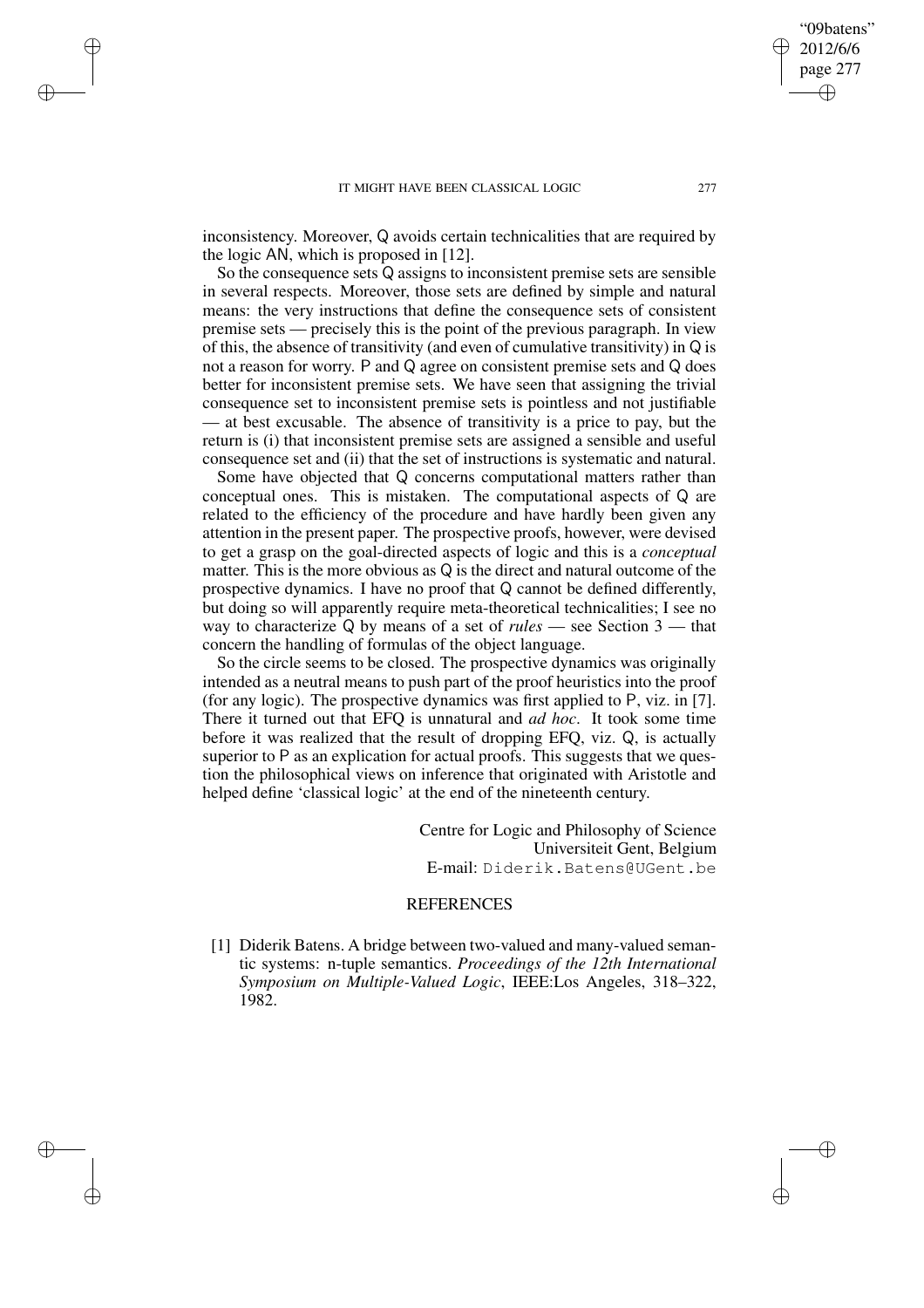✐

✐

✐

inconsistency. Moreover, Q avoids certain technicalities that are required by the logic AN, which is proposed in [12].

So the consequence sets Q assigns to inconsistent premise sets are sensible in several respects. Moreover, those sets are defined by simple and natural means: the very instructions that define the consequence sets of consistent premise sets — precisely this is the point of the previous paragraph. In view of this, the absence of transitivity (and even of cumulative transitivity) in Q is not a reason for worry. P and Q agree on consistent premise sets and Q does better for inconsistent premise sets. We have seen that assigning the trivial consequence set to inconsistent premise sets is pointless and not justifiable — at best excusable. The absence of transitivity is a price to pay, but the return is (i) that inconsistent premise sets are assigned a sensible and useful consequence set and (ii) that the set of instructions is systematic and natural.

Some have objected that Q concerns computational matters rather than conceptual ones. This is mistaken. The computational aspects of Q are related to the efficiency of the procedure and have hardly been given any attention in the present paper. The prospective proofs, however, were devised to get a grasp on the goal-directed aspects of logic and this is a *conceptual* matter. This is the more obvious as Q is the direct and natural outcome of the prospective dynamics. I have no proof that Q cannot be defined differently, but doing so will apparently require meta-theoretical technicalities; I see no way to characterize Q by means of a set of *rules* — see Section 3 — that concern the handling of formulas of the object language.

So the circle seems to be closed. The prospective dynamics was originally intended as a neutral means to push part of the proof heuristics into the proof (for any logic). The prospective dynamics was first applied to P, viz. in [7]. There it turned out that EFQ is unnatural and *ad hoc*. It took some time before it was realized that the result of dropping EFQ, viz. Q, is actually superior to P as an explication for actual proofs. This suggests that we question the philosophical views on inference that originated with Aristotle and helped define 'classical logic' at the end of the nineteenth century.

> Centre for Logic and Philosophy of Science Universiteit Gent, Belgium E-mail: Diderik.Batens@UGent.be

## **REFERENCES**

[1] Diderik Batens. A bridge between two-valued and many-valued semantic systems: n-tuple semantics. *Proceedings of the 12th International Symposium on Multiple-Valued Logic*, IEEE:Los Angeles, 318–322, 1982.

"09batens" 2012/6/6 page 277

✐

✐

✐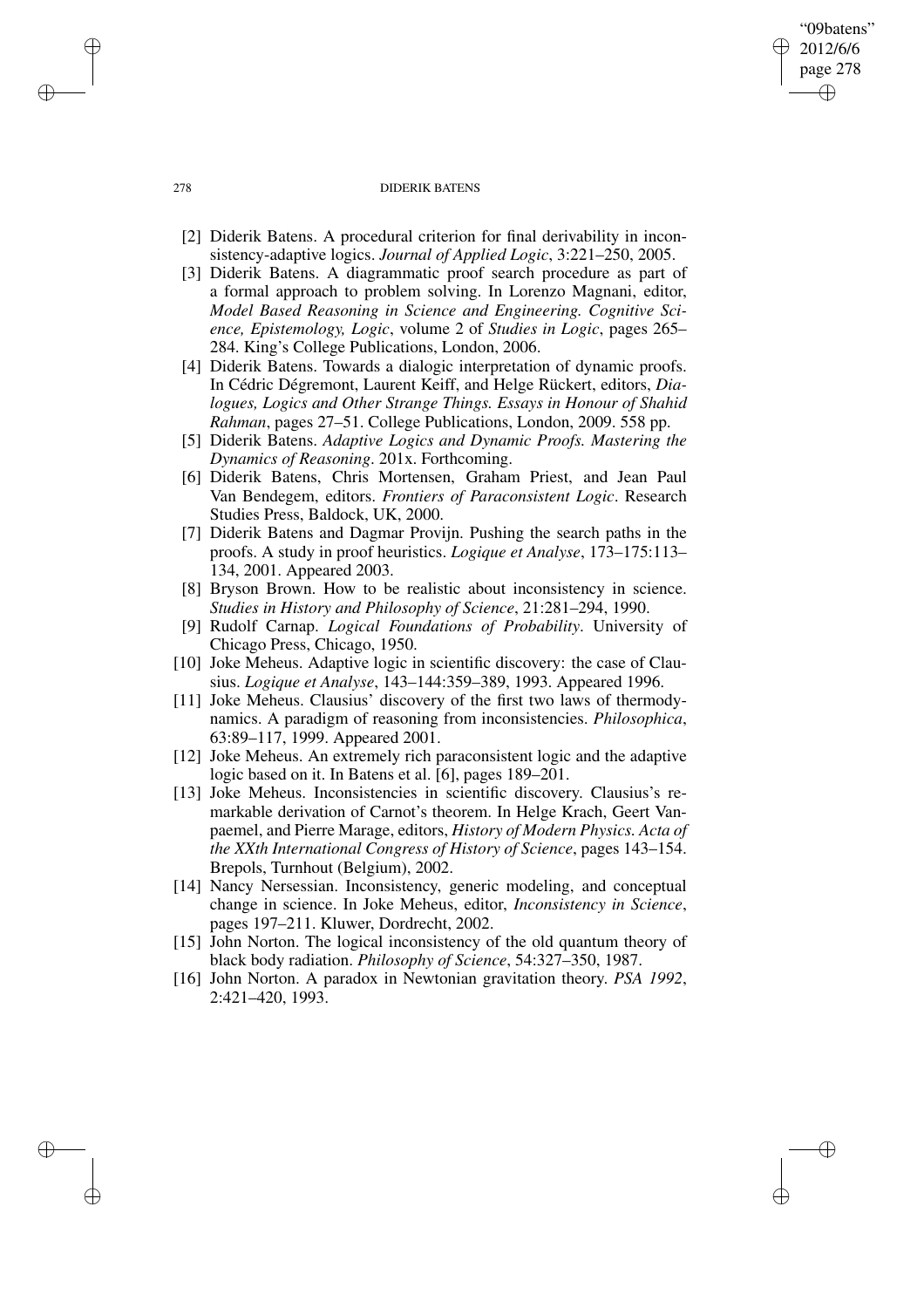## 278 DIDERIK BATENS

"09batens" 2012/6/6 page 278

✐

✐

✐

✐

- [2] Diderik Batens. A procedural criterion for final derivability in inconsistency-adaptive logics. *Journal of Applied Logic*, 3:221–250, 2005.
- [3] Diderik Batens. A diagrammatic proof search procedure as part of a formal approach to problem solving. In Lorenzo Magnani, editor, *Model Based Reasoning in Science and Engineering. Cognitive Science, Epistemology, Logic*, volume 2 of *Studies in Logic*, pages 265– 284. King's College Publications, London, 2006.
- [4] Diderik Batens. Towards a dialogic interpretation of dynamic proofs. In Cédric Dégremont, Laurent Keiff, and Helge Rückert, editors, *Dialogues, Logics and Other Strange Things. Essays in Honour of Shahid Rahman*, pages 27–51. College Publications, London, 2009. 558 pp.
- [5] Diderik Batens. *Adaptive Logics and Dynamic Proofs. Mastering the Dynamics of Reasoning*. 201x. Forthcoming.
- [6] Diderik Batens, Chris Mortensen, Graham Priest, and Jean Paul Van Bendegem, editors. *Frontiers of Paraconsistent Logic*. Research Studies Press, Baldock, UK, 2000.
- [7] Diderik Batens and Dagmar Provijn. Pushing the search paths in the proofs. A study in proof heuristics. *Logique et Analyse*, 173–175:113– 134, 2001. Appeared 2003.
- [8] Bryson Brown. How to be realistic about inconsistency in science. *Studies in History and Philosophy of Science*, 21:281–294, 1990.
- [9] Rudolf Carnap. *Logical Foundations of Probability*. University of Chicago Press, Chicago, 1950.
- [10] Joke Meheus. Adaptive logic in scientific discovery: the case of Clausius. *Logique et Analyse*, 143–144:359–389, 1993. Appeared 1996.
- [11] Joke Meheus. Clausius' discovery of the first two laws of thermodynamics. A paradigm of reasoning from inconsistencies. *Philosophica*, 63:89–117, 1999. Appeared 2001.
- [12] Joke Meheus. An extremely rich paraconsistent logic and the adaptive logic based on it. In Batens et al. [6], pages 189–201.
- [13] Joke Meheus. Inconsistencies in scientific discovery. Clausius's remarkable derivation of Carnot's theorem. In Helge Krach, Geert Vanpaemel, and Pierre Marage, editors, *History of Modern Physics. Acta of the XXth International Congress of History of Science*, pages 143–154. Brepols, Turnhout (Belgium), 2002.
- [14] Nancy Nersessian. Inconsistency, generic modeling, and conceptual change in science. In Joke Meheus, editor, *Inconsistency in Science*, pages 197–211. Kluwer, Dordrecht, 2002.
- [15] John Norton. The logical inconsistency of the old quantum theory of black body radiation. *Philosophy of Science*, 54:327–350, 1987.
- [16] John Norton. A paradox in Newtonian gravitation theory. *PSA 1992*, 2:421–420, 1993.

✐

✐

✐